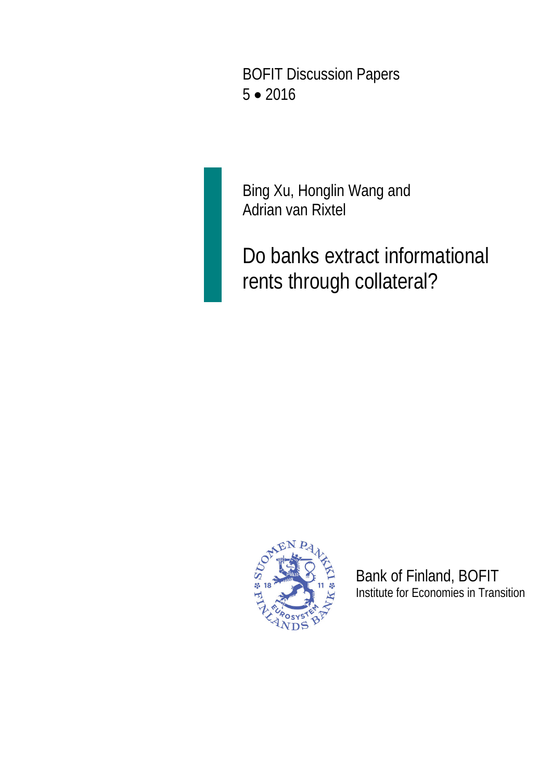BOFIT Discussion Papers 5 • 2016



Bing Xu, Honglin Wang and Adrian van Rixtel

Do banks extract informational rents through collateral?



Bank of Finland, BOFIT Institute for Economies in Transition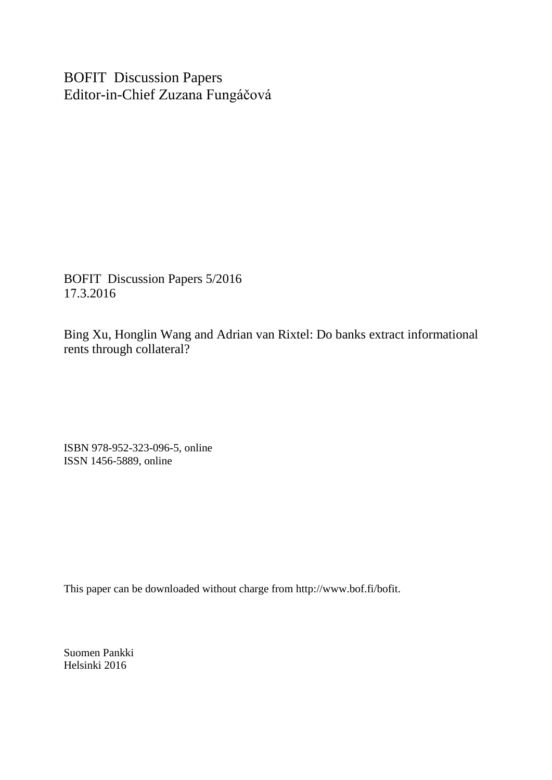BOFIT Discussion Papers Editor-in-Chief Zuzana Fungáčová

BOFIT Discussion Papers 5/2016 17.3.2016

Bing Xu, Honglin Wang and Adrian van Rixtel: Do banks extract informational rents through collateral?

ISBN 978-952-323-096-5, online ISSN 1456-5889, online

This paper can be downloaded without charge from http://www.bof.fi/bofit.

Suomen Pankki Helsinki 2016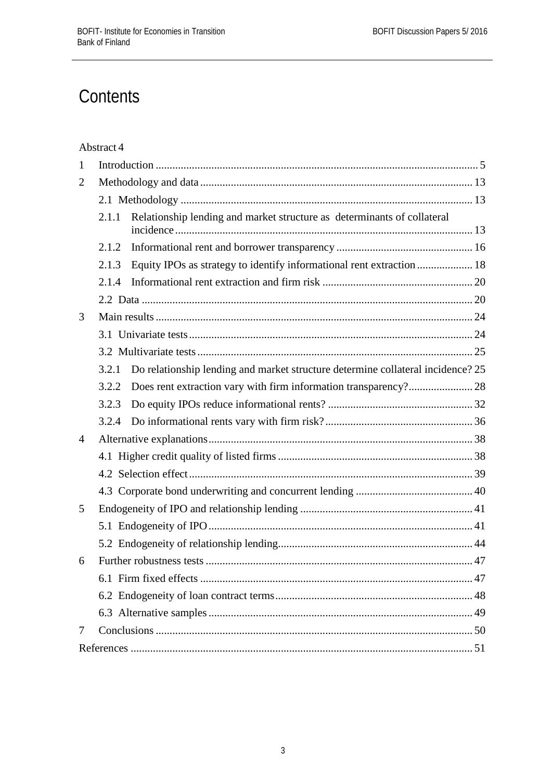# **Contents**

#### [Abstract](#page-3-0) 4

| 1              |                                                                                          |  |
|----------------|------------------------------------------------------------------------------------------|--|
| 2              |                                                                                          |  |
|                |                                                                                          |  |
|                | Relationship lending and market structure as determinants of collateral<br>2.1.1         |  |
|                |                                                                                          |  |
|                | 2.1.2                                                                                    |  |
|                | Equity IPOs as strategy to identify informational rent extraction  18<br>2.1.3           |  |
|                | 2.1.4                                                                                    |  |
|                |                                                                                          |  |
| 3              |                                                                                          |  |
|                |                                                                                          |  |
|                |                                                                                          |  |
|                | Do relationship lending and market structure determine collateral incidence? 25<br>3.2.1 |  |
|                | 3.2.2                                                                                    |  |
|                | 3.2.3                                                                                    |  |
|                | 3.2.4                                                                                    |  |
| $\overline{4}$ |                                                                                          |  |
|                |                                                                                          |  |
|                |                                                                                          |  |
|                |                                                                                          |  |
| 5              |                                                                                          |  |
|                |                                                                                          |  |
|                |                                                                                          |  |
| 6              |                                                                                          |  |
|                |                                                                                          |  |
|                |                                                                                          |  |
|                |                                                                                          |  |
| 7              |                                                                                          |  |
|                |                                                                                          |  |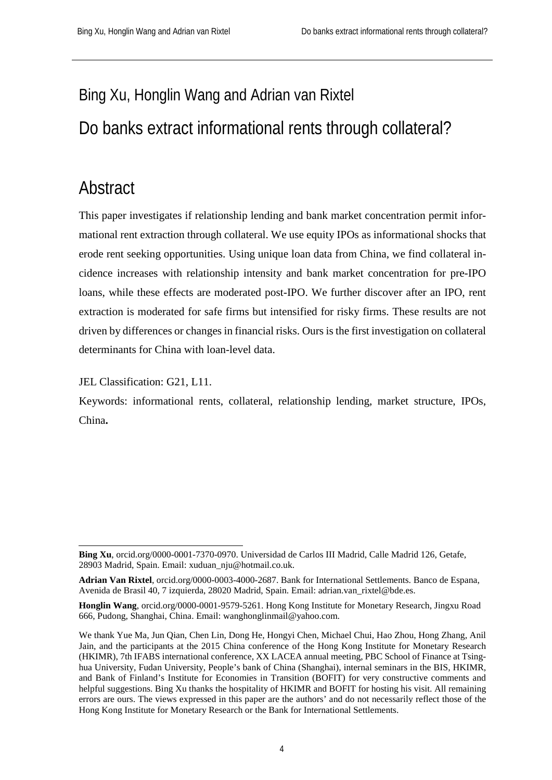# Bing Xu, Honglin Wang and Adrian van Rixtel Do banks extract informational rents through collateral?

# <span id="page-3-0"></span>Abstract

This paper investigates if relationship lending and bank market concentration permit informational rent extraction through collateral. We use equity IPOs as informational shocks that erode rent seeking opportunities. Using unique loan data from China, we find collateral incidence increases with relationship intensity and bank market concentration for pre-IPO loans, while these effects are moderated post-IPO. We further discover after an IPO, rent extraction is moderated for safe firms but intensified for risky firms. These results are not driven by differences or changes in financial risks. Ours is the first investigation on collateral determinants for China with loan-level data.

#### JEL Classification: G21, L11.

Keywords: informational rents, collateral, relationship lending, market structure, IPOs, China**.**

**Bing Xu**, orcid.org/0000-0001-7370-0970. Universidad de Carlos III Madrid, Calle Madrid 126, Getafe, 28903 Madrid, Spain. Email: xuduan\_nju@hotmail.co.uk.

**Adrian Van Rixtel**, orcid.org/0000-0003-4000-2687. Bank for International Settlements. Banco de Espana, Avenida de Brasil 40, 7 izquierda, 28020 Madrid, Spain. Email: adrian.van\_rixtel@bde.es.

**Honglin Wang**, orcid.org/0000-0001-9579-5261. Hong Kong Institute for Monetary Research, Jingxu Road 666, Pudong, Shanghai, China. Email: wanghonglinmail@yahoo.com.

We thank Yue Ma, Jun Qian, Chen Lin, Dong He, Hongyi Chen, Michael Chui, Hao Zhou, Hong Zhang, Anil Jain, and the participants at the 2015 China conference of the Hong Kong Institute for Monetary Research (HKIMR), 7th IFABS international conference, XX LACEA annual meeting, PBC School of Finance at Tsinghua University, Fudan University, People's bank of China (Shanghai), internal seminars in the BIS, HKIMR, and Bank of Finland's Institute for Economies in Transition (BOFIT) for very constructive comments and helpful suggestions. Bing Xu thanks the hospitality of HKIMR and BOFIT for hosting his visit. All remaining errors are ours. The views expressed in this paper are the authors' and do not necessarily reflect those of the Hong Kong Institute for Monetary Research or the Bank for International Settlements.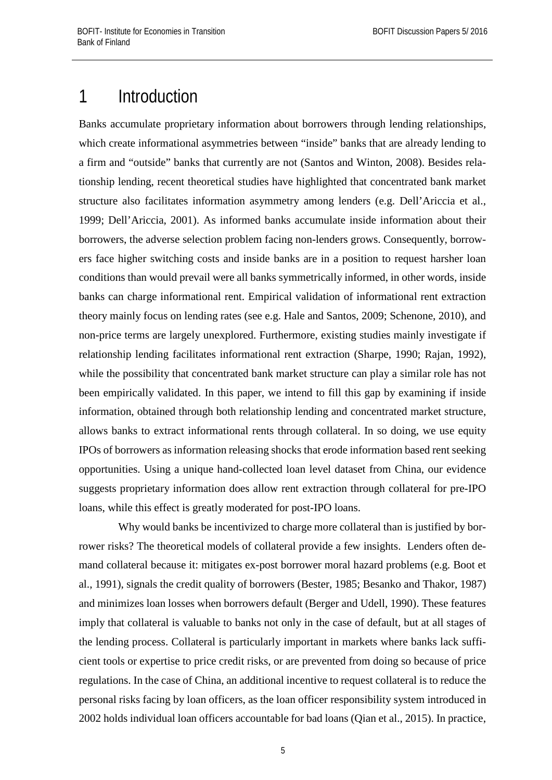# <span id="page-4-0"></span>1 Introduction

Banks accumulate proprietary information about borrowers through lending relationships, which create informational asymmetries between "inside" banks that are already lending to a firm and "outside" banks that currently are not (Santos and Winton, 2008). Besides relationship lending, recent theoretical studies have highlighted that concentrated bank market structure also facilitates information asymmetry among lenders (e.g. Dell'Ariccia et al., 1999; Dell'Ariccia, 2001). As informed banks accumulate inside information about their borrowers, the adverse selection problem facing non-lenders grows. Consequently, borrowers face higher switching costs and inside banks are in a position to request harsher loan conditions than would prevail were all banks symmetrically informed, in other words, inside banks can charge informational rent. Empirical validation of informational rent extraction theory mainly focus on lending rates (see e.g. Hale and Santos, 2009; Schenone, 2010), and non-price terms are largely unexplored. Furthermore, existing studies mainly investigate if relationship lending facilitates informational rent extraction (Sharpe, 1990; Rajan, 1992), while the possibility that concentrated bank market structure can play a similar role has not been empirically validated. In this paper, we intend to fill this gap by examining if inside information, obtained through both relationship lending and concentrated market structure, allows banks to extract informational rents through collateral. In so doing, we use equity IPOs of borrowers as information releasing shocks that erode information based rent seeking opportunities. Using a unique hand-collected loan level dataset from China, our evidence suggests proprietary information does allow rent extraction through collateral for pre-IPO loans, while this effect is greatly moderated for post-IPO loans.

Why would banks be incentivized to charge more collateral than is justified by borrower risks? The theoretical models of collateral provide a few insights. Lenders often demand collateral because it: mitigates ex-post borrower moral hazard problems (e.g. Boot et al., 1991), signals the credit quality of borrowers (Bester, 1985; Besanko and Thakor, 1987) and minimizes loan losses when borrowers default (Berger and Udell, 1990). These features imply that collateral is valuable to banks not only in the case of default, but at all stages of the lending process. Collateral is particularly important in markets where banks lack sufficient tools or expertise to price credit risks, or are prevented from doing so because of price regulations. In the case of China, an additional incentive to request collateral is to reduce the personal risks facing by loan officers, as the loan officer responsibility system introduced in 2002 holds individual loan officers accountable for bad loans (Qian et al., 2015). In practice,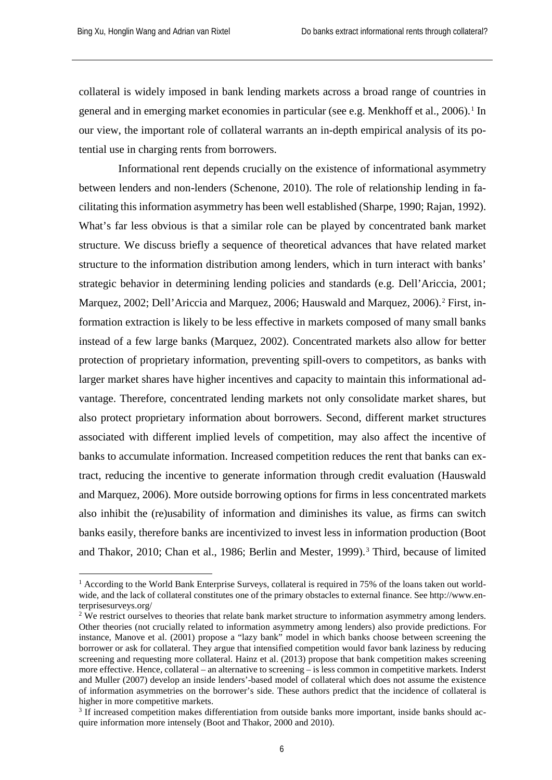collateral is widely imposed in bank lending markets across a broad range of countries in general and in emerging market economies in particular (see e.g. Menkhoff et al.,  $2006$ ).<sup>[1](#page-5-0)</sup> In our view, the important role of collateral warrants an in-depth empirical analysis of its potential use in charging rents from borrowers.

Informational rent depends crucially on the existence of informational asymmetry between lenders and non-lenders (Schenone, 2010). The role of relationship lending in facilitating this information asymmetry has been well established (Sharpe, 1990; Rajan, 1992). What's far less obvious is that a similar role can be played by concentrated bank market structure. We discuss briefly a sequence of theoretical advances that have related market structure to the information distribution among lenders, which in turn interact with banks' strategic behavior in determining lending policies and standards (e.g. Dell'Ariccia, 2001; Marquez, 2002; Dell'Ariccia and Marquez, 2006; Hauswald and Marquez, 2006). [2](#page-5-1) First, information extraction is likely to be less effective in markets composed of many small banks instead of a few large banks (Marquez, 2002). Concentrated markets also allow for better protection of proprietary information, preventing spill-overs to competitors, as banks with larger market shares have higher incentives and capacity to maintain this informational advantage. Therefore, concentrated lending markets not only consolidate market shares, but also protect proprietary information about borrowers. Second, different market structures associated with different implied levels of competition, may also affect the incentive of banks to accumulate information. Increased competition reduces the rent that banks can extract, reducing the incentive to generate information through credit evaluation (Hauswald and Marquez, 2006). More outside borrowing options for firms in less concentrated markets also inhibit the (re)usability of information and diminishes its value, as firms can switch banks easily, therefore banks are incentivized to invest less in information production (Boot and Thakor, 2010; Chan et al., 1986; Berlin and Mester, 1999).<sup>[3](#page-5-2)</sup> Third, because of limited

<span id="page-5-0"></span><sup>&</sup>lt;sup>1</sup> According to the World Bank Enterprise Surveys, collateral is required in 75% of the loans taken out worldwide, and the lack of collateral constitutes one of the primary obstacles to external finance. Se[e http://www.en](http://www.enterprisesurveys.org/)[terprisesurveys.org/](http://www.enterprisesurveys.org/)

<span id="page-5-1"></span><sup>&</sup>lt;sup>2</sup> We restrict ourselves to theories that relate bank market structure to information asymmetry among lenders. Other theories (not crucially related to information asymmetry among lenders) also provide predictions. For instance, Manove et al. (2001) propose a "lazy bank" model in which banks choose between screening the borrower or ask for collateral. They argue that intensified competition would favor bank laziness by reducing screening and requesting more collateral. Hainz et al. (2013) propose that bank competition makes screening more effective. Hence, collateral – an alternative to screening – is less common in competitive markets. Inderst and Muller (2007) develop an inside lenders'-based model of collateral which does not assume the existence of information asymmetries on the borrower's side. These authors predict that the incidence of collateral is higher in more competitive markets.

<span id="page-5-2"></span><sup>&</sup>lt;sup>3</sup> If increased competition makes differentiation from outside banks more important, inside banks should acquire information more intensely (Boot and Thakor, 2000 and 2010).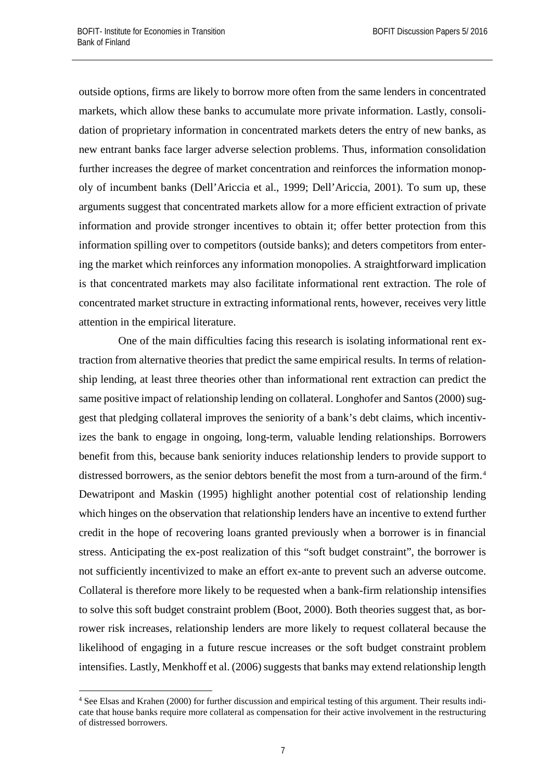outside options, firms are likely to borrow more often from the same lenders in concentrated markets, which allow these banks to accumulate more private information. Lastly, consolidation of proprietary information in concentrated markets deters the entry of new banks, as new entrant banks face larger adverse selection problems. Thus, information consolidation further increases the degree of market concentration and reinforces the information monopoly of incumbent banks (Dell'Ariccia et al., 1999; Dell'Ariccia, 2001). To sum up, these arguments suggest that concentrated markets allow for a more efficient extraction of private information and provide stronger incentives to obtain it; offer better protection from this information spilling over to competitors (outside banks); and deters competitors from entering the market which reinforces any information monopolies. A straightforward implication is that concentrated markets may also facilitate informational rent extraction. The role of concentrated market structure in extracting informational rents, however, receives very little attention in the empirical literature.

One of the main difficulties facing this research is isolating informational rent extraction from alternative theories that predict the same empirical results. In terms of relationship lending, at least three theories other than informational rent extraction can predict the same positive impact of relationship lending on collateral. Longhofer and Santos (2000) suggest that pledging collateral improves the seniority of a bank's debt claims, which incentivizes the bank to engage in ongoing, long-term, valuable lending relationships. Borrowers benefit from this, because bank seniority induces relationship lenders to provide support to distressed borrowers, as the senior debtors benefit the most from a turn-around of the firm.<sup>[4](#page-6-0)</sup> Dewatripont and Maskin (1995) highlight another potential cost of relationship lending which hinges on the observation that relationship lenders have an incentive to extend further credit in the hope of recovering loans granted previously when a borrower is in financial stress. Anticipating the ex-post realization of this "soft budget constraint", the borrower is not sufficiently incentivized to make an effort ex-ante to prevent such an adverse outcome. Collateral is therefore more likely to be requested when a bank-firm relationship intensifies to solve this soft budget constraint problem (Boot, 2000). Both theories suggest that, as borrower risk increases, relationship lenders are more likely to request collateral because the likelihood of engaging in a future rescue increases or the soft budget constraint problem intensifies. Lastly, Menkhoff et al. (2006) suggests that banks may extend relationship length

<span id="page-6-0"></span> <sup>4</sup> See Elsas and Krahen (2000) for further discussion and empirical testing of this argument. Their results indicate that house banks require more collateral as compensation for their active involvement in the restructuring of distressed borrowers.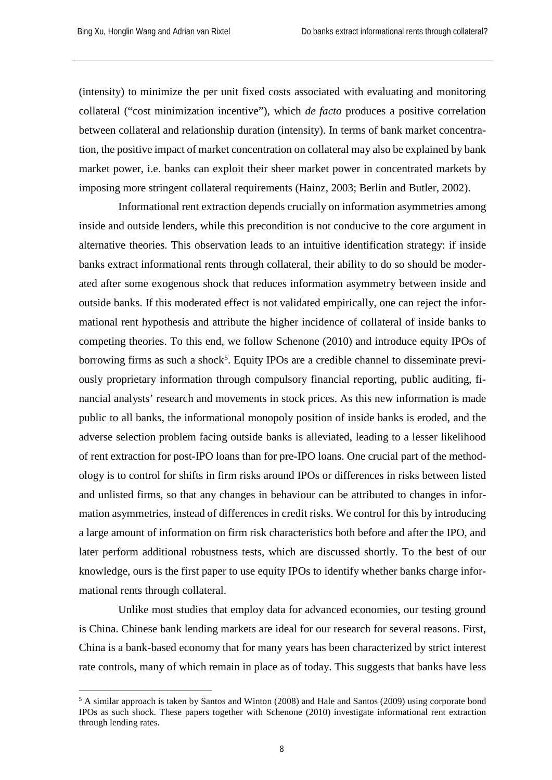(intensity) to minimize the per unit fixed costs associated with evaluating and monitoring collateral ("cost minimization incentive"), which *de facto* produces a positive correlation between collateral and relationship duration (intensity). In terms of bank market concentration, the positive impact of market concentration on collateral may also be explained by bank market power, i.e. banks can exploit their sheer market power in concentrated markets by imposing more stringent collateral requirements (Hainz, 2003; Berlin and Butler, 2002).

Informational rent extraction depends crucially on information asymmetries among inside and outside lenders, while this precondition is not conducive to the core argument in alternative theories. This observation leads to an intuitive identification strategy: if inside banks extract informational rents through collateral, their ability to do so should be moderated after some exogenous shock that reduces information asymmetry between inside and outside banks. If this moderated effect is not validated empirically, one can reject the informational rent hypothesis and attribute the higher incidence of collateral of inside banks to competing theories. To this end, we follow Schenone (2010) and introduce equity IPOs of borrowing firms as such a shock<sup>[5](#page-7-0)</sup>. Equity IPOs are a credible channel to disseminate previously proprietary information through compulsory financial reporting, public auditing, financial analysts' research and movements in stock prices. As this new information is made public to all banks, the informational monopoly position of inside banks is eroded, and the adverse selection problem facing outside banks is alleviated, leading to a lesser likelihood of rent extraction for post-IPO loans than for pre-IPO loans. One crucial part of the methodology is to control for shifts in firm risks around IPOs or differences in risks between listed and unlisted firms, so that any changes in behaviour can be attributed to changes in information asymmetries, instead of differences in credit risks. We control for this by introducing a large amount of information on firm risk characteristics both before and after the IPO, and later perform additional robustness tests, which are discussed shortly. To the best of our knowledge, ours is the first paper to use equity IPOs to identify whether banks charge informational rents through collateral.

Unlike most studies that employ data for advanced economies, our testing ground is China. Chinese bank lending markets are ideal for our research for several reasons. First, China is a bank-based economy that for many years has been characterized by strict interest rate controls, many of which remain in place as of today. This suggests that banks have less

<span id="page-7-0"></span> <sup>5</sup> A similar approach is taken by Santos and Winton (2008) and Hale and Santos (2009) using corporate bond IPOs as such shock. These papers together with Schenone (2010) investigate informational rent extraction through lending rates.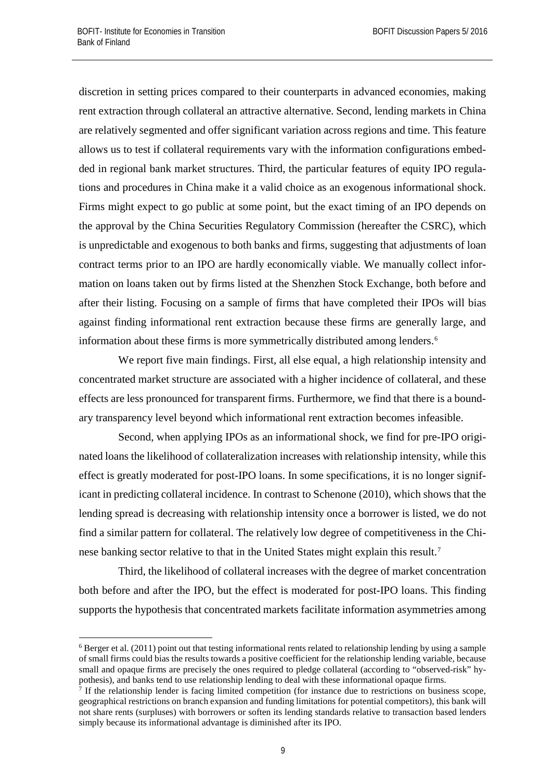discretion in setting prices compared to their counterparts in advanced economies, making rent extraction through collateral an attractive alternative. Second, lending markets in China are relatively segmented and offer significant variation across regions and time. This feature allows us to test if collateral requirements vary with the information configurations embedded in regional bank market structures. Third, the particular features of equity IPO regulations and procedures in China make it a valid choice as an exogenous informational shock. Firms might expect to go public at some point, but the exact timing of an IPO depends on the approval by the China Securities Regulatory Commission (hereafter the CSRC), which is unpredictable and exogenous to both banks and firms, suggesting that adjustments of loan contract terms prior to an IPO are hardly economically viable. We manually collect information on loans taken out by firms listed at the Shenzhen Stock Exchange, both before and after their listing. Focusing on a sample of firms that have completed their IPOs will bias against finding informational rent extraction because these firms are generally large, and information about these firms is more symmetrically distributed among lenders. [6](#page-8-0)

We report five main findings. First, all else equal, a high relationship intensity and concentrated market structure are associated with a higher incidence of collateral, and these effects are less pronounced for transparent firms. Furthermore, we find that there is a boundary transparency level beyond which informational rent extraction becomes infeasible.

Second, when applying IPOs as an informational shock, we find for pre-IPO originated loans the likelihood of collateralization increases with relationship intensity, while this effect is greatly moderated for post-IPO loans. In some specifications, it is no longer significant in predicting collateral incidence. In contrast to Schenone (2010), which shows that the lending spread is decreasing with relationship intensity once a borrower is listed, we do not find a similar pattern for collateral. The relatively low degree of competitiveness in the Chinese banking sector relative to that in the United States might explain this result.[7](#page-8-1)

Third, the likelihood of collateral increases with the degree of market concentration both before and after the IPO, but the effect is moderated for post-IPO loans. This finding supports the hypothesis that concentrated markets facilitate information asymmetries among

<span id="page-8-0"></span> $6$  Berger et al. (2011) point out that testing informational rents related to relationship lending by using a sample of small firms could bias the results towards a positive coefficient for the relationship lending variable, because small and opaque firms are precisely the ones required to pledge collateral (according to "observed-risk" hypothesis), and banks tend to use relationship lending to deal with these informational opaque firms.

<span id="page-8-1"></span> $7$  If the relationship lender is facing limited competition (for instance due to restrictions on business scope, geographical restrictions on branch expansion and funding limitations for potential competitors), this bank will not share rents (surpluses) with borrowers or soften its lending standards relative to transaction based lenders simply because its informational advantage is diminished after its IPO.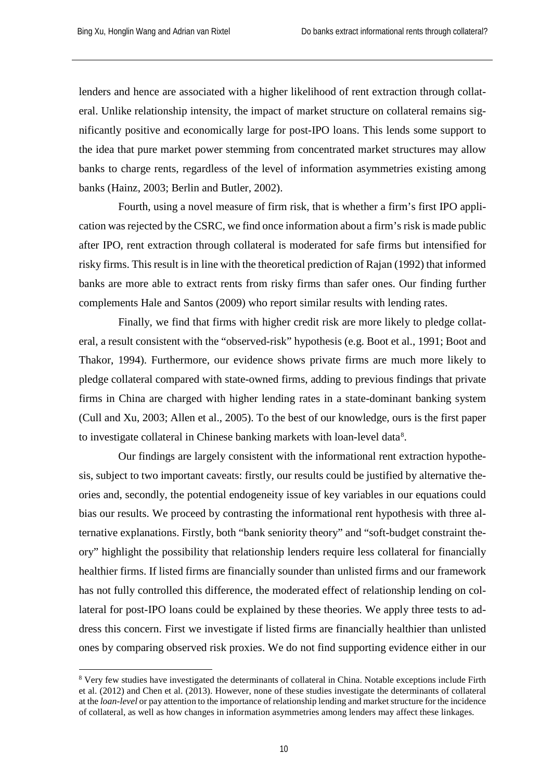lenders and hence are associated with a higher likelihood of rent extraction through collateral. Unlike relationship intensity, the impact of market structure on collateral remains significantly positive and economically large for post-IPO loans. This lends some support to the idea that pure market power stemming from concentrated market structures may allow banks to charge rents, regardless of the level of information asymmetries existing among banks (Hainz, 2003; Berlin and Butler, 2002).

Fourth, using a novel measure of firm risk, that is whether a firm's first IPO application was rejected by the CSRC, we find once information about a firm's risk is made public after IPO, rent extraction through collateral is moderated for safe firms but intensified for risky firms. This result is in line with the theoretical prediction of Rajan (1992) that informed banks are more able to extract rents from risky firms than safer ones. Our finding further complements Hale and Santos (2009) who report similar results with lending rates.

Finally, we find that firms with higher credit risk are more likely to pledge collateral, a result consistent with the "observed-risk" hypothesis (e.g. Boot et al., 1991; Boot and Thakor, 1994). Furthermore, our evidence shows private firms are much more likely to pledge collateral compared with state-owned firms, adding to previous findings that private firms in China are charged with higher lending rates in a state-dominant banking system (Cull and Xu, 2003; Allen et al., 2005). To the best of our knowledge, ours is the first paper to investigate collateral in Chinese banking markets with loan-level data<sup>[8](#page-9-0)</sup>.

Our findings are largely consistent with the informational rent extraction hypothesis, subject to two important caveats: firstly, our results could be justified by alternative theories and, secondly, the potential endogeneity issue of key variables in our equations could bias our results. We proceed by contrasting the informational rent hypothesis with three alternative explanations. Firstly, both "bank seniority theory" and "soft-budget constraint theory" highlight the possibility that relationship lenders require less collateral for financially healthier firms. If listed firms are financially sounder than unlisted firms and our framework has not fully controlled this difference, the moderated effect of relationship lending on collateral for post-IPO loans could be explained by these theories. We apply three tests to address this concern. First we investigate if listed firms are financially healthier than unlisted ones by comparing observed risk proxies. We do not find supporting evidence either in our

<span id="page-9-0"></span> <sup>8</sup> Very few studies have investigated the determinants of collateral in China. Notable exceptions include Firth et al. (2012) and Chen et al. (2013). However, none of these studies investigate the determinants of collateral at the *loan-level* or pay attention to the importance of relationship lending and market structure for the incidence of collateral, as well as how changes in information asymmetries among lenders may affect these linkages.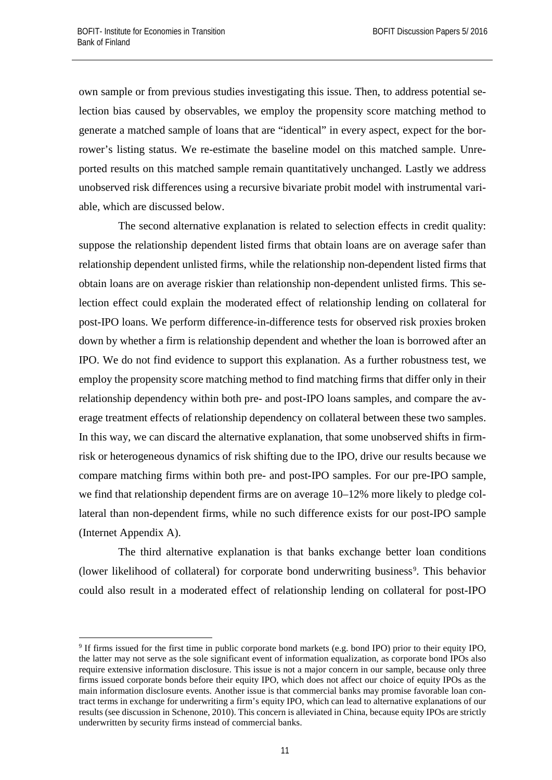own sample or from previous studies investigating this issue. Then, to address potential selection bias caused by observables, we employ the propensity score matching method to generate a matched sample of loans that are "identical" in every aspect, expect for the borrower's listing status. We re-estimate the baseline model on this matched sample. Unreported results on this matched sample remain quantitatively unchanged. Lastly we address unobserved risk differences using a recursive bivariate probit model with instrumental variable, which are discussed below.

The second alternative explanation is related to selection effects in credit quality: suppose the relationship dependent listed firms that obtain loans are on average safer than relationship dependent unlisted firms, while the relationship non-dependent listed firms that obtain loans are on average riskier than relationship non-dependent unlisted firms. This selection effect could explain the moderated effect of relationship lending on collateral for post-IPO loans. We perform difference-in-difference tests for observed risk proxies broken down by whether a firm is relationship dependent and whether the loan is borrowed after an IPO. We do not find evidence to support this explanation. As a further robustness test, we employ the propensity score matching method to find matching firms that differ only in their relationship dependency within both pre- and post-IPO loans samples, and compare the average treatment effects of relationship dependency on collateral between these two samples. In this way, we can discard the alternative explanation, that some unobserved shifts in firmrisk or heterogeneous dynamics of risk shifting due to the IPO, drive our results because we compare matching firms within both pre- and post-IPO samples. For our pre-IPO sample, we find that relationship dependent firms are on average 10–12% more likely to pledge collateral than non-dependent firms, while no such difference exists for our post-IPO sample (Internet Appendix A).

The third alternative explanation is that banks exchange better loan conditions (lower likelihood of collateral) for corporate bond underwriting business<sup>[9](#page-10-0)</sup>. This behavior could also result in a moderated effect of relationship lending on collateral for post-IPO

<span id="page-10-0"></span><sup>&</sup>lt;sup>9</sup> If firms issued for the first time in public corporate bond markets (e.g. bond IPO) prior to their equity IPO, the latter may not serve as the sole significant event of information equalization, as corporate bond IPOs also require extensive information disclosure. This issue is not a major concern in our sample, because only three firms issued corporate bonds before their equity IPO, which does not affect our choice of equity IPOs as the main information disclosure events. Another issue is that commercial banks may promise favorable loan contract terms in exchange for underwriting a firm's equity IPO, which can lead to alternative explanations of our results (see discussion in Schenone, 2010). This concern is alleviated in China, because equity IPOs are strictly underwritten by security firms instead of commercial banks.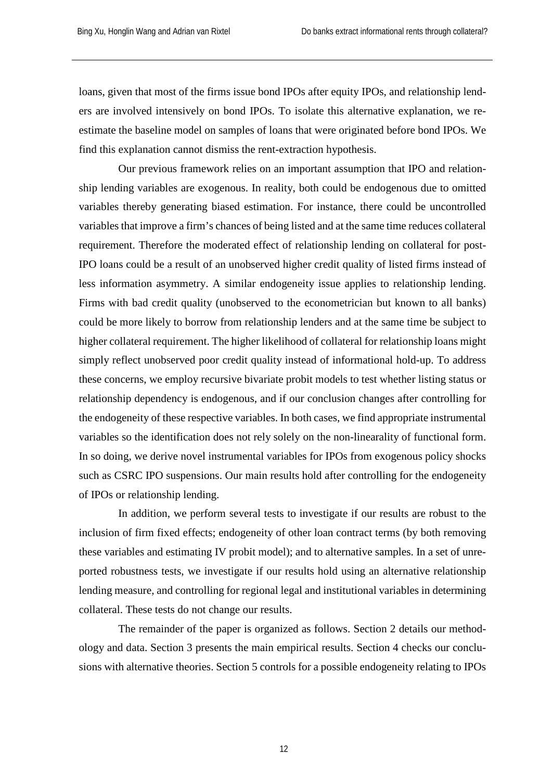loans, given that most of the firms issue bond IPOs after equity IPOs, and relationship lenders are involved intensively on bond IPOs. To isolate this alternative explanation, we reestimate the baseline model on samples of loans that were originated before bond IPOs. We find this explanation cannot dismiss the rent-extraction hypothesis.

Our previous framework relies on an important assumption that IPO and relationship lending variables are exogenous. In reality, both could be endogenous due to omitted variables thereby generating biased estimation. For instance, there could be uncontrolled variables that improve a firm's chances of being listed and at the same time reduces collateral requirement. Therefore the moderated effect of relationship lending on collateral for post-IPO loans could be a result of an unobserved higher credit quality of listed firms instead of less information asymmetry. A similar endogeneity issue applies to relationship lending. Firms with bad credit quality (unobserved to the econometrician but known to all banks) could be more likely to borrow from relationship lenders and at the same time be subject to higher collateral requirement. The higher likelihood of collateral for relationship loans might simply reflect unobserved poor credit quality instead of informational hold-up. To address these concerns, we employ recursive bivariate probit models to test whether listing status or relationship dependency is endogenous, and if our conclusion changes after controlling for the endogeneity of these respective variables. In both cases, we find appropriate instrumental variables so the identification does not rely solely on the non-linearality of functional form. In so doing, we derive novel instrumental variables for IPOs from exogenous policy shocks such as CSRC IPO suspensions. Our main results hold after controlling for the endogeneity of IPOs or relationship lending.

In addition, we perform several tests to investigate if our results are robust to the inclusion of firm fixed effects; endogeneity of other loan contract terms (by both removing these variables and estimating IV probit model); and to alternative samples. In a set of unreported robustness tests, we investigate if our results hold using an alternative relationship lending measure, and controlling for regional legal and institutional variables in determining collateral. These tests do not change our results.

The remainder of the paper is organized as follows. Section 2 details our methodology and data. Section 3 presents the main empirical results. Section 4 checks our conclusions with alternative theories. Section 5 controls for a possible endogeneity relating to IPOs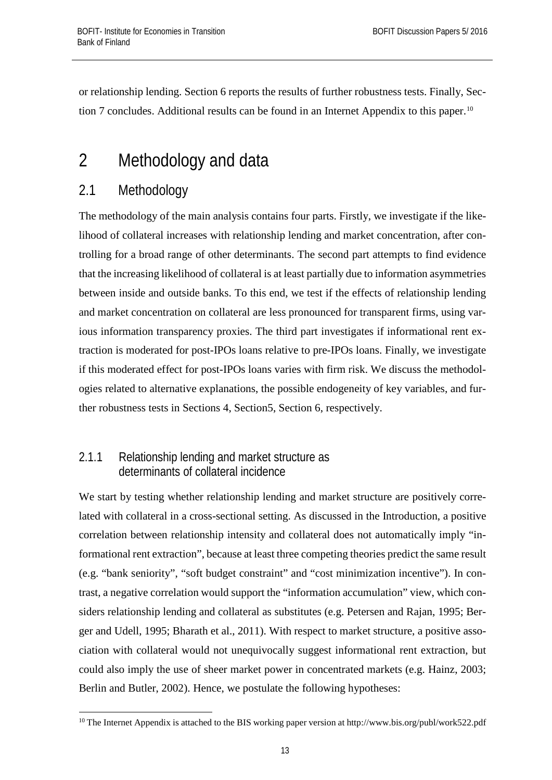or relationship lending. Section 6 reports the results of further robustness tests. Finally, Sec-tion 7 concludes. Additional results can be found in an Internet Appendix to this paper.<sup>[10](#page-12-3)</sup>

# <span id="page-12-0"></span>2 Methodology and data

### <span id="page-12-1"></span>2.1 Methodology

The methodology of the main analysis contains four parts. Firstly, we investigate if the likelihood of collateral increases with relationship lending and market concentration, after controlling for a broad range of other determinants. The second part attempts to find evidence that the increasing likelihood of collateral is at least partially due to information asymmetries between inside and outside banks. To this end, we test if the effects of relationship lending and market concentration on collateral are less pronounced for transparent firms, using various information transparency proxies. The third part investigates if informational rent extraction is moderated for post-IPOs loans relative to pre-IPOs loans. Finally, we investigate if this moderated effect for post-IPOs loans varies with firm risk. We discuss the methodologies related to alternative explanations, the possible endogeneity of key variables, and further robustness tests in Sections 4, Section5, Section 6, respectively.

### <span id="page-12-2"></span>2.1.1 Relationship lending and market structure as determinants of collateral incidence

We start by testing whether relationship lending and market structure are positively correlated with collateral in a cross-sectional setting. As discussed in the Introduction, a positive correlation between relationship intensity and collateral does not automatically imply "informational rent extraction", because at least three competing theories predict the same result (e.g. "bank seniority", "soft budget constraint" and "cost minimization incentive"). In contrast, a negative correlation would support the "information accumulation" view, which considers relationship lending and collateral as substitutes (e.g. Petersen and Rajan, 1995; Berger and Udell, 1995; Bharath et al., 2011). With respect to market structure, a positive association with collateral would not unequivocally suggest informational rent extraction, but could also imply the use of sheer market power in concentrated markets (e.g. Hainz, 2003; Berlin and Butler, 2002). Hence, we postulate the following hypotheses:

<span id="page-12-3"></span><sup>&</sup>lt;sup>10</sup> The Internet Appendix is attached to the BIS working paper version at http://www.bis.org/publ/work522.pdf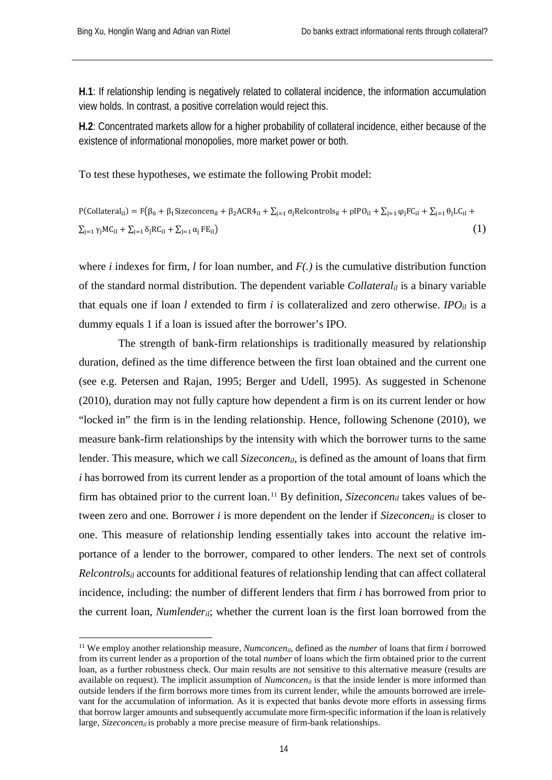**H.1**: If relationship lending is negatively related to collateral incidence, the information accumulation view holds. In contrast, a positive correlation would reject this.

**H.2**: Concentrated markets allow for a higher probability of collateral incidence, either because of the existence of informational monopolies, more market power or both.

To test these hypotheses, we estimate the following Probit model:

P(Collateral<sub>il</sub>) = F $(\beta_0 + \beta_1$ Sizeconcen<sub>il</sub> + β<sub>2</sub>ACR4<sub>il</sub> +  $\Sigma_{j=1}$  σ<sub>j</sub>Relcontrols<sub>il</sub> +  $\rho$ IPO<sub>il</sub> +  $\Sigma_{j=1}$   $\varphi_j$ FC<sub>il</sub> +  $\Sigma_{j=1}$  θ<sub>j</sub>LC<sub>il</sub> +  $\sum_{j=1}^{\infty} \gamma_j MC_{i1} + \sum_{j=1}^{\infty} \delta_j RC_{i1} + \sum_{j=1}^{\infty} \alpha_j FE_{i1}$  (1)

where *i* indexes for firm, *l* for loan number, and *F(.)* is the cumulative distribution function of the standard normal distribution. The dependent variable *Collateralil* is a binary variable that equals one if loan  $l$  extended to firm  $i$  is collateralized and zero otherwise. *IPO<sub>il</sub>* is a dummy equals 1 if a loan is issued after the borrower's IPO.

The strength of bank-firm relationships is traditionally measured by relationship duration, defined as the time difference between the first loan obtained and the current one (see e.g. Petersen and Rajan, 1995; Berger and Udell, 1995). As suggested in Schenone (2010), duration may not fully capture how dependent a firm is on its current lender or how "locked in" the firm is in the lending relationship. Hence, following Schenone (2010), we measure bank-firm relationships by the intensity with which the borrower turns to the same lender. This measure, which we call *Sizeconcen<sub>il</sub>*, is defined as the amount of loans that firm *i* has borrowed from its current lender as a proportion of the total amount of loans which the firm has obtained prior to the current loan.[11](#page-13-0) By definition, *Sizeconcenil* takes values of between zero and one. Borrower *i* is more dependent on the lender if *Sizeconcenil* is closer to one. This measure of relationship lending essentially takes into account the relative importance of a lender to the borrower, compared to other lenders. The next set of controls *Relcontrolsil* accounts for additional features of relationship lending that can affect collateral incidence, including: the number of different lenders that firm *i* has borrowed from prior to the current loan, *Numlenderil*; whether the current loan is the first loan borrowed from the

<span id="page-13-0"></span><sup>&</sup>lt;sup>11</sup> We employ another relationship measure, *Numconcen<sub>il</sub>*, defined as the *number* of loans that firm *i* borrowed from its current lender as a proportion of the total *number* of loans which the firm obtained prior to the current loan, as a further robustness check. Our main results are not sensitive to this alternative measure (results are available on request). The implicit assumption of *Numconcen<sub>il</sub>* is that the inside lender is more informed than outside lenders if the firm borrows more times from its current lender, while the amounts borrowed are irrelevant for the accumulation of information. As it is expected that banks devote more efforts in assessing firms that borrow larger amounts and subsequently accumulate more firm-specific information if the loan is relatively large, *Sizeconcen<sub>il</sub>* is probably a more precise measure of firm-bank relationships.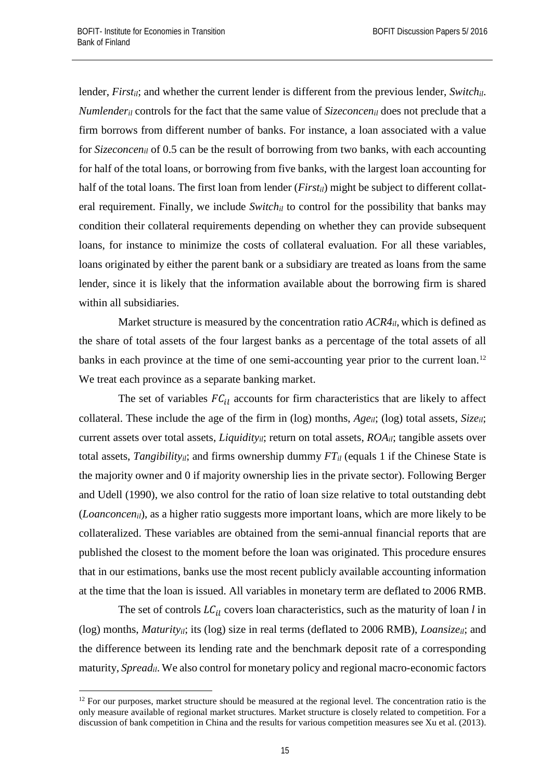lender, *First<sub>il</sub>*; and whether the current lender is different from the previous lender, *Switch<sub>il</sub>*. *Numlenderil* controls for the fact that the same value of *Sizeconcenil* does not preclude that a firm borrows from different number of banks. For instance, a loan associated with a value for *Sizeconcenil* of 0.5 can be the result of borrowing from two banks, with each accounting for half of the total loans, or borrowing from five banks, with the largest loan accounting for half of the total loans. The first loan from lender (*Firstil*) might be subject to different collateral requirement. Finally, we include *Switch<sub>il</sub>* to control for the possibility that banks may condition their collateral requirements depending on whether they can provide subsequent loans, for instance to minimize the costs of collateral evaluation. For all these variables, loans originated by either the parent bank or a subsidiary are treated as loans from the same lender, since it is likely that the information available about the borrowing firm is shared within all subsidiaries.

Market structure is measured by the concentration ratio  $ACR4_{il}$ , which is defined as the share of total assets of the four largest banks as a percentage of the total assets of all banks in each province at the time of one semi-accounting year prior to the current loan.<sup>[12](#page-14-0)</sup> We treat each province as a separate banking market.

The set of variables  $FC_{il}$  accounts for firm characteristics that are likely to affect collateral. These include the age of the firm in (log) months, *Ageil*; (log) total assets, *Sizeil*; current assets over total assets, *Liquidityil*; return on total assets, *ROAil*; tangible assets over total assets, *Tangibilityil*; and firms ownership dummy *FTil* (equals 1 if the Chinese State is the majority owner and 0 if majority ownership lies in the private sector). Following Berger and Udell (1990), we also control for the ratio of loan size relative to total outstanding debt (*Loanconcenil*), as a higher ratio suggests more important loans, which are more likely to be collateralized. These variables are obtained from the semi-annual financial reports that are published the closest to the moment before the loan was originated. This procedure ensures that in our estimations, banks use the most recent publicly available accounting information at the time that the loan is issued. All variables in monetary term are deflated to 2006 RMB.

The set of controls  $LC_{il}$  covers loan characteristics, such as the maturity of loan *l* in (log) months, *Maturityil*; its (log) size in real terms (deflated to 2006 RMB), *Loansizeil*; and the difference between its lending rate and the benchmark deposit rate of a corresponding maturity, *Spreadil*. We also control for monetary policy and regional macro-economic factors

<span id="page-14-0"></span> $12$  For our purposes, market structure should be measured at the regional level. The concentration ratio is the only measure available of regional market structures. Market structure is closely related to competition. For a discussion of bank competition in China and the results for various competition measures see Xu et al. (2013).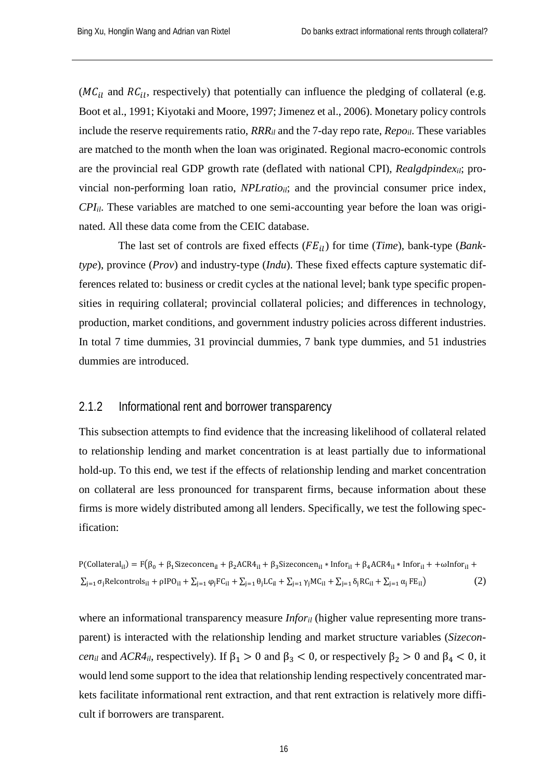( $MC_{il}$  and  $RC_{il}$ , respectively) that potentially can influence the pledging of collateral (e.g. Boot et al., 1991; Kiyotaki and Moore, 1997; Jimenez et al., 2006). Monetary policy controls include the reserve requirements ratio, *RRRil* and the 7-day repo rate, *Repoil*. These variables are matched to the month when the loan was originated. Regional macro-economic controls are the provincial real GDP growth rate (deflated with national CPI), *Realgdpindexil*; provincial non-performing loan ratio, *NPLratio<sub>il</sub>*; and the provincial consumer price index, *CPIil*. These variables are matched to one semi-accounting year before the loan was originated. All these data come from the CEIC database.

The last set of controls are fixed effects  $(FE_{il})$  for time (*Time*), bank-type (*Banktype*), province (*Prov*) and industry-type (*Indu*). These fixed effects capture systematic differences related to: business or credit cycles at the national level; bank type specific propensities in requiring collateral; provincial collateral policies; and differences in technology, production, market conditions, and government industry policies across different industries. In total 7 time dummies, 31 provincial dummies, 7 bank type dummies, and 51 industries dummies are introduced.

#### <span id="page-15-0"></span>2.1.2 Informational rent and borrower transparency

This subsection attempts to find evidence that the increasing likelihood of collateral related to relationship lending and market concentration is at least partially due to informational hold-up. To this end, we test if the effects of relationship lending and market concentration on collateral are less pronounced for transparent firms, because information about these firms is more widely distributed among all lenders. Specifically, we test the following specification:

$$
P(Collateralil) = F(\beta_0 + \beta_1 \text{Sizeconcen}_{il} + \beta_2 \text{ACR4}_{il} + \beta_3 \text{Sizeconcen}_{il} * \text{Infor}_{il} + \beta_4 \text{ACR4}_{il} * \text{Infor}_{il} + \omega \text{Infor}_{il} + \sum_{j=1} \sigma_j \text{Relcontrols}_{il} + \rho \text{IPO}_{il} + \sum_{j=1} \varphi_j \text{FC}_{il} + \sum_{j=1} \theta_j \text{LC}_{il} + \sum_{j=1} \gamma_j \text{MC}_{il} + \sum_{j=1} \delta_j \text{RC}_{il} + \sum_{j=1} \alpha_j \text{FE}_{il}
$$
\n(2)

where an informational transparency measure *Infor<sub>il</sub>* (higher value representing more transparent) is interacted with the relationship lending and market structure variables (*Sizeconcen<sub>il</sub>* and *ACR4<sub>il</sub>*, respectively). If  $\beta_1 > 0$  and  $\beta_3 < 0$ , or respectively  $\beta_2 > 0$  and  $\beta_4 < 0$ , it would lend some support to the idea that relationship lending respectively concentrated markets facilitate informational rent extraction, and that rent extraction is relatively more difficult if borrowers are transparent.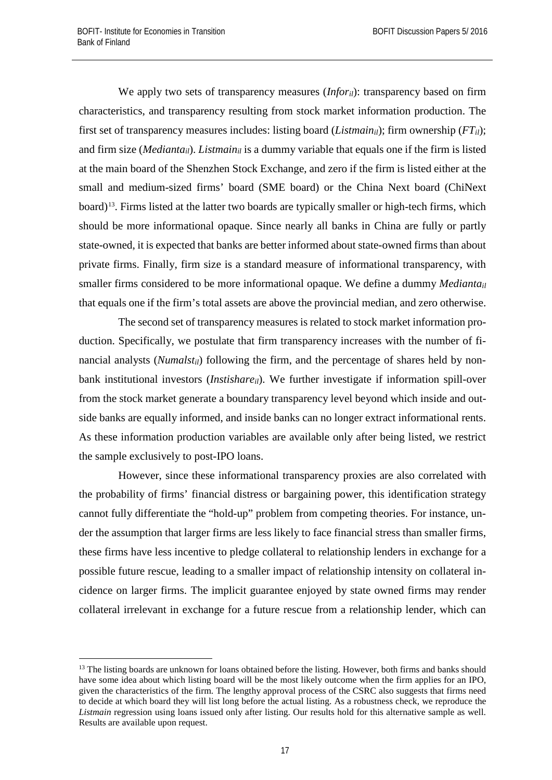We apply two sets of transparency measures (*Infor<sub>il</sub>*): transparency based on firm characteristics, and transparency resulting from stock market information production. The first set of transparency measures includes: listing board (*Listmainil*); firm ownership (*FTil*); and firm size (*Medianta<sub>il</sub>*). *Listmain<sub>il</sub>* is a dummy variable that equals one if the firm is listed at the main board of the Shenzhen Stock Exchange, and zero if the firm is listed either at the small and medium-sized firms' board (SME board) or the China Next board (ChiNext board)<sup>13</sup>. Firms listed at the latter two boards are typically smaller or high-tech firms, which should be more informational opaque. Since nearly all banks in China are fully or partly state-owned, it is expected that banks are better informed about state-owned firms than about private firms. Finally, firm size is a standard measure of informational transparency, with smaller firms considered to be more informational opaque. We define a dummy *Mediantail* that equals one if the firm's total assets are above the provincial median, and zero otherwise.

The second set of transparency measures is related to stock market information production. Specifically, we postulate that firm transparency increases with the number of financial analysts (*Numalstil*) following the firm, and the percentage of shares held by nonbank institutional investors (*Instishareil*). We further investigate if information spill-over from the stock market generate a boundary transparency level beyond which inside and outside banks are equally informed, and inside banks can no longer extract informational rents. As these information production variables are available only after being listed, we restrict the sample exclusively to post-IPO loans.

However, since these informational transparency proxies are also correlated with the probability of firms' financial distress or bargaining power, this identification strategy cannot fully differentiate the "hold-up" problem from competing theories. For instance, under the assumption that larger firms are less likely to face financial stress than smaller firms, these firms have less incentive to pledge collateral to relationship lenders in exchange for a possible future rescue, leading to a smaller impact of relationship intensity on collateral incidence on larger firms. The implicit guarantee enjoyed by state owned firms may render collateral irrelevant in exchange for a future rescue from a relationship lender, which can

<span id="page-16-0"></span><sup>&</sup>lt;sup>13</sup> The listing boards are unknown for loans obtained before the listing. However, both firms and banks should have some idea about which listing board will be the most likely outcome when the firm applies for an IPO, given the characteristics of the firm. The lengthy approval process of the CSRC also suggests that firms need to decide at which board they will list long before the actual listing. As a robustness check, we reproduce the *Listmain* regression using loans issued only after listing. Our results hold for this alternative sample as well. Results are available upon request.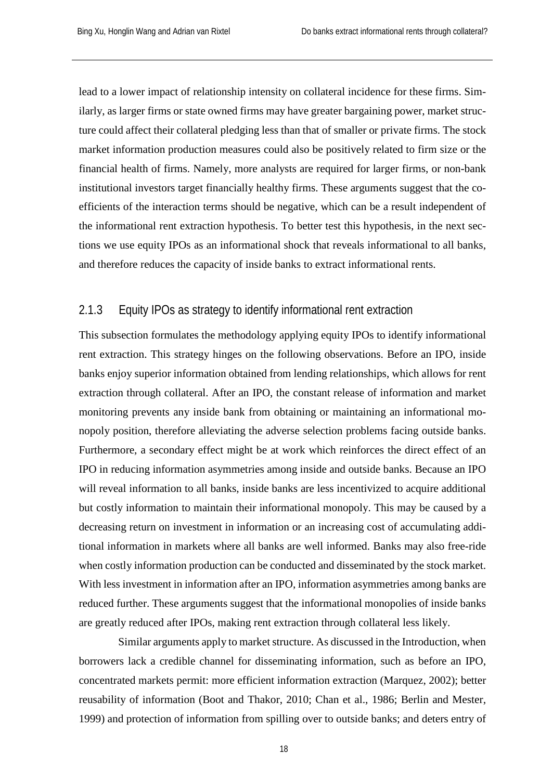lead to a lower impact of relationship intensity on collateral incidence for these firms. Similarly, as larger firms or state owned firms may have greater bargaining power, market structure could affect their collateral pledging less than that of smaller or private firms. The stock market information production measures could also be positively related to firm size or the financial health of firms. Namely, more analysts are required for larger firms, or non-bank institutional investors target financially healthy firms. These arguments suggest that the coefficients of the interaction terms should be negative, which can be a result independent of the informational rent extraction hypothesis. To better test this hypothesis, in the next sections we use equity IPOs as an informational shock that reveals informational to all banks, and therefore reduces the capacity of inside banks to extract informational rents.

#### <span id="page-17-0"></span>2.1.3 Equity IPOs as strategy to identify informational rent extraction

This subsection formulates the methodology applying equity IPOs to identify informational rent extraction. This strategy hinges on the following observations. Before an IPO, inside banks enjoy superior information obtained from lending relationships, which allows for rent extraction through collateral. After an IPO, the constant release of information and market monitoring prevents any inside bank from obtaining or maintaining an informational monopoly position, therefore alleviating the adverse selection problems facing outside banks. Furthermore, a secondary effect might be at work which reinforces the direct effect of an IPO in reducing information asymmetries among inside and outside banks. Because an IPO will reveal information to all banks, inside banks are less incentivized to acquire additional but costly information to maintain their informational monopoly. This may be caused by a decreasing return on investment in information or an increasing cost of accumulating additional information in markets where all banks are well informed. Banks may also free-ride when costly information production can be conducted and disseminated by the stock market. With less investment in information after an IPO, information asymmetries among banks are reduced further. These arguments suggest that the informational monopolies of inside banks are greatly reduced after IPOs, making rent extraction through collateral less likely.

Similar arguments apply to market structure. As discussed in the Introduction, when borrowers lack a credible channel for disseminating information, such as before an IPO, concentrated markets permit: more efficient information extraction (Marquez, 2002); better reusability of information (Boot and Thakor, 2010; Chan et al., 1986; Berlin and Mester, 1999) and protection of information from spilling over to outside banks; and deters entry of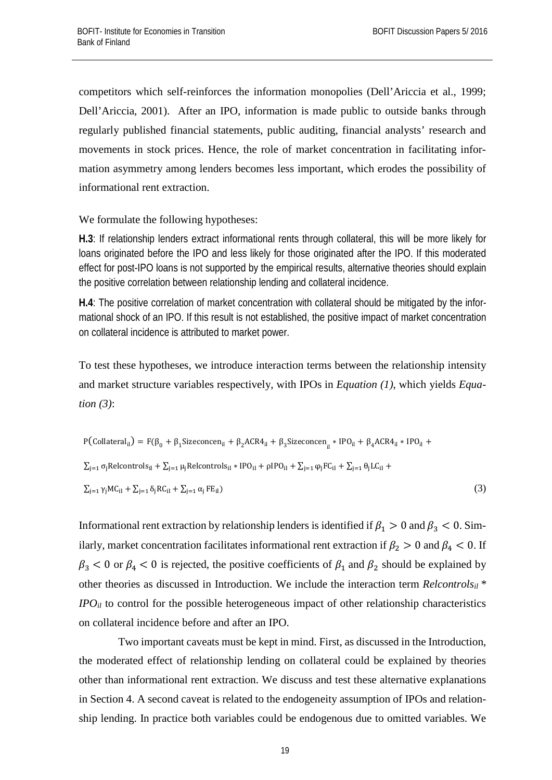competitors which self-reinforces the information monopolies (Dell'Ariccia et al., 1999; Dell'Ariccia, 2001). After an IPO, information is made public to outside banks through regularly published financial statements, public auditing, financial analysts' research and movements in stock prices. Hence, the role of market concentration in facilitating information asymmetry among lenders becomes less important, which erodes the possibility of informational rent extraction.

We formulate the following hypotheses:

**H.3**: If relationship lenders extract informational rents through collateral, this will be more likely for loans originated before the IPO and less likely for those originated after the IPO. If this moderated effect for post-IPO loans is not supported by the empirical results, alternative theories should explain the positive correlation between relationship lending and collateral incidence.

**H.4**: The positive correlation of market concentration with collateral should be mitigated by the informational shock of an IPO. If this result is not established, the positive impact of market concentration on collateral incidence is attributed to market power.

To test these hypotheses, we introduce interaction terms between the relationship intensity and market structure variables respectively, with IPOs in *Equation (1)*, which yields *Equation (3)*:

$$
P\big(\text{Collateral}_{il}\big) = F(\beta_0 + \beta_1 \text{Sizeconcen}_{il} + \beta_2 \text{ACR4}_{il} + \beta_3 \text{Sizeconcen}_{il} * \text{IPO}_{il} + \beta_4 \text{ACR4}_{il} * \text{IPO}_{il} +
$$

$$
\textstyle \sum_{j=1} \sigma_j \text{Relcontrols}_{i l} + \sum_{j=1} \mu_j \text{Relcontrols}_{i l} * \text{IPO}_{i l} + \rho \text{IPO}_{i l} + \sum_{j=1} \phi_j \text{FC}_{i l} + \sum_{j=1} \theta_j \text{LC}_{i l} +
$$

$$
\sum_{j=1}^{\infty} \gamma_j MC_{il} + \sum_{j=1}^{\infty} \delta_j RC_{il} + \sum_{j=1}^{\infty} \alpha_j FE_{il})
$$
\n(3)

Informational rent extraction by relationship lenders is identified if  $\beta_1 > 0$  and  $\beta_3 < 0$ . Similarly, market concentration facilitates informational rent extraction if  $\beta_2 > 0$  and  $\beta_4 < 0$ . If  $\beta_3$  < 0 or  $\beta_4$  < 0 is rejected, the positive coefficients of  $\beta_1$  and  $\beta_2$  should be explained by other theories as discussed in Introduction. We include the interaction term *Relcontrolsil \* IPO<sub>il</sub>* to control for the possible heterogeneous impact of other relationship characteristics on collateral incidence before and after an IPO.

Two important caveats must be kept in mind. First, as discussed in the Introduction, the moderated effect of relationship lending on collateral could be explained by theories other than informational rent extraction. We discuss and test these alternative explanations in Section 4. A second caveat is related to the endogeneity assumption of IPOs and relationship lending. In practice both variables could be endogenous due to omitted variables. We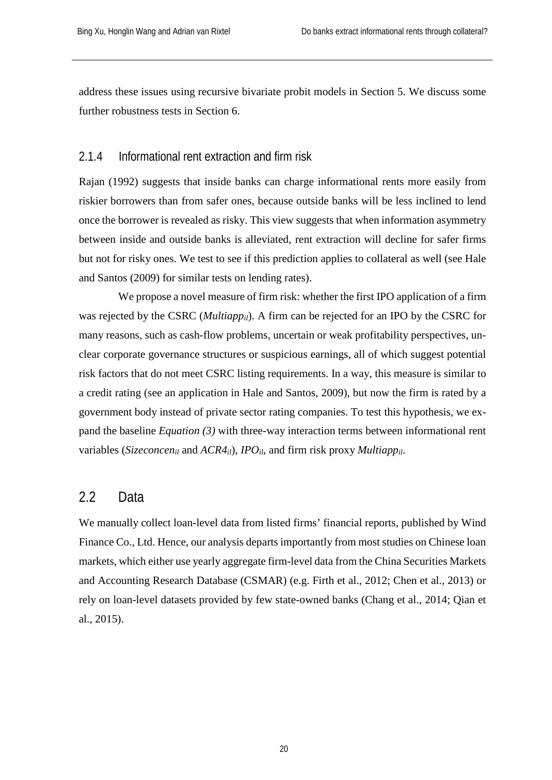address these issues using recursive bivariate probit models in Section 5. We discuss some further robustness tests in Section 6.

#### <span id="page-19-0"></span>2.1.4 Informational rent extraction and firm risk

Rajan (1992) suggests that inside banks can charge informational rents more easily from riskier borrowers than from safer ones, because outside banks will be less inclined to lend once the borrower is revealed as risky. This view suggests that when information asymmetry between inside and outside banks is alleviated, rent extraction will decline for safer firms but not for risky ones. We test to see if this prediction applies to collateral as well (see Hale and Santos (2009) for similar tests on lending rates).

We propose a novel measure of firm risk: whether the first IPO application of a firm was rejected by the CSRC (*Multiappil*). A firm can be rejected for an IPO by the CSRC for many reasons, such as cash-flow problems, uncertain or weak profitability perspectives, unclear corporate governance structures or suspicious earnings, all of which suggest potential risk factors that do not meet CSRC listing requirements. In a way, this measure is similar to a credit rating (see an application in Hale and Santos, 2009), but now the firm is rated by a government body instead of private sector rating companies. To test this hypothesis, we expand the baseline *Equation (3)* with three-way interaction terms between informational rent variables (*Sizeconcenil* and *ACR4il*), *IPOil*, and firm risk proxy *Multiappil*.

#### <span id="page-19-1"></span>2.2 Data

We manually collect loan-level data from listed firms' financial reports, published by Wind Finance Co., Ltd. Hence, our analysis departs importantly from most studies on Chinese loan markets, which either use yearly aggregate firm-level data from the China Securities Markets and Accounting Research Database (CSMAR) (e.g. Firth et al., 2012; Chen et al., 2013) or rely on loan-level datasets provided by few state-owned banks (Chang et al., 2014; Qian et al., 2015).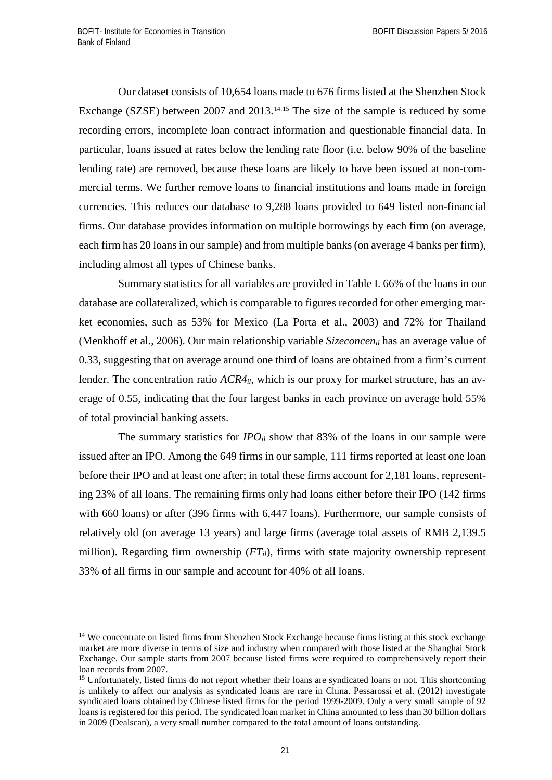Our dataset consists of 10,654 loans made to 676 firms listed at the Shenzhen Stock Exchange (SZSE) between 2007 and 2013.<sup>[14,](#page-20-0)[15](#page-20-1)</sup> The size of the sample is reduced by some recording errors, incomplete loan contract information and questionable financial data. In particular, loans issued at rates below the lending rate floor (i.e. below 90% of the baseline lending rate) are removed, because these loans are likely to have been issued at non-commercial terms. We further remove loans to financial institutions and loans made in foreign currencies. This reduces our database to 9,288 loans provided to 649 listed non-financial firms. Our database provides information on multiple borrowings by each firm (on average, each firm has 20 loans in our sample) and from multiple banks (on average 4 banks per firm), including almost all types of Chinese banks.

Summary statistics for all variables are provided in Table I. 66% of the loans in our database are collateralized, which is comparable to figures recorded for other emerging market economies, such as 53% for Mexico (La Porta et al., 2003) and 72% for Thailand (Menkhoff et al., 2006). Our main relationship variable *Sizeconcen<sub>il</sub>* has an average value of 0.33, suggesting that on average around one third of loans are obtained from a firm's current lender. The concentration ratio *ACR4il*, which is our proxy for market structure, has an average of 0.55, indicating that the four largest banks in each province on average hold 55% of total provincial banking assets.

The summary statistics for  $IPO_{il}$  show that 83% of the loans in our sample were issued after an IPO. Among the 649 firms in our sample, 111 firms reported at least one loan before their IPO and at least one after; in total these firms account for 2,181 loans, representing 23% of all loans. The remaining firms only had loans either before their IPO (142 firms with 660 loans) or after (396 firms with 6,447 loans). Furthermore, our sample consists of relatively old (on average 13 years) and large firms (average total assets of RMB 2,139.5 million). Regarding firm ownership (*FTil*), firms with state majority ownership represent 33% of all firms in our sample and account for 40% of all loans.

<span id="page-20-0"></span><sup>&</sup>lt;sup>14</sup> We concentrate on listed firms from Shenzhen Stock Exchange because firms listing at this stock exchange market are more diverse in terms of size and industry when compared with those listed at the Shanghai Stock Exchange. Our sample starts from 2007 because listed firms were required to comprehensively report their loan records from 2007.

<span id="page-20-1"></span><sup>&</sup>lt;sup>15</sup> Unfortunately, listed firms do not report whether their loans are syndicated loans or not. This shortcoming is unlikely to affect our analysis as syndicated loans are rare in China. Pessarossi et al. (2012) investigate syndicated loans obtained by Chinese listed firms for the period 1999-2009. Only a very small sample of 92 loans is registered for this period. The syndicated loan market in China amounted to less than 30 billion dollars in 2009 (Dealscan), a very small number compared to the total amount of loans outstanding.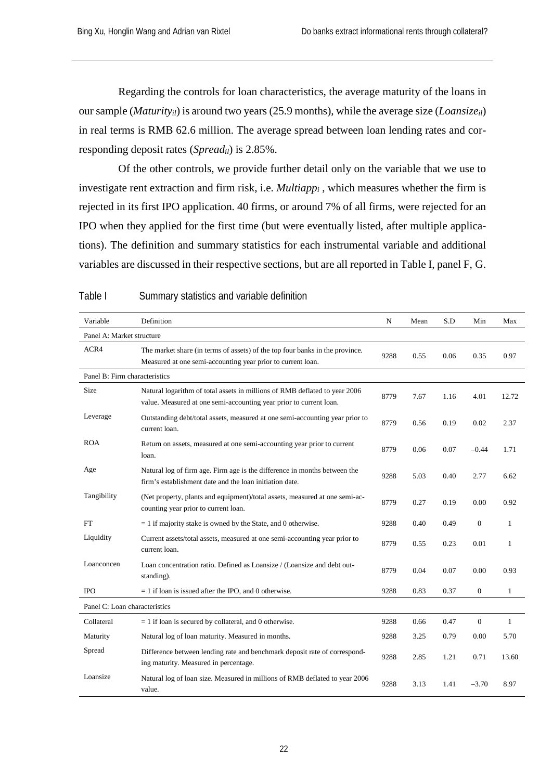Regarding the controls for loan characteristics, the average maturity of the loans in our sample (*Maturityil*) is around two years (25.9 months), while the average size (*Loansizeil*) in real terms is RMB 62.6 million. The average spread between loan lending rates and corresponding deposit rates (*Spreadil*) is 2.85%.

Of the other controls, we provide further detail only on the variable that we use to investigate rent extraction and firm risk, i.e. *Multiappi* , which measures whether the firm is rejected in its first IPO application. 40 firms, or around 7% of all firms, were rejected for an IPO when they applied for the first time (but were eventually listed, after multiple applications). The definition and summary statistics for each instrumental variable and additional variables are discussed in their respective sections, but are all reported in Table I, panel F, G.

| Variable                      | Definition                                                                                                                                       | N    | Mean | S.D  | Min          | Max          |
|-------------------------------|--------------------------------------------------------------------------------------------------------------------------------------------------|------|------|------|--------------|--------------|
| Panel A: Market structure     |                                                                                                                                                  |      |      |      |              |              |
| ACR4                          | The market share (in terms of assets) of the top four banks in the province.<br>Measured at one semi-accounting year prior to current loan.      | 9288 | 0.55 | 0.06 | 0.35         | 0.97         |
| Panel B: Firm characteristics |                                                                                                                                                  |      |      |      |              |              |
| Size                          | Natural logarithm of total assets in millions of RMB deflated to year 2006<br>value. Measured at one semi-accounting year prior to current loan. | 8779 | 7.67 | 1.16 | 4.01         | 12.72        |
| Leverage                      | Outstanding debt/total assets, measured at one semi-accounting year prior to<br>current loan.                                                    | 8779 | 0.56 | 0.19 | 0.02         | 2.37         |
| <b>ROA</b>                    | Return on assets, measured at one semi-accounting year prior to current<br>loan.                                                                 | 8779 | 0.06 | 0.07 | $-0.44$      | 1.71         |
| Age                           | Natural log of firm age. Firm age is the difference in months between the<br>firm's establishment date and the loan initiation date.             | 9288 | 5.03 | 0.40 | 2.77         | 6.62         |
| Tangibility                   | (Net property, plants and equipment)/total assets, measured at one semi-ac-<br>counting year prior to current loan.                              | 8779 | 0.27 | 0.19 | 0.00         | 0.92         |
| <b>FT</b>                     | $= 1$ if majority stake is owned by the State, and 0 otherwise.                                                                                  | 9288 | 0.40 | 0.49 | $\mathbf{0}$ | $\mathbf{1}$ |
| Liquidity                     | Current assets/total assets, measured at one semi-accounting year prior to<br>current loan.                                                      | 8779 | 0.55 | 0.23 | 0.01         | $\mathbf{1}$ |
| Loanconcen                    | Loan concentration ratio. Defined as Loansize / (Loansize and debt out-<br>standing).                                                            | 8779 | 0.04 | 0.07 | 0.00         | 0.93         |
| <b>IPO</b>                    | $= 1$ if loan is issued after the IPO, and 0 otherwise.                                                                                          | 9288 | 0.83 | 0.37 | $\mathbf{0}$ | 1            |
| Panel C: Loan characteristics |                                                                                                                                                  |      |      |      |              |              |
| Collateral                    | $= 1$ if loan is secured by collateral, and 0 otherwise.                                                                                         | 9288 | 0.66 | 0.47 | $\mathbf{0}$ | $\mathbf{1}$ |
| Maturity                      | Natural log of loan maturity. Measured in months.                                                                                                | 9288 | 3.25 | 0.79 | 0.00         | 5.70         |
| Spread                        | Difference between lending rate and benchmark deposit rate of correspond-<br>ing maturity. Measured in percentage.                               | 9288 | 2.85 | 1.21 | 0.71         | 13.60        |
| Loansize                      | Natural log of loan size. Measured in millions of RMB deflated to year 2006<br>value.                                                            | 9288 | 3.13 | 1.41 | $-3.70$      | 8.97         |

Table I Summary statistics and variable definition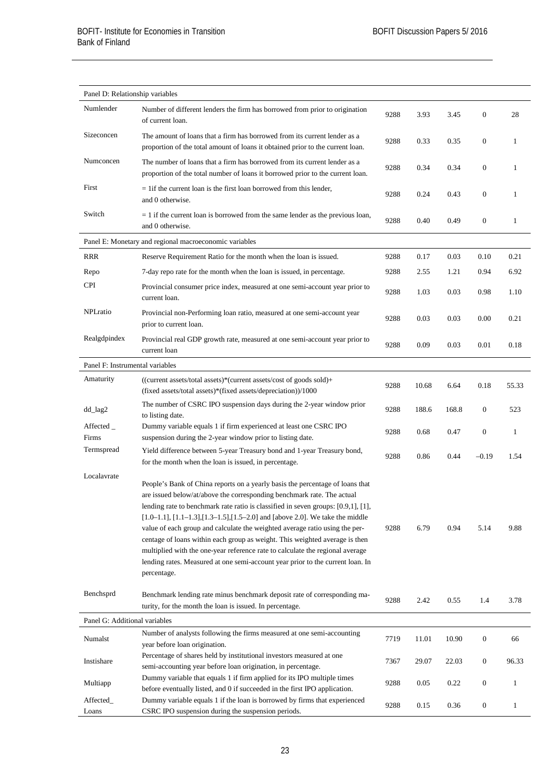| Panel D: Relationship variables |                                                                                                                                                                                                                                                                                                                                                                                                                                                                                                                                                                                                                                                                                           |      |       |       |                  |              |
|---------------------------------|-------------------------------------------------------------------------------------------------------------------------------------------------------------------------------------------------------------------------------------------------------------------------------------------------------------------------------------------------------------------------------------------------------------------------------------------------------------------------------------------------------------------------------------------------------------------------------------------------------------------------------------------------------------------------------------------|------|-------|-------|------------------|--------------|
| Numlender                       | Number of different lenders the firm has borrowed from prior to origination<br>of current loan.                                                                                                                                                                                                                                                                                                                                                                                                                                                                                                                                                                                           | 9288 | 3.93  | 3.45  | $\boldsymbol{0}$ | 28           |
| Sizeconcen                      | The amount of loans that a firm has borrowed from its current lender as a<br>proportion of the total amount of loans it obtained prior to the current loan.                                                                                                                                                                                                                                                                                                                                                                                                                                                                                                                               | 9288 | 0.33  | 0.35  | $\boldsymbol{0}$ | 1            |
| Numconcen                       | The number of loans that a firm has borrowed from its current lender as a<br>proportion of the total number of loans it borrowed prior to the current loan.                                                                                                                                                                                                                                                                                                                                                                                                                                                                                                                               | 9288 | 0.34  | 0.34  | $\boldsymbol{0}$ | $\mathbf{1}$ |
| First                           | $=$ 1if the current loan is the first loan borrowed from this lender,<br>and 0 otherwise.                                                                                                                                                                                                                                                                                                                                                                                                                                                                                                                                                                                                 | 9288 | 0.24  | 0.43  | $\boldsymbol{0}$ | $\mathbf{1}$ |
| Switch                          | $= 1$ if the current loan is borrowed from the same lender as the previous loan,<br>and 0 otherwise.                                                                                                                                                                                                                                                                                                                                                                                                                                                                                                                                                                                      | 9288 | 0.40  | 0.49  | $\boldsymbol{0}$ | $\mathbf{1}$ |
|                                 | Panel E: Monetary and regional macroeconomic variables                                                                                                                                                                                                                                                                                                                                                                                                                                                                                                                                                                                                                                    |      |       |       |                  |              |
| <b>RRR</b>                      | Reserve Requirement Ratio for the month when the loan is issued.                                                                                                                                                                                                                                                                                                                                                                                                                                                                                                                                                                                                                          | 9288 | 0.17  | 0.03  | 0.10             | 0.21         |
| Repo                            | 7-day repo rate for the month when the loan is issued, in percentage.                                                                                                                                                                                                                                                                                                                                                                                                                                                                                                                                                                                                                     | 9288 | 2.55  | 1.21  | 0.94             | 6.92         |
| CPI                             | Provincial consumer price index, measured at one semi-account year prior to<br>current loan.                                                                                                                                                                                                                                                                                                                                                                                                                                                                                                                                                                                              | 9288 | 1.03  | 0.03  | 0.98             | 1.10         |
| NPLratio                        | Provincial non-Performing loan ratio, measured at one semi-account year<br>prior to current loan.                                                                                                                                                                                                                                                                                                                                                                                                                                                                                                                                                                                         | 9288 | 0.03  | 0.03  | 0.00             | 0.21         |
| Realgdpindex                    | Provincial real GDP growth rate, measured at one semi-account year prior to<br>current loan                                                                                                                                                                                                                                                                                                                                                                                                                                                                                                                                                                                               | 9288 | 0.09  | 0.03  | 0.01             | 0.18         |
| Panel F: Instrumental variables |                                                                                                                                                                                                                                                                                                                                                                                                                                                                                                                                                                                                                                                                                           |      |       |       |                  |              |
| Amaturity                       | ((current assets/total assets)*(current assets/cost of goods sold)+<br>(fixed assets/total assets)*(fixed assets/depreciation))/1000                                                                                                                                                                                                                                                                                                                                                                                                                                                                                                                                                      | 9288 | 10.68 | 6.64  | 0.18             | 55.33        |
| dd_lag2                         | The number of CSRC IPO suspension days during the 2-year window prior<br>to listing date.                                                                                                                                                                                                                                                                                                                                                                                                                                                                                                                                                                                                 | 9288 | 188.6 | 168.8 | $\boldsymbol{0}$ | 523          |
| Affected $\_$<br>Firms          | Dummy variable equals 1 if firm experienced at least one CSRC IPO<br>suspension during the 2-year window prior to listing date.                                                                                                                                                                                                                                                                                                                                                                                                                                                                                                                                                           | 9288 | 0.68  | 0.47  | $\boldsymbol{0}$ | $\mathbf{1}$ |
| Termspread                      | Yield difference between 5-year Treasury bond and 1-year Treasury bond,<br>for the month when the loan is issued, in percentage.                                                                                                                                                                                                                                                                                                                                                                                                                                                                                                                                                          | 9288 | 0.86  | 0.44  | $-0.19$          | 1.54         |
| Localavrate                     | People's Bank of China reports on a yearly basis the percentage of loans that<br>are issued below/at/above the corresponding benchmark rate. The actual<br>lending rate to benchmark rate ratio is classified in seven groups: [0.9,1], [1],<br>$[1.0-1.1]$ , $[1.1-1.3]$ , $[1.3-1.5]$ , $[1.5-2.0]$ and [above 2.0]. We take the middle<br>value of each group and calculate the weighted average ratio using the per-<br>centage of loans within each group as weight. This weighted average is then<br>multiplied with the one-year reference rate to calculate the regional average<br>lending rates. Measured at one semi-account year prior to the current loan. In<br>percentage. | 9288 | 6.79  | 0.94  | 5.14             | 9.88         |
| Benchsprd                       | Benchmark lending rate minus benchmark deposit rate of corresponding ma-<br>turity, for the month the loan is issued. In percentage.                                                                                                                                                                                                                                                                                                                                                                                                                                                                                                                                                      | 9288 | 2.42  | 0.55  | 1.4              | 3.78         |
| Panel G: Additional variables   |                                                                                                                                                                                                                                                                                                                                                                                                                                                                                                                                                                                                                                                                                           |      |       |       |                  |              |
| Numalst                         | Number of analysts following the firms measured at one semi-accounting<br>year before loan origination.                                                                                                                                                                                                                                                                                                                                                                                                                                                                                                                                                                                   | 7719 | 11.01 | 10.90 | $\boldsymbol{0}$ | 66           |
| Instishare                      | Percentage of shares held by institutional investors measured at one<br>semi-accounting year before loan origination, in percentage.                                                                                                                                                                                                                                                                                                                                                                                                                                                                                                                                                      | 7367 | 29.07 | 22.03 | $\boldsymbol{0}$ | 96.33        |
| Multiapp                        | Dummy variable that equals 1 if firm applied for its IPO multiple times<br>before eventually listed, and 0 if succeeded in the first IPO application.                                                                                                                                                                                                                                                                                                                                                                                                                                                                                                                                     | 9288 | 0.05  | 0.22  | $\boldsymbol{0}$ | $\mathbf{1}$ |
| Affected_<br>Loans              | Dummy variable equals 1 if the loan is borrowed by firms that experienced<br>CSRC IPO suspension during the suspension periods.                                                                                                                                                                                                                                                                                                                                                                                                                                                                                                                                                           | 9288 | 0.15  | 0.36  | $\boldsymbol{0}$ | $\mathbf{1}$ |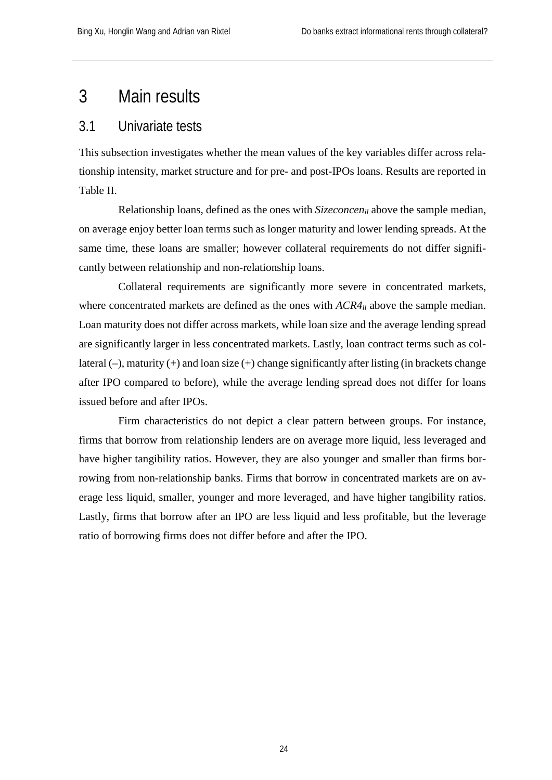# <span id="page-23-0"></span>3 Main results

### <span id="page-23-1"></span>3.1 Univariate tests

This subsection investigates whether the mean values of the key variables differ across relationship intensity, market structure and for pre- and post-IPOs loans. Results are reported in Table II.

Relationship loans, defined as the ones with *Sizeconcenil* above the sample median, on average enjoy better loan terms such as longer maturity and lower lending spreads. At the same time, these loans are smaller; however collateral requirements do not differ significantly between relationship and non-relationship loans.

Collateral requirements are significantly more severe in concentrated markets, where concentrated markets are defined as the ones with  $ACR4_{il}$  above the sample median. Loan maturity does not differ across markets, while loan size and the average lending spread are significantly larger in less concentrated markets. Lastly, loan contract terms such as collateral (–), maturity (+) and loan size (+) change significantly after listing (in brackets change after IPO compared to before), while the average lending spread does not differ for loans issued before and after IPOs.

Firm characteristics do not depict a clear pattern between groups. For instance, firms that borrow from relationship lenders are on average more liquid, less leveraged and have higher tangibility ratios. However, they are also younger and smaller than firms borrowing from non-relationship banks. Firms that borrow in concentrated markets are on average less liquid, smaller, younger and more leveraged, and have higher tangibility ratios. Lastly, firms that borrow after an IPO are less liquid and less profitable, but the leverage ratio of borrowing firms does not differ before and after the IPO.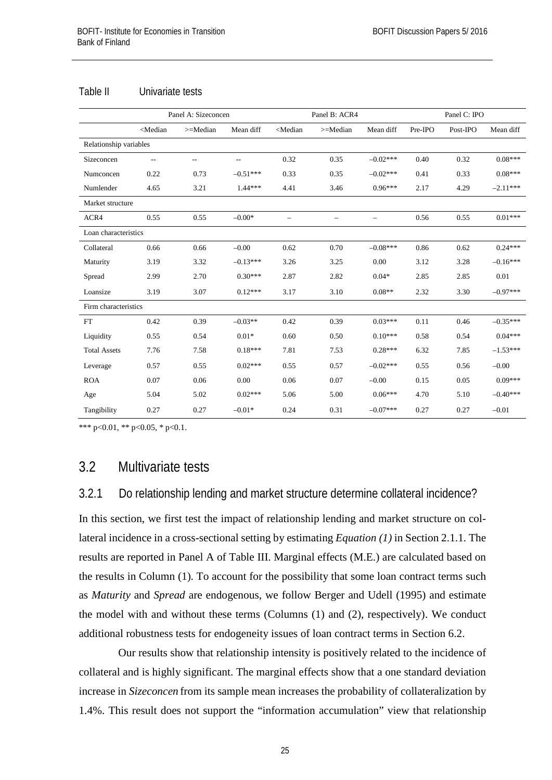| Table II | Univariate tests |  |
|----------|------------------|--|
|          |                  |  |

|                        |                                                                                                                                                                                                                                | Panel A: Sizeconcen |            |                                                                                                                    | Panel B: ACR4            |            |         | Panel C: IPO |            |
|------------------------|--------------------------------------------------------------------------------------------------------------------------------------------------------------------------------------------------------------------------------|---------------------|------------|--------------------------------------------------------------------------------------------------------------------|--------------------------|------------|---------|--------------|------------|
|                        | <median< th=""><th><math display="inline">&gt;\equiv</math> Median</th><th>Mean diff</th><th><median< th=""><th>&gt;=Median</th><th>Mean diff</th><th>Pre-IPO</th><th>Post-IPO</th><th>Mean diff</th></median<></th></median<> | $>\equiv$ Median    | Mean diff  | <median< th=""><th>&gt;=Median</th><th>Mean diff</th><th>Pre-IPO</th><th>Post-IPO</th><th>Mean diff</th></median<> | >=Median                 | Mean diff  | Pre-IPO | Post-IPO     | Mean diff  |
| Relationship variables |                                                                                                                                                                                                                                |                     |            |                                                                                                                    |                          |            |         |              |            |
| Sizeconcen             | $\overline{\phantom{m}}$                                                                                                                                                                                                       | $- -$               | --         | 0.32                                                                                                               | 0.35                     | $-0.02***$ | 0.40    | 0.32         | $0.08***$  |
| Numconcen              | 0.22                                                                                                                                                                                                                           | 0.73                | $-0.51***$ | 0.33                                                                                                               | 0.35                     | $-0.02***$ | 0.41    | 0.33         | $0.08***$  |
| Numlender              | 4.65                                                                                                                                                                                                                           | 3.21                | $1.44***$  | 4.41                                                                                                               | 3.46                     | $0.96***$  | 2.17    | 4.29         | $-2.11***$ |
| Market structure       |                                                                                                                                                                                                                                |                     |            |                                                                                                                    |                          |            |         |              |            |
| ACR4                   | 0.55                                                                                                                                                                                                                           | 0.55                | $-0.00*$   | $\overline{\phantom{0}}$                                                                                           | $\overline{\phantom{0}}$ |            | 0.56    | 0.55         | $0.01***$  |
| Loan characteristics   |                                                                                                                                                                                                                                |                     |            |                                                                                                                    |                          |            |         |              |            |
| Collateral             | 0.66                                                                                                                                                                                                                           | 0.66                | $-0.00$    | 0.62                                                                                                               | 0.70                     | $-0.08***$ | 0.86    | 0.62         | $0.24***$  |
| Maturity               | 3.19                                                                                                                                                                                                                           | 3.32                | $-0.13***$ | 3.26                                                                                                               | 3.25                     | 0.00       | 3.12    | 3.28         | $-0.16***$ |
| Spread                 | 2.99                                                                                                                                                                                                                           | 2.70                | $0.30***$  | 2.87                                                                                                               | 2.82                     | $0.04*$    | 2.85    | 2.85         | 0.01       |
| Loansize               | 3.19                                                                                                                                                                                                                           | 3.07                | $0.12***$  | 3.17                                                                                                               | 3.10                     | $0.08**$   | 2.32    | 3.30         | $-0.97***$ |
| Firm characteristics   |                                                                                                                                                                                                                                |                     |            |                                                                                                                    |                          |            |         |              |            |
| FT                     | 0.42                                                                                                                                                                                                                           | 0.39                | $-0.03**$  | 0.42                                                                                                               | 0.39                     | $0.03***$  | 0.11    | 0.46         | $-0.35***$ |
| Liquidity              | 0.55                                                                                                                                                                                                                           | 0.54                | $0.01*$    | 0.60                                                                                                               | 0.50                     | $0.10***$  | 0.58    | 0.54         | $0.04***$  |
| <b>Total Assets</b>    | 7.76                                                                                                                                                                                                                           | 7.58                | $0.18***$  | 7.81                                                                                                               | 7.53                     | $0.28***$  | 6.32    | 7.85         | $-1.53***$ |
| Leverage               | 0.57                                                                                                                                                                                                                           | 0.55                | $0.02***$  | 0.55                                                                                                               | 0.57                     | $-0.02***$ | 0.55    | 0.56         | $-0.00$    |
| <b>ROA</b>             | 0.07                                                                                                                                                                                                                           | 0.06                | 0.00       | 0.06                                                                                                               | 0.07                     | $-0.00$    | 0.15    | 0.05         | $0.09***$  |
| Age                    | 5.04                                                                                                                                                                                                                           | 5.02                | $0.02***$  | 5.06                                                                                                               | 5.00                     | $0.06***$  | 4.70    | 5.10         | $-0.40***$ |
| Tangibility            | 0.27                                                                                                                                                                                                                           | 0.27                | $-0.01*$   | 0.24                                                                                                               | 0.31                     | $-0.07***$ | 0.27    | 0.27         | $-0.01$    |

\*\*\* p<0.01, \*\* p<0.05, \* p<0.1.

### <span id="page-24-0"></span>3.2 Multivariate tests

### <span id="page-24-1"></span>3.2.1 Do relationship lending and market structure determine collateral incidence?

In this section, we first test the impact of relationship lending and market structure on collateral incidence in a cross-sectional setting by estimating *Equation (1)* in Section 2.1.1. The results are reported in Panel A of Table III. Marginal effects (M.E.) are calculated based on the results in Column (1). To account for the possibility that some loan contract terms such as *Maturity* and *Spread* are endogenous, we follow Berger and Udell (1995) and estimate the model with and without these terms (Columns (1) and (2), respectively). We conduct additional robustness tests for endogeneity issues of loan contract terms in Section 6.2.

Our results show that relationship intensity is positively related to the incidence of collateral and is highly significant. The marginal effects show that a one standard deviation increase in *Sizeconcen* from its sample mean increases the probability of collateralization by 1.4%. This result does not support the "information accumulation" view that relationship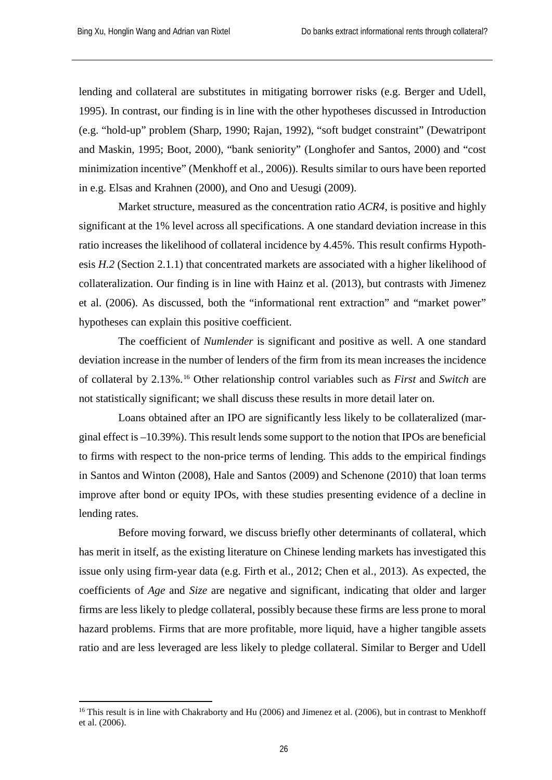lending and collateral are substitutes in mitigating borrower risks (e.g. Berger and Udell, 1995). In contrast, our finding is in line with the other hypotheses discussed in Introduction (e.g. "hold-up" problem (Sharp, 1990; Rajan, 1992), "soft budget constraint" (Dewatripont and Maskin, 1995; Boot, 2000), "bank seniority" (Longhofer and Santos, 2000) and "cost minimization incentive" (Menkhoff et al., 2006)). Results similar to ours have been reported in e.g. Elsas and Krahnen (2000), and Ono and Uesugi (2009).

Market structure, measured as the concentration ratio *ACR4*, is positive and highly significant at the 1% level across all specifications. A one standard deviation increase in this ratio increases the likelihood of collateral incidence by 4.45%. This result confirms Hypothesis *H.2* (Section 2.1.1) that concentrated markets are associated with a higher likelihood of collateralization. Our finding is in line with Hainz et al. (2013), but contrasts with Jimenez et al. (2006). As discussed, both the "informational rent extraction" and "market power" hypotheses can explain this positive coefficient.

The coefficient of *Numlender* is significant and positive as well. A one standard deviation increase in the number of lenders of the firm from its mean increases the incidence of collateral by 2.13%.[16](#page-25-0) Other relationship control variables such as *First* and *Switch* are not statistically significant; we shall discuss these results in more detail later on.

Loans obtained after an IPO are significantly less likely to be collateralized (marginal effect is –10.39%). This result lends some support to the notion that IPOs are beneficial to firms with respect to the non-price terms of lending. This adds to the empirical findings in Santos and Winton (2008), Hale and Santos (2009) and Schenone (2010) that loan terms improve after bond or equity IPOs, with these studies presenting evidence of a decline in lending rates.

Before moving forward, we discuss briefly other determinants of collateral, which has merit in itself, as the existing literature on Chinese lending markets has investigated this issue only using firm-year data (e.g. Firth et al., 2012; Chen et al., 2013). As expected, the coefficients of *Age* and *Size* are negative and significant, indicating that older and larger firms are less likely to pledge collateral, possibly because these firms are less prone to moral hazard problems. Firms that are more profitable, more liquid, have a higher tangible assets ratio and are less leveraged are less likely to pledge collateral. Similar to Berger and Udell

<span id="page-25-0"></span><sup>&</sup>lt;sup>16</sup> This result is in line with Chakraborty and Hu (2006) and Jimenez et al. (2006), but in contrast to Menkhoff et al. (2006).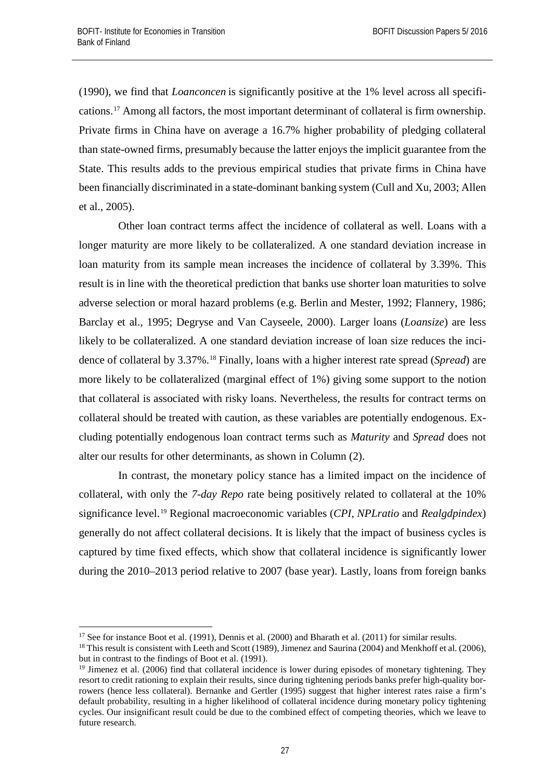(1990), we find that *Loanconcen* is significantly positive at the 1% level across all specifications.[17](#page-26-0) Among all factors, the most important determinant of collateral is firm ownership. Private firms in China have on average a 16.7% higher probability of pledging collateral than state-owned firms, presumably because the latter enjoys the implicit guarantee from the State. This results adds to the previous empirical studies that private firms in China have been financially discriminated in a state-dominant banking system (Cull and Xu, 2003; Allen et al., 2005).

Other loan contract terms affect the incidence of collateral as well. Loans with a longer maturity are more likely to be collateralized. A one standard deviation increase in loan maturity from its sample mean increases the incidence of collateral by 3.39%. This result is in line with the theoretical prediction that banks use shorter loan maturities to solve adverse selection or moral hazard problems (e.g. Berlin and Mester, 1992; Flannery, 1986; Barclay et al., 1995; Degryse and Van Cayseele, 2000). Larger loans (*Loansize*) are less likely to be collateralized. A one standard deviation increase of loan size reduces the incidence of collateral by 3.37%.[18](#page-26-1) Finally, loans with a higher interest rate spread (*Spread*) are more likely to be collateralized (marginal effect of 1%) giving some support to the notion that collateral is associated with risky loans. Nevertheless, the results for contract terms on collateral should be treated with caution, as these variables are potentially endogenous. Excluding potentially endogenous loan contract terms such as *Maturity* and *Spread* does not alter our results for other determinants, as shown in Column (2).

In contrast, the monetary policy stance has a limited impact on the incidence of collateral, with only the *7-day Repo* rate being positively related to collateral at the 10% significance level. [19](#page-26-2) Regional macroeconomic variables (*CPI*, *NPLratio* and *Realgdpindex*) generally do not affect collateral decisions. It is likely that the impact of business cycles is captured by time fixed effects, which show that collateral incidence is significantly lower during the 2010–2013 period relative to 2007 (base year). Lastly, loans from foreign banks

<span id="page-26-0"></span> $17$  See for instance Boot et al. (1991), Dennis et al. (2000) and Bharath et al. (2011) for similar results.

<span id="page-26-1"></span><sup>&</sup>lt;sup>18</sup> This result is consistent with Leeth and Scott (1989), Jimenez and Saurina (2004) and Menkhoff et al. (2006), but in contrast to the findings of Boot et al. (1991).

<span id="page-26-2"></span><sup>&</sup>lt;sup>19</sup> Jimenez et al. (2006) find that collateral incidence is lower during episodes of monetary tightening. They resort to credit rationing to explain their results, since during tightening periods banks prefer high-quality borrowers (hence less collateral). Bernanke and Gertler (1995) suggest that higher interest rates raise a firm's default probability, resulting in a higher likelihood of collateral incidence during monetary policy tightening cycles. Our insignificant result could be due to the combined effect of competing theories, which we leave to future research.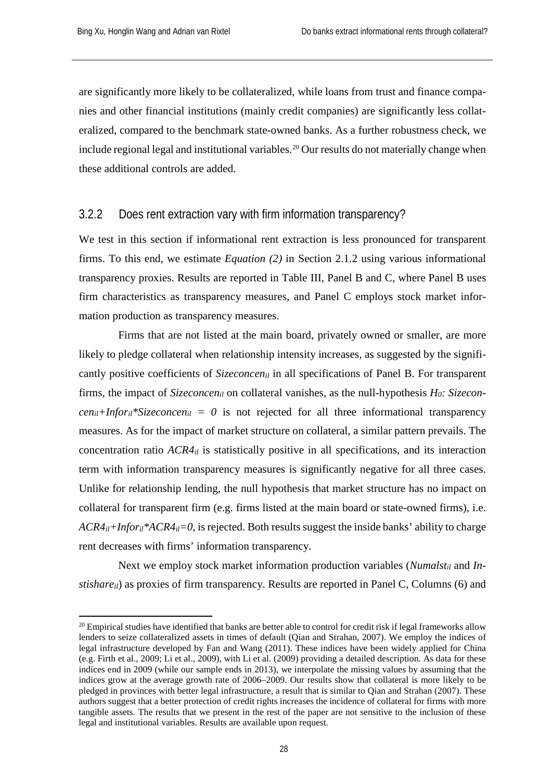are significantly more likely to be collateralized, while loans from trust and finance companies and other financial institutions (mainly credit companies) are significantly less collateralized, compared to the benchmark state-owned banks. As a further robustness check, we include regional legal and institutional variables.<sup>[20](#page-27-1)</sup> Our results do not materially change when these additional controls are added.

#### <span id="page-27-0"></span>3.2.2 Does rent extraction vary with firm information transparency?

We test in this section if informational rent extraction is less pronounced for transparent firms. To this end, we estimate *Equation (2)* in Section 2.1.2 using various informational transparency proxies. Results are reported in Table III, Panel B and C, where Panel B uses firm characteristics as transparency measures, and Panel C employs stock market information production as transparency measures.

Firms that are not listed at the main board, privately owned or smaller, are more likely to pledge collateral when relationship intensity increases, as suggested by the significantly positive coefficients of *Sizeconcenil* in all specifications of Panel B. For transparent firms, the impact of *Sizeconcenil* on collateral vanishes, as the null-hypothesis *H0: Sizecon* $c\text{ }en_{il}$ +*Infor<sub>il</sub>*\**Sizeconcen<sub>il</sub>* = 0 is not rejected for all three informational transparency measures. As for the impact of market structure on collateral, a similar pattern prevails. The concentration ratio *ACR4il* is statistically positive in all specifications, and its interaction term with information transparency measures is significantly negative for all three cases. Unlike for relationship lending, the null hypothesis that market structure has no impact on collateral for transparent firm (e.g. firms listed at the main board or state-owned firms), i.e. *ACR4il+Inforil\*ACR4il=0*, is rejected. Both results suggest the inside banks' ability to charge rent decreases with firms' information transparency.

Next we employ stock market information production variables (*Numalst<sub>il</sub>* and *Instishare<sub>il</sub>*) as proxies of firm transparency. Results are reported in Panel C, Columns (6) and

<span id="page-27-1"></span> $^{20}$  Empirical studies have identified that banks are better able to control for credit risk if legal frameworks allow lenders to seize collateralized assets in times of default (Qian and Strahan, 2007). We employ the indices of legal infrastructure developed by Fan and Wang (2011). These indices have been widely applied for China (e.g. Firth et al., 2009; Li et al., 2009), with Li et al. (2009) providing a detailed description. As data for these indices end in 2009 (while our sample ends in 2013), we interpolate the missing values by assuming that the indices grow at the average growth rate of 2006–2009. Our results show that collateral is more likely to be pledged in provinces with better legal infrastructure, a result that is similar to Qian and Strahan (2007). These authors suggest that a better protection of credit rights increases the incidence of collateral for firms with more tangible assets. The results that we present in the rest of the paper are not sensitive to the inclusion of these legal and institutional variables. Results are available upon request.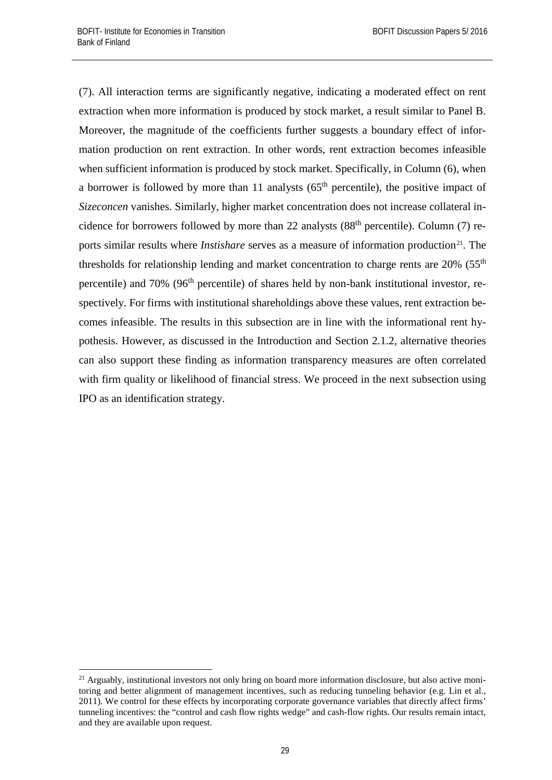(7). All interaction terms are significantly negative, indicating a moderated effect on rent extraction when more information is produced by stock market, a result similar to Panel B. Moreover, the magnitude of the coefficients further suggests a boundary effect of information production on rent extraction. In other words, rent extraction becomes infeasible when sufficient information is produced by stock market. Specifically, in Column (6), when a borrower is followed by more than 11 analysts  $(65<sup>th</sup>$  percentile), the positive impact of *Sizeconcen* vanishes. Similarly, higher market concentration does not increase collateral incidence for borrowers followed by more than 22 analysts  $(88<sup>th</sup>$  percentile). Column (7) reports similar results where *Instishare* serves as a measure of information production<sup>21</sup>. The thresholds for relationship lending and market concentration to charge rents are  $20\%$  (55<sup>th</sup>) percentile) and 70% (96th percentile) of shares held by non-bank institutional investor, respectively. For firms with institutional shareholdings above these values, rent extraction becomes infeasible. The results in this subsection are in line with the informational rent hypothesis. However, as discussed in the Introduction and Section 2.1.2, alternative theories can also support these finding as information transparency measures are often correlated with firm quality or likelihood of financial stress. We proceed in the next subsection using IPO as an identification strategy.

<span id="page-28-0"></span><sup>&</sup>lt;sup>21</sup> Arguably, institutional investors not only bring on board more information disclosure, but also active monitoring and better alignment of management incentives, such as reducing tunneling behavior (e.g. Lin et al., 2011). We control for these effects by incorporating corporate governance variables that directly affect firms' tunneling incentives: the "control and cash flow rights wedge" and cash-flow rights. Our results remain intact, and they are available upon request.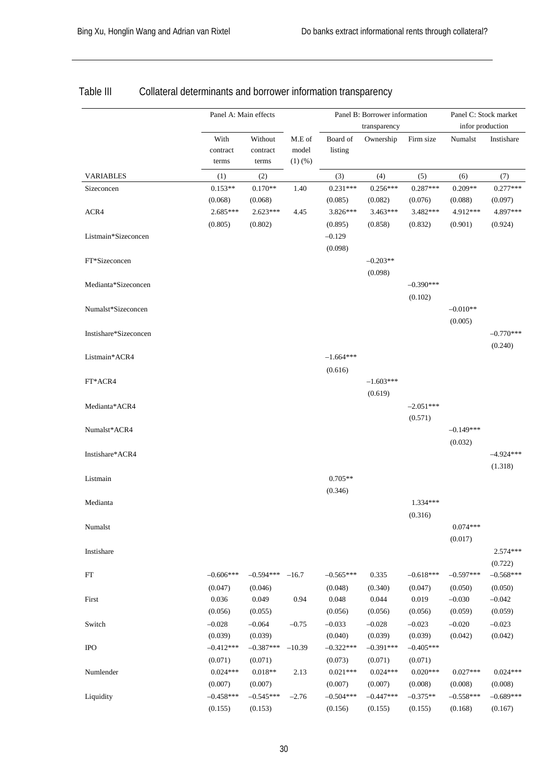|                       | Panel A: Main effects |             |              | Panel B: Borrower information |              | Panel C: Stock market |                  |             |  |
|-----------------------|-----------------------|-------------|--------------|-------------------------------|--------------|-----------------------|------------------|-------------|--|
|                       |                       |             |              |                               | transparency |                       | infor production |             |  |
|                       | With                  | Without     | M.E of       | Board of                      | Ownership    | Firm size             | Numalst          | Instishare  |  |
|                       | contract              | contract    | model        | listing                       |              |                       |                  |             |  |
|                       | terms                 | terms       | $(1)$ $(\%)$ |                               |              |                       |                  |             |  |
| <b>VARIABLES</b>      | (1)                   | (2)         |              | (3)                           | (4)          | (5)                   | (6)              | (7)         |  |
| Sizeconcen            | $0.153**$             | $0.170**$   | 1.40         | $0.231***$                    | $0.256***$   | $0.287***$            | $0.209**$        | $0.277***$  |  |
|                       | (0.068)               | (0.068)     |              | (0.085)                       | (0.082)      | (0.076)               | (0.088)          | (0.097)     |  |
| ACR4                  | $2.685***$            | $2.623***$  | 4.45         | 3.826***                      | $3.463***$   | 3.482***              | 4.912***         | 4.897***    |  |
|                       | (0.805)               | (0.802)     |              | (0.895)                       | (0.858)      | (0.832)               | (0.901)          | (0.924)     |  |
| Listmain*Sizeconcen   |                       |             |              | $-0.129$                      |              |                       |                  |             |  |
|                       |                       |             |              | (0.098)                       |              |                       |                  |             |  |
| FT*Sizeconcen         |                       |             |              |                               | $-0.203**$   |                       |                  |             |  |
|                       |                       |             |              |                               |              |                       |                  |             |  |
|                       |                       |             |              |                               | (0.098)      | $-0.390***$           |                  |             |  |
| Medianta*Sizeconcen   |                       |             |              |                               |              |                       |                  |             |  |
|                       |                       |             |              |                               |              | (0.102)               |                  |             |  |
| Numalst*Sizeconcen    |                       |             |              |                               |              |                       | $-0.010**$       |             |  |
|                       |                       |             |              |                               |              |                       | (0.005)          |             |  |
| Instishare*Sizeconcen |                       |             |              |                               |              |                       |                  | $-0.770***$ |  |
|                       |                       |             |              |                               |              |                       |                  | (0.240)     |  |
| Listmain*ACR4         |                       |             |              | $-1.664***$                   |              |                       |                  |             |  |
|                       |                       |             |              | (0.616)                       |              |                       |                  |             |  |
| FT*ACR4               |                       |             |              |                               | $-1.603***$  |                       |                  |             |  |
|                       |                       |             |              |                               | (0.619)      |                       |                  |             |  |
| Medianta*ACR4         |                       |             |              |                               |              | $-2.051***$           |                  |             |  |
|                       |                       |             |              |                               |              | (0.571)               |                  |             |  |
| Numalst*ACR4          |                       |             |              |                               |              |                       | $-0.149***$      |             |  |
|                       |                       |             |              |                               |              |                       | (0.032)          |             |  |
| Instishare*ACR4       |                       |             |              |                               |              |                       |                  | $-4.924***$ |  |
|                       |                       |             |              |                               |              |                       |                  | (1.318)     |  |
| Listmain              |                       |             |              | $0.705**$                     |              |                       |                  |             |  |
|                       |                       |             |              | (0.346)                       |              |                       |                  |             |  |
| Medianta              |                       |             |              |                               |              | $1.334***$            |                  |             |  |
|                       |                       |             |              |                               |              | (0.316)               |                  |             |  |
| Numalst               |                       |             |              |                               |              |                       | $0.074***$       |             |  |
|                       |                       |             |              |                               |              |                       | (0.017)          |             |  |
| Instishare            |                       |             |              |                               |              |                       |                  | $2.574***$  |  |
|                       |                       |             |              |                               |              |                       |                  | (0.722)     |  |
| FT                    | $-0.606***$           | $-0.594***$ | $-16.7$      | $-0.565***$                   | 0.335        | $-0.618***$           | $-0.597***$      | $-0.568***$ |  |
|                       |                       |             |              |                               |              |                       |                  | (0.050)     |  |
|                       | (0.047)<br>0.036      | (0.046)     |              | (0.048)                       | (0.340)      | (0.047)               | (0.050)          |             |  |
| First                 |                       | 0.049       | 0.94         | 0.048                         | 0.044        | 0.019                 | $-0.030$         | $-0.042$    |  |
|                       | (0.056)               | (0.055)     |              | (0.056)                       | (0.056)      | (0.056)               | (0.059)          | (0.059)     |  |
| Switch                | $-0.028$              | $-0.064$    | $-0.75$      | $-0.033$                      | $-0.028$     | $-0.023$              | $-0.020$         | $-0.023$    |  |
|                       | (0.039)               | (0.039)     |              | (0.040)                       | (0.039)      | (0.039)               | (0.042)          | (0.042)     |  |
| $_{\rm IPO}$          | $-0.412***$           | $-0.387***$ | $-10.39$     | $-0.322***$                   | $-0.391***$  | $-0.405***$           |                  |             |  |
|                       | (0.071)               | (0.071)     |              | (0.073)                       | (0.071)      | (0.071)               |                  |             |  |
| Numlender             | $0.024***$            | $0.018**$   | 2.13         | $0.021***$                    | $0.024***$   | $0.020***$            | $0.027***$       | $0.024***$  |  |
|                       | (0.007)               | (0.007)     |              | (0.007)                       | (0.007)      | (0.008)               | (0.008)          | (0.008)     |  |
| Liquidity             | $-0.458***$           | $-0.545***$ | $-2.76$      | $-0.504***$                   | $-0.447***$  | $-0.375**$            | $-0.558***$      | $-0.689***$ |  |
|                       | (0.155)               | (0.153)     |              | (0.156)                       | (0.155)      | (0.155)               | (0.168)          | (0.167)     |  |

## Table III Collateral determinants and borrower information transparency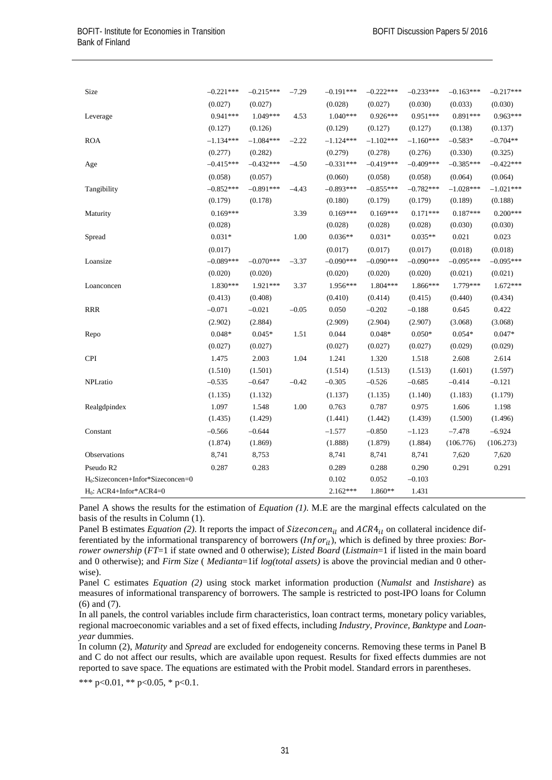| Size                                          | $-0.221***$ | $-0.215***$ | $-7.29$ | $-0.191***$ | $-0.222***$ | $-0.233***$ | $-0.163***$ | $-0.217***$ |
|-----------------------------------------------|-------------|-------------|---------|-------------|-------------|-------------|-------------|-------------|
|                                               | (0.027)     | (0.027)     |         | (0.028)     | (0.027)     | (0.030)     | (0.033)     | (0.030)     |
| Leverage                                      | $0.941***$  | 1.049***    | 4.53    | $1.040***$  | $0.926***$  | 0.951***    | $0.891***$  | $0.963***$  |
|                                               | (0.127)     | (0.126)     |         | (0.129)     | (0.127)     | (0.127)     | (0.138)     | (0.137)     |
| <b>ROA</b>                                    | $-1.134***$ | $-1.084***$ | $-2.22$ | $-1.124***$ | $-1.102***$ | $-1.160***$ | $-0.583*$   | $-0.704**$  |
|                                               | (0.277)     | (0.282)     |         | (0.279)     | (0.278)     | (0.276)     | (0.330)     | (0.325)     |
| Age                                           | $-0.415***$ | $-0.432***$ | $-4.50$ | $-0.331***$ | $-0.419***$ | $-0.409***$ | $-0.385***$ | $-0.422***$ |
|                                               | (0.058)     | (0.057)     |         | (0.060)     | (0.058)     | (0.058)     | (0.064)     | (0.064)     |
| Tangibility                                   | $-0.852***$ | $-0.891***$ | $-4.43$ | $-0.893***$ | $-0.855***$ | $-0.782***$ | $-1.028***$ | $-1.021***$ |
|                                               | (0.179)     | (0.178)     |         | (0.180)     | (0.179)     | (0.179)     | (0.189)     | (0.188)     |
| Maturity                                      | $0.169***$  |             | 3.39    | $0.169***$  | $0.169***$  | $0.171***$  | $0.187***$  | $0.200***$  |
|                                               | (0.028)     |             |         | (0.028)     | (0.028)     | (0.028)     | (0.030)     | (0.030)     |
| Spread                                        | $0.031*$    |             | 1.00    | $0.036**$   | $0.031*$    | $0.035**$   | 0.021       | 0.023       |
|                                               | (0.017)     |             |         | (0.017)     | (0.017)     | (0.017)     | (0.018)     | (0.018)     |
| Loansize                                      | $-0.089***$ | $-0.070***$ | $-3.37$ | $-0.090***$ | $-0.090***$ | $-0.090***$ | $-0.095***$ | $-0.095***$ |
|                                               | (0.020)     | (0.020)     |         | (0.020)     | (0.020)     | (0.020)     | (0.021)     | (0.021)     |
| Loanconcen                                    | 1.830***    | 1.921***    | 3.37    | 1.956***    | $1.804***$  | 1.866***    | $1.779***$  | $1.672***$  |
|                                               | (0.413)     | (0.408)     |         | (0.410)     | (0.414)     | (0.415)     | (0.440)     | (0.434)     |
| <b>RRR</b>                                    | $-0.071$    | $-0.021$    | $-0.05$ | 0.050       | $-0.202$    | $-0.188$    | 0.645       | 0.422       |
|                                               | (2.902)     | (2.884)     |         | (2.909)     | (2.904)     | (2.907)     | (3.068)     | (3.068)     |
| Repo                                          | $0.048*$    | $0.045*$    | 1.51    | 0.044       | $0.048*$    | $0.050*$    | $0.054*$    | $0.047*$    |
|                                               | (0.027)     | (0.027)     |         | (0.027)     | (0.027)     | (0.027)     | (0.029)     | (0.029)     |
| <b>CPI</b>                                    | 1.475       | 2.003       | 1.04    | 1.241       | 1.320       | 1.518       | 2.608       | 2.614       |
|                                               | (1.510)     | (1.501)     |         | (1.514)     | (1.513)     | (1.513)     | (1.601)     | (1.597)     |
| NPLratio                                      | $-0.535$    | $-0.647$    | $-0.42$ | $-0.305$    | $-0.526$    | $-0.685$    | $-0.414$    | $-0.121$    |
|                                               | (1.135)     | (1.132)     |         | (1.137)     | (1.135)     | (1.140)     | (1.183)     | (1.179)     |
| Realgdpindex                                  | 1.097       | 1.548       | 1.00    | 0.763       | 0.787       | 0.975       | 1.606       | 1.198       |
|                                               | (1.435)     | (1.429)     |         | (1.441)     | (1.442)     | (1.439)     | (1.500)     | (1.496)     |
| Constant                                      | $-0.566$    | $-0.644$    |         | $-1.577$    | $-0.850$    | $-1.123$    | $-7.478$    | $-6.924$    |
|                                               | (1.874)     | (1.869)     |         | (1.888)     | (1.879)     | (1.884)     | (106.776)   | (106.273)   |
| Observations                                  | 8,741       | 8,753       |         | 8,741       | 8,741       | 8,741       | 7,620       | 7,620       |
| Pseudo R2                                     | 0.287       | 0.283       |         | 0.289       | 0.288       | 0.290       | 0.291       | 0.291       |
| H <sub>0</sub> :Sizeconcen+Infor*Sizeconcen=0 |             |             |         | 0.102       | 0.052       | $-0.103$    |             |             |
| $H_0$ : ACR4+Infor*ACR4=0                     |             |             |         | $2.162***$  | $1.860**$   | 1.431       |             |             |

Panel A shows the results for the estimation of *Equation (1)*. M.E are the marginal effects calculated on the basis of the results in Column (1).

Panel B estimates *Equation (2)*. It reports the impact of *Sizeconcen*<sub>il</sub> and  $ACR4_{ii}$  on collateral incidence differentiated by the informational transparency of borrowers  $(Infor_{il})$ , which is defined by three proxies: *Borrower ownership* (*FT*=1 if state owned and 0 otherwise); *Listed Board* (*Listmain*=1 if listed in the main board and 0 otherwise); and *Firm Size* ( *Medianta*=1if *log(total assets)* is above the provincial median and 0 otherwise).

Panel C estimates *Equation (2)* using stock market information production (*Numalst* and *Instishare*) as measures of informational transparency of borrowers. The sample is restricted to post-IPO loans for Column (6) and (7).

In all panels, the control variables include firm characteristics, loan contract terms, monetary policy variables, regional macroeconomic variables and a set of fixed effects, including *Industry, Province, Banktype* and *Loanyear* dummies.

In column (2), *Maturity* and *Spread* are excluded for endogeneity concerns. Removing these terms in Panel B and C do not affect our results, which are available upon request. Results for fixed effects dummies are not reported to save space. The equations are estimated with the Probit model. Standard errors in parentheses.

\*\*\* p<0.01, \*\* p<0.05, \* p<0.1.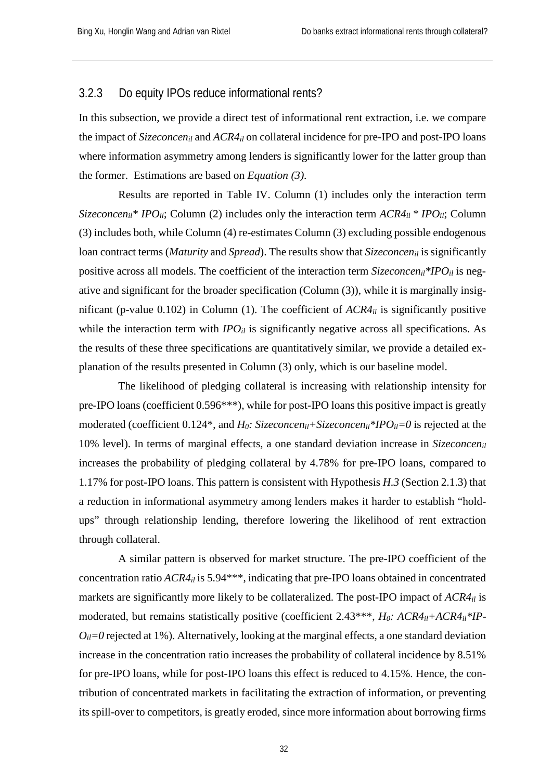#### <span id="page-31-0"></span>3.2.3 Do equity IPOs reduce informational rents?

In this subsection, we provide a direct test of informational rent extraction, i.e. we compare the impact of *Sizeconcen<sub>il</sub>* and *ACR4<sub>il</sub>* on collateral incidence for pre-IPO and post-IPO loans where information asymmetry among lenders is significantly lower for the latter group than the former. Estimations are based on *Equation (3)*.

Results are reported in Table IV. Column (1) includes only the interaction term *Sizeconcenil\* IPOil*; Column (2) includes only the interaction term *ACR4il \* IPOil*; Column (3) includes both, while Column (4) re-estimates Column (3) excluding possible endogenous loan contract terms (*Maturity* and *Spread*). The results show that *Sizeconcen<sub>il</sub>* is significantly positive across all models. The coefficient of the interaction term *Sizeconcen<sub>il</sub>*\**IPO<sub>il</sub>* is negative and significant for the broader specification (Column (3)), while it is marginally insignificant (p-value 0.102) in Column (1). The coefficient of  $ACR4_{il}$  is significantly positive while the interaction term with  $IPO<sub>il</sub>$  is significantly negative across all specifications. As the results of these three specifications are quantitatively similar, we provide a detailed explanation of the results presented in Column (3) only, which is our baseline model.

The likelihood of pledging collateral is increasing with relationship intensity for pre-IPO loans (coefficient 0.596\*\*\*), while for post-IPO loans this positive impact is greatly moderated (coefficient 0.124<sup>\*</sup>, and *H<sub>0</sub>: Sizeconcen<sub>il</sub>+Sizeconcen<sub>il</sub>\*IPO<sub>il</sub>=0* is rejected at the 10% level). In terms of marginal effects, a one standard deviation increase in *Sizeconcenil* increases the probability of pledging collateral by 4.78% for pre-IPO loans, compared to 1.17% for post-IPO loans. This pattern is consistent with Hypothesis *H.3* (Section 2.1.3) that a reduction in informational asymmetry among lenders makes it harder to establish "holdups" through relationship lending, therefore lowering the likelihood of rent extraction through collateral.

A similar pattern is observed for market structure. The pre-IPO coefficient of the concentration ratio *ACR4il* is 5.94\*\*\*, indicating that pre-IPO loans obtained in concentrated markets are significantly more likely to be collateralized. The post-IPO impact of *ACR4il* is moderated, but remains statistically positive (coefficient 2.43\*\*\*, *H<sub>0</sub>: ACR4<sub>il</sub>+ACR4<sub>il</sub>\*IP-* $O_{il}=0$  rejected at 1%). Alternatively, looking at the marginal effects, a one standard deviation increase in the concentration ratio increases the probability of collateral incidence by 8.51% for pre-IPO loans, while for post-IPO loans this effect is reduced to 4.15%. Hence, the contribution of concentrated markets in facilitating the extraction of information, or preventing its spill-over to competitors, is greatly eroded, since more information about borrowing firms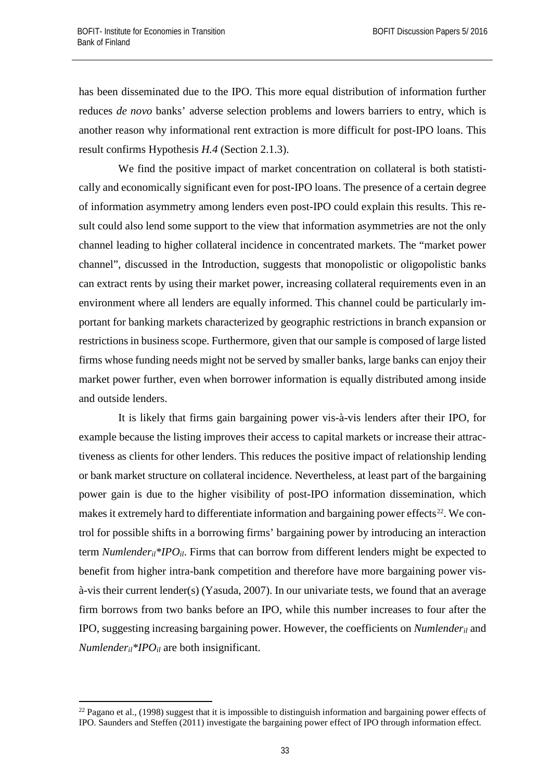has been disseminated due to the IPO. This more equal distribution of information further reduces *de novo* banks' adverse selection problems and lowers barriers to entry, which is another reason why informational rent extraction is more difficult for post-IPO loans. This result confirms Hypothesis *H.4* (Section 2.1.3).

We find the positive impact of market concentration on collateral is both statistically and economically significant even for post-IPO loans. The presence of a certain degree of information asymmetry among lenders even post-IPO could explain this results. This result could also lend some support to the view that information asymmetries are not the only channel leading to higher collateral incidence in concentrated markets. The "market power channel", discussed in the Introduction, suggests that monopolistic or oligopolistic banks can extract rents by using their market power, increasing collateral requirements even in an environment where all lenders are equally informed. This channel could be particularly important for banking markets characterized by geographic restrictions in branch expansion or restrictions in business scope. Furthermore, given that our sample is composed of large listed firms whose funding needs might not be served by smaller banks, large banks can enjoy their market power further, even when borrower information is equally distributed among inside and outside lenders.

It is likely that firms gain bargaining power vis-à-vis lenders after their IPO, for example because the listing improves their access to capital markets or increase their attractiveness as clients for other lenders. This reduces the positive impact of relationship lending or bank market structure on collateral incidence. Nevertheless, at least part of the bargaining power gain is due to the higher visibility of post-IPO information dissemination, which makes it extremely hard to differentiate information and bargaining power effects<sup>22</sup>. We control for possible shifts in a borrowing firms' bargaining power by introducing an interaction term *Numlenderil\*IPOil*. Firms that can borrow from different lenders might be expected to benefit from higher intra-bank competition and therefore have more bargaining power visà-vis their current lender(s) (Yasuda, 2007). In our univariate tests, we found that an average firm borrows from two banks before an IPO, while this number increases to four after the IPO, suggesting increasing bargaining power. However, the coefficients on *Numlenderil* and *Numlenderil\*IPOil* are both insignificant.

<span id="page-32-0"></span><sup>&</sup>lt;sup>22</sup> Pagano et al., (1998) suggest that it is impossible to distinguish information and bargaining power effects of IPO. Saunders and Steffen (2011) investigate the bargaining power effect of IPO through information effect.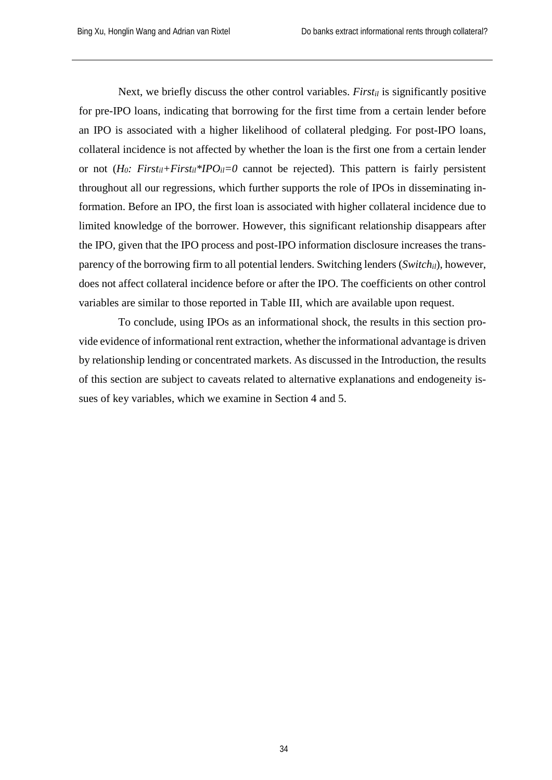Next, we briefly discuss the other control variables. *First<sub>il</sub>* is significantly positive for pre-IPO loans, indicating that borrowing for the first time from a certain lender before an IPO is associated with a higher likelihood of collateral pledging. For post-IPO loans, collateral incidence is not affected by whether the loan is the first one from a certain lender or not  $(H_0: First_{il}+First_{il} * IPO_{il}=0$  cannot be rejected). This pattern is fairly persistent throughout all our regressions, which further supports the role of IPOs in disseminating information. Before an IPO, the first loan is associated with higher collateral incidence due to limited knowledge of the borrower. However, this significant relationship disappears after the IPO, given that the IPO process and post-IPO information disclosure increases the transparency of the borrowing firm to all potential lenders. Switching lenders (*Switchil*), however, does not affect collateral incidence before or after the IPO. The coefficients on other control variables are similar to those reported in Table III, which are available upon request.

To conclude, using IPOs as an informational shock, the results in this section provide evidence of informational rent extraction, whether the informational advantage is driven by relationship lending or concentrated markets. As discussed in the Introduction, the results of this section are subject to caveats related to alternative explanations and endogeneity issues of key variables, which we examine in Section 4 and 5.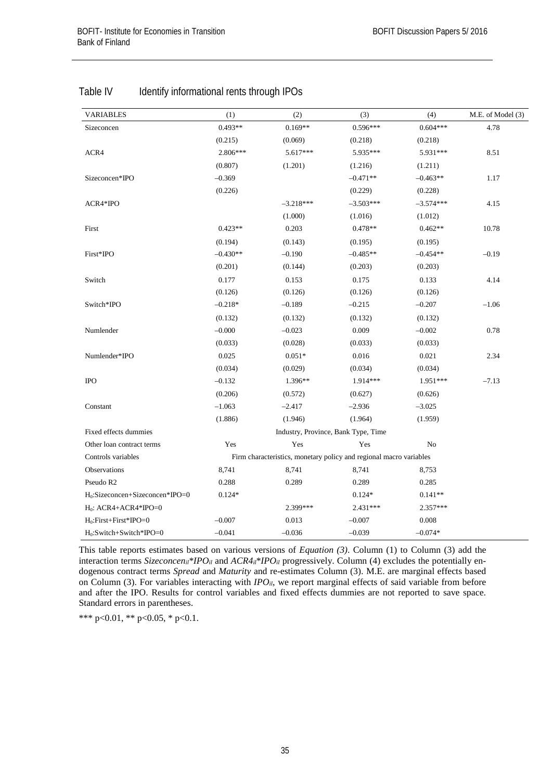| <b>VARIABLES</b>                   | (1)        | (2)                                                                | (3)                                 | (4)            | M.E. of Model (3) |
|------------------------------------|------------|--------------------------------------------------------------------|-------------------------------------|----------------|-------------------|
| Sizeconcen                         | $0.493**$  | $0.169**$                                                          | $0.596***$                          | $0.604***$     | 4.78              |
|                                    | (0.215)    | (0.069)                                                            | (0.218)                             | (0.218)        |                   |
| ACR4                               | $2.806***$ | 5.617***                                                           | 5.935***                            | 5.931***       | 8.51              |
|                                    | (0.807)    | (1.201)                                                            | (1.216)                             | (1.211)        |                   |
| Sizeconcen*IPO                     | $-0.369$   |                                                                    | $-0.471**$                          | $-0.463**$     | 1.17              |
|                                    | (0.226)    |                                                                    | (0.229)                             | (0.228)        |                   |
| ACR4*IPO                           |            | $-3.218***$                                                        | $-3.503***$                         | $-3.574***$    | 4.15              |
|                                    |            | (1.000)                                                            | (1.016)                             | (1.012)        |                   |
| First                              | $0.423**$  | 0.203                                                              | 0.478**                             | $0.462**$      | 10.78             |
|                                    | (0.194)    | (0.143)                                                            | (0.195)                             | (0.195)        |                   |
| First*IPO                          | $-0.430**$ | $-0.190$                                                           | $-0.485**$                          | $-0.454**$     | $-0.19$           |
|                                    | (0.201)    | (0.144)                                                            | (0.203)                             | (0.203)        |                   |
| Switch                             | 0.177      | 0.153                                                              | 0.175                               | 0.133          | 4.14              |
|                                    | (0.126)    | (0.126)                                                            | (0.126)                             | (0.126)        |                   |
| Switch*IPO                         | $-0.218*$  | $-0.189$                                                           | $-0.215$                            | $-0.207$       | $-1.06$           |
|                                    | (0.132)    | (0.132)                                                            | (0.132)                             | (0.132)        |                   |
| Numlender                          | $-0.000$   | $-0.023$                                                           | 0.009                               | $-0.002$       | 0.78              |
|                                    | (0.033)    | (0.028)                                                            | (0.033)                             | (0.033)        |                   |
| Numlender*IPO                      | 0.025      | $0.051*$                                                           | 0.016                               | 0.021          | 2.34              |
|                                    | (0.034)    | (0.029)                                                            | (0.034)                             | (0.034)        |                   |
| <b>IPO</b>                         | $-0.132$   | 1.396**                                                            | 1.914***                            | $1.951***$     | $-7.13$           |
|                                    | (0.206)    | (0.572)                                                            | (0.627)                             | (0.626)        |                   |
| Constant                           | $-1.063$   | $-2.417$                                                           | $-2.936$                            | $-3.025$       |                   |
|                                    | (1.886)    | (1.946)                                                            | (1.964)                             | (1.959)        |                   |
| Fixed effects dummies              |            |                                                                    | Industry, Province, Bank Type, Time |                |                   |
| Other loan contract terms          | Yes        | Yes                                                                | Yes                                 | N <sub>o</sub> |                   |
| Controls variables                 |            | Firm characteristics, monetary policy and regional macro variables |                                     |                |                   |
| Observations                       | 8,741      | 8,741                                                              | 8,741                               | 8,753          |                   |
| Pseudo R2                          | 0.288      | 0.289                                                              | 0.289                               | 0.285          |                   |
| $H_0$ :Sizeconcen+Sizeconcen*IPO=0 | $0.124*$   |                                                                    | $0.124*$                            | $0.141**$      |                   |
| $H_0$ : ACR4+ACR4*IPO=0            |            | 2.399 ***                                                          | $2.431***$                          | $2.357***$     |                   |
| $H_0$ : First+First*IPO=0          | $-0.007$   | 0.013                                                              | $-0.007$                            | 0.008          |                   |
| $H_0$ : Switch+Switch*IPO=0        | $-0.041$   | $-0.036$                                                           | $-0.039$                            | $-0.074*$      |                   |

#### Table IV Identify informational rents through IPOs

This table reports estimates based on various versions of *Equation (3)*. Column (1) to Column (3) add the interaction terms *Sizeconcen<sub>il</sub>\*IPO<sub>il</sub>* and  $ACR4_i$ <sup>\*</sup>*IPO<sub>il</sub>* progressively. Column (4) excludes the potentially endogenous contract terms *Spread* and *Maturity* and re-estimates Column (3). M.E. are marginal effects based on Column (3). For variables interacting with *IPO<sub>il</sub>*, we report marginal effects of said variable from before and after the IPO. Results for control variables and fixed effects dummies are not reported to save space. Standard errors in parentheses.

\*\*\* p<0.01, \*\* p<0.05, \* p<0.1.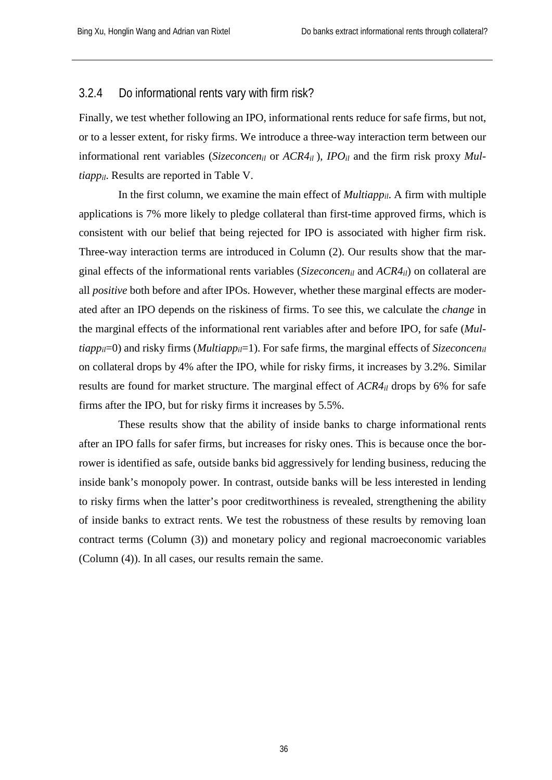#### <span id="page-35-0"></span>3.2.4 Do informational rents vary with firm risk?

Finally, we test whether following an IPO, informational rents reduce for safe firms, but not, or to a lesser extent, for risky firms. We introduce a three-way interaction term between our informational rent variables (*Sizeconcen<sub>il</sub>* or  $ACR4_{il}$ ), *IPO<sub>il</sub>* and the firm risk proxy *Multiappil*. Results are reported in Table V.

In the first column, we examine the main effect of *Multiappil*. A firm with multiple applications is 7% more likely to pledge collateral than first-time approved firms, which is consistent with our belief that being rejected for IPO is associated with higher firm risk. Three-way interaction terms are introduced in Column (2). Our results show that the marginal effects of the informational rents variables (*Sizeconcenil* and *ACR4il*) on collateral are all *positive* both before and after IPOs. However, whether these marginal effects are moderated after an IPO depends on the riskiness of firms. To see this, we calculate the *change* in the marginal effects of the informational rent variables after and before IPO, for safe (*Multiappil*=0) and risky firms (*Multiappil*=1). For safe firms, the marginal effects of *Sizeconcenil* on collateral drops by 4% after the IPO, while for risky firms, it increases by 3.2%. Similar results are found for market structure. The marginal effect of *ACR4il* drops by 6% for safe firms after the IPO, but for risky firms it increases by 5.5%.

These results show that the ability of inside banks to charge informational rents after an IPO falls for safer firms, but increases for risky ones. This is because once the borrower is identified as safe, outside banks bid aggressively for lending business, reducing the inside bank's monopoly power. In contrast, outside banks will be less interested in lending to risky firms when the latter's poor creditworthiness is revealed, strengthening the ability of inside banks to extract rents. We test the robustness of these results by removing loan contract terms (Column (3)) and monetary policy and regional macroeconomic variables (Column (4)). In all cases, our results remain the same.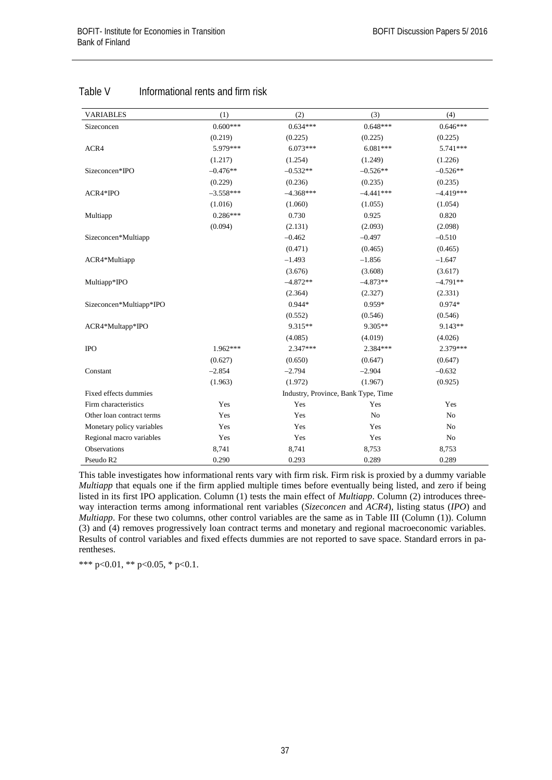| <b>VARIABLES</b>          | (1)         | (2)                                 | (3)         | (4)         |
|---------------------------|-------------|-------------------------------------|-------------|-------------|
| Sizeconcen                | $0.600***$  | $0.634***$                          | $0.648***$  | $0.646***$  |
|                           | (0.219)     | (0.225)                             | (0.225)     | (0.225)     |
| ACR4                      | 5.979***    | $6.073***$                          | $6.081***$  | 5.741***    |
|                           | (1.217)     | (1.254)                             | (1.249)     | (1.226)     |
| Sizeconcen*IPO            | $-0.476**$  | $-0.532**$                          | $-0.526**$  | $-0.526**$  |
|                           | (0.229)     | (0.236)                             | (0.235)     | (0.235)     |
| ACR4*IPO                  | $-3.558***$ | $-4.368***$                         | $-4.441***$ | $-4.419***$ |
|                           | (1.016)     | (1.060)                             | (1.055)     | (1.054)     |
| Multiapp                  | $0.286***$  | 0.730                               | 0.925       | 0.820       |
|                           | (0.094)     | (2.131)                             | (2.093)     | (2.098)     |
| Sizeconcen*Multiapp       |             | $-0.462$                            | $-0.497$    | $-0.510$    |
|                           |             | (0.471)                             | (0.465)     | (0.465)     |
| ACR4*Multiapp             |             | $-1.493$                            | $-1.856$    | $-1.647$    |
|                           |             | (3.676)                             | (3.608)     | (3.617)     |
| Multiapp*IPO              |             | $-4.872**$                          | $-4.873**$  | $-4.791**$  |
|                           |             | (2.364)                             | (2.327)     | (2.331)     |
| Sizeconcen*Multiapp*IPO   |             | $0.944*$                            | $0.959*$    | $0.974*$    |
|                           |             | (0.552)                             | (0.546)     | (0.546)     |
| ACR4*Multapp*IPO          |             | 9.315**                             | 9.305**     | 9.143**     |
|                           |             | (4.085)                             | (4.019)     | (4.026)     |
| <b>IPO</b>                | $1.962***$  | $2.347***$                          | $2.384***$  | 2.379***    |
|                           | (0.627)     | (0.650)                             | (0.647)     | (0.647)     |
| Constant                  | $-2.854$    | $-2.794$                            | $-2.904$    | $-0.632$    |
|                           | (1.963)     | (1.972)                             | (1.967)     | (0.925)     |
| Fixed effects dummies     |             | Industry, Province, Bank Type, Time |             |             |
| Firm characteristics      | Yes         | Yes                                 | Yes         | Yes         |
| Other loan contract terms | Yes         | Yes                                 | No          | No          |
| Monetary policy variables | Yes         | Yes                                 | Yes         | No          |
| Regional macro variables  | Yes         | Yes                                 | Yes         | No          |
| Observations              | 8,741       | 8,741                               | 8,753       | 8,753       |
| Pseudo R2                 | 0.290       | 0.293                               | 0.289       | 0.289       |

#### Table V Informational rents and firm risk

This table investigates how informational rents vary with firm risk. Firm risk is proxied by a dummy variable *Multiapp* that equals one if the firm applied multiple times before eventually being listed, and zero if being listed in its first IPO application. Column (1) tests the main effect of *Multiapp*. Column (2) introduces threeway interaction terms among informational rent variables (*Sizeconcen* and *ACR4*), listing status (*IPO*) and *Multiapp*. For these two columns, other control variables are the same as in Table III (Column (1)). Column (3) and (4) removes progressively loan contract terms and monetary and regional macroeconomic variables. Results of control variables and fixed effects dummies are not reported to save space. Standard errors in parentheses.

\*\*\* p<0.01, \*\* p<0.05, \* p<0.1.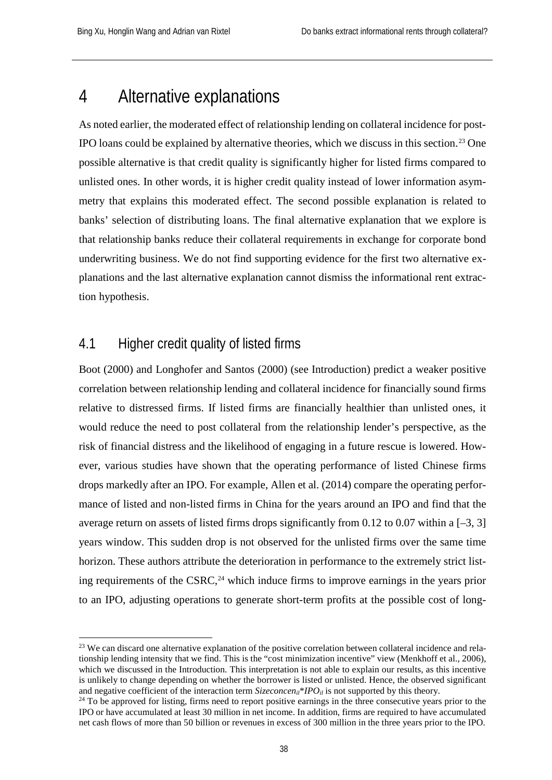# <span id="page-37-0"></span>4 Alternative explanations

As noted earlier, the moderated effect of relationship lending on collateral incidence for post-IPO loans could be explained by alternative theories, which we discuss in this section. [23](#page-37-2) One possible alternative is that credit quality is significantly higher for listed firms compared to unlisted ones. In other words, it is higher credit quality instead of lower information asymmetry that explains this moderated effect. The second possible explanation is related to banks' selection of distributing loans. The final alternative explanation that we explore is that relationship banks reduce their collateral requirements in exchange for corporate bond underwriting business. We do not find supporting evidence for the first two alternative explanations and the last alternative explanation cannot dismiss the informational rent extraction hypothesis.

### <span id="page-37-1"></span>4.1 Higher credit quality of listed firms

Boot (2000) and Longhofer and Santos (2000) (see Introduction) predict a weaker positive correlation between relationship lending and collateral incidence for financially sound firms relative to distressed firms. If listed firms are financially healthier than unlisted ones, it would reduce the need to post collateral from the relationship lender's perspective, as the risk of financial distress and the likelihood of engaging in a future rescue is lowered. However, various studies have shown that the operating performance of listed Chinese firms drops markedly after an IPO. For example, Allen et al. (2014) compare the operating performance of listed and non-listed firms in China for the years around an IPO and find that the average return on assets of listed firms drops significantly from 0.12 to 0.07 within a  $[-3, 3]$ years window. This sudden drop is not observed for the unlisted firms over the same time horizon. These authors attribute the deterioration in performance to the extremely strict listing requirements of the  $CSRC$ ,<sup>[24](#page-37-3)</sup> which induce firms to improve earnings in the years prior to an IPO, adjusting operations to generate short-term profits at the possible cost of long-

<span id="page-37-2"></span><sup>&</sup>lt;sup>23</sup> We can discard one alternative explanation of the positive correlation between collateral incidence and relationship lending intensity that we find. This is the "cost minimization incentive" view (Menkhoff et al., 2006), which we discussed in the Introduction. This interpretation is not able to explain our results, as this incentive is unlikely to change depending on whether the borrower is listed or unlisted. Hence, the observed significant and negative coefficient of the interaction term *Sizeconcen<sub>il</sub>\*IPO<sub>il</sub>* is not supported by this theory.

<span id="page-37-3"></span><sup>&</sup>lt;sup>24</sup> To be approved for listing, firms need to report positive earnings in the three consecutive years prior to the IPO or have accumulated at least 30 million in net income. In addition, firms are required to have accumulated net cash flows of more than 50 billion or revenues in excess of 300 million in the three years prior to the IPO.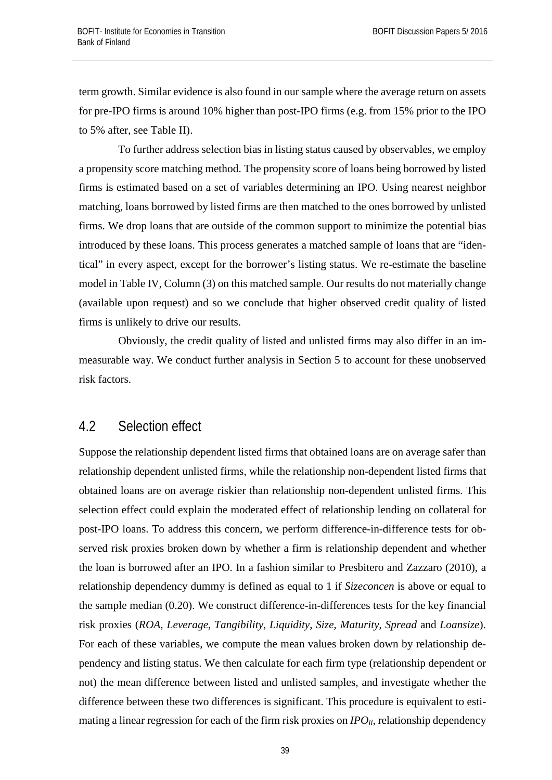term growth. Similar evidence is also found in our sample where the average return on assets for pre-IPO firms is around 10% higher than post-IPO firms (e.g. from 15% prior to the IPO to 5% after, see Table II).

To further address selection bias in listing status caused by observables, we employ a propensity score matching method. The propensity score of loans being borrowed by listed firms is estimated based on a set of variables determining an IPO. Using nearest neighbor matching, loans borrowed by listed firms are then matched to the ones borrowed by unlisted firms. We drop loans that are outside of the common support to minimize the potential bias introduced by these loans. This process generates a matched sample of loans that are "identical" in every aspect, except for the borrower's listing status. We re-estimate the baseline model in Table IV, Column (3) on this matched sample. Our results do not materially change (available upon request) and so we conclude that higher observed credit quality of listed firms is unlikely to drive our results.

Obviously, the credit quality of listed and unlisted firms may also differ in an immeasurable way. We conduct further analysis in Section 5 to account for these unobserved risk factors.

### <span id="page-38-0"></span>4.2 Selection effect

Suppose the relationship dependent listed firms that obtained loans are on average safer than relationship dependent unlisted firms, while the relationship non-dependent listed firms that obtained loans are on average riskier than relationship non-dependent unlisted firms. This selection effect could explain the moderated effect of relationship lending on collateral for post-IPO loans. To address this concern, we perform difference-in-difference tests for observed risk proxies broken down by whether a firm is relationship dependent and whether the loan is borrowed after an IPO. In a fashion similar to Presbitero and Zazzaro (2010), a relationship dependency dummy is defined as equal to 1 if *Sizeconcen* is above or equal to the sample median (0.20). We construct difference-in-differences tests for the key financial risk proxies (*ROA*, *Leverage*, *Tangibility*, *Liquidity*, *Size*, *Maturity*, *Spread* and *Loansize*). For each of these variables, we compute the mean values broken down by relationship dependency and listing status. We then calculate for each firm type (relationship dependent or not) the mean difference between listed and unlisted samples, and investigate whether the difference between these two differences is significant. This procedure is equivalent to estimating a linear regression for each of the firm risk proxies on *IPOil*, relationship dependency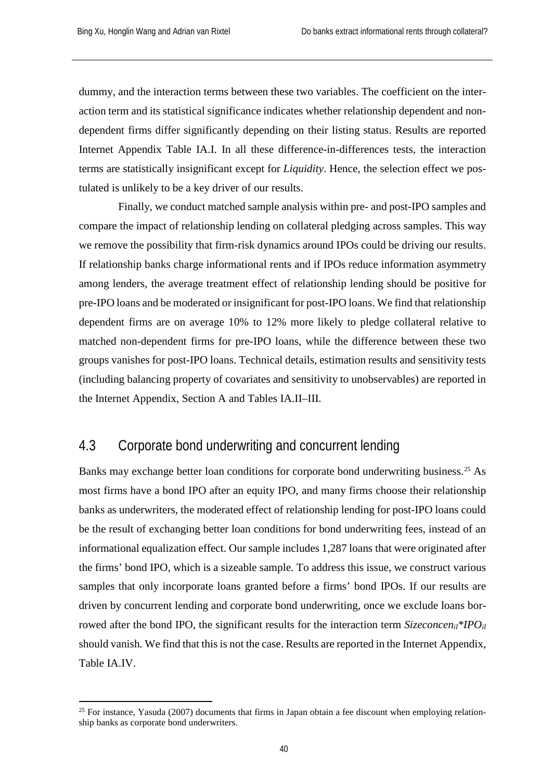dummy, and the interaction terms between these two variables. The coefficient on the interaction term and its statistical significance indicates whether relationship dependent and nondependent firms differ significantly depending on their listing status. Results are reported Internet Appendix Table IA.I. In all these difference-in-differences tests, the interaction terms are statistically insignificant except for *Liquidity*. Hence, the selection effect we postulated is unlikely to be a key driver of our results.

Finally, we conduct matched sample analysis within pre- and post-IPO samples and compare the impact of relationship lending on collateral pledging across samples. This way we remove the possibility that firm-risk dynamics around IPOs could be driving our results. If relationship banks charge informational rents and if IPOs reduce information asymmetry among lenders, the average treatment effect of relationship lending should be positive for pre-IPO loans and be moderated or insignificant for post-IPO loans. We find that relationship dependent firms are on average 10% to 12% more likely to pledge collateral relative to matched non-dependent firms for pre-IPO loans, while the difference between these two groups vanishes for post-IPO loans. Technical details, estimation results and sensitivity tests (including balancing property of covariates and sensitivity to unobservables) are reported in the Internet Appendix, Section A and Tables IA.II–III.

### <span id="page-39-0"></span>4.3 Corporate bond underwriting and concurrent lending

Banks may exchange better loan conditions for corporate bond underwriting business.<sup>[25](#page-39-1)</sup> As most firms have a bond IPO after an equity IPO, and many firms choose their relationship banks as underwriters, the moderated effect of relationship lending for post-IPO loans could be the result of exchanging better loan conditions for bond underwriting fees, instead of an informational equalization effect. Our sample includes 1,287 loans that were originated after the firms' bond IPO, which is a sizeable sample. To address this issue, we construct various samples that only incorporate loans granted before a firms' bond IPOs. If our results are driven by concurrent lending and corporate bond underwriting, once we exclude loans borrowed after the bond IPO, the significant results for the interaction term *Sizeconcen<sub>il</sub>\*IPO<sub>il</sub>* should vanish*.* We find that this is not the case. Results are reported in the Internet Appendix, Table IA.IV.

<span id="page-39-1"></span><sup>&</sup>lt;sup>25</sup> For instance, Yasuda (2007) documents that firms in Japan obtain a fee discount when employing relationship banks as corporate bond underwriters.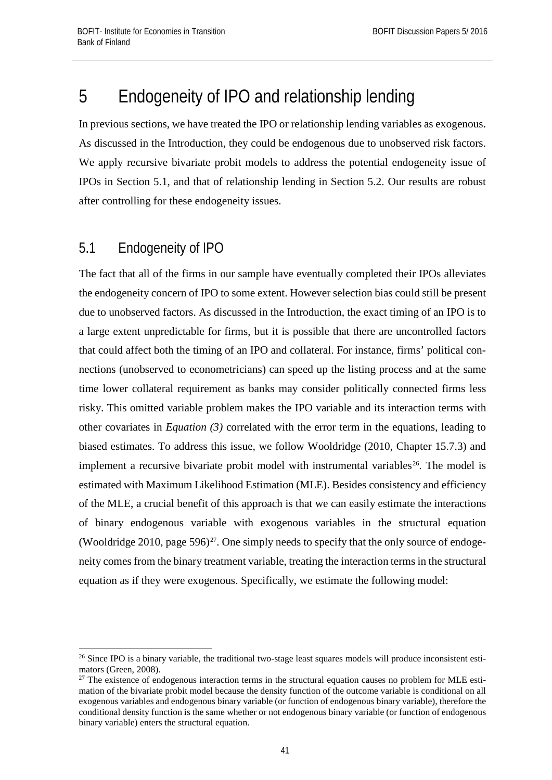# <span id="page-40-0"></span>5 Endogeneity of IPO and relationship lending

In previous sections, we have treated the IPO or relationship lending variables as exogenous. As discussed in the Introduction, they could be endogenous due to unobserved risk factors. We apply recursive bivariate probit models to address the potential endogeneity issue of IPOs in Section 5.1, and that of relationship lending in Section 5.2. Our results are robust after controlling for these endogeneity issues.

# <span id="page-40-1"></span>5.1 Endogeneity of IPO

The fact that all of the firms in our sample have eventually completed their IPOs alleviates the endogeneity concern of IPO to some extent. However selection bias could still be present due to unobserved factors. As discussed in the Introduction, the exact timing of an IPO is to a large extent unpredictable for firms, but it is possible that there are uncontrolled factors that could affect both the timing of an IPO and collateral. For instance, firms' political connections (unobserved to econometricians) can speed up the listing process and at the same time lower collateral requirement as banks may consider politically connected firms less risky. This omitted variable problem makes the IPO variable and its interaction terms with other covariates in *Equation (3)* correlated with the error term in the equations, leading to biased estimates. To address this issue, we follow Wooldridge (2010, Chapter 15.7.3) and implement a recursive bivariate probit model with instrumental variables<sup>[26](#page-40-2)</sup>. The model is estimated with Maximum Likelihood Estimation (MLE). Besides consistency and efficiency of the MLE, a crucial benefit of this approach is that we can easily estimate the interactions of binary endogenous variable with exogenous variables in the structural equation (Wooldridge 2010, page 596)<sup>27</sup>. One simply needs to specify that the only source of endogeneity comes from the binary treatment variable, treating the interaction terms in the structural equation as if they were exogenous. Specifically, we estimate the following model:

<span id="page-40-2"></span><sup>&</sup>lt;sup>26</sup> Since IPO is a binary variable, the traditional two-stage least squares models will produce inconsistent estimators (Green, 2008).

<span id="page-40-3"></span> $27$  The existence of endogenous interaction terms in the structural equation causes no problem for MLE estimation of the bivariate probit model because the density function of the outcome variable is conditional on all exogenous variables and endogenous binary variable (or function of endogenous binary variable), therefore the conditional density function is the same whether or not endogenous binary variable (or function of endogenous binary variable) enters the structural equation.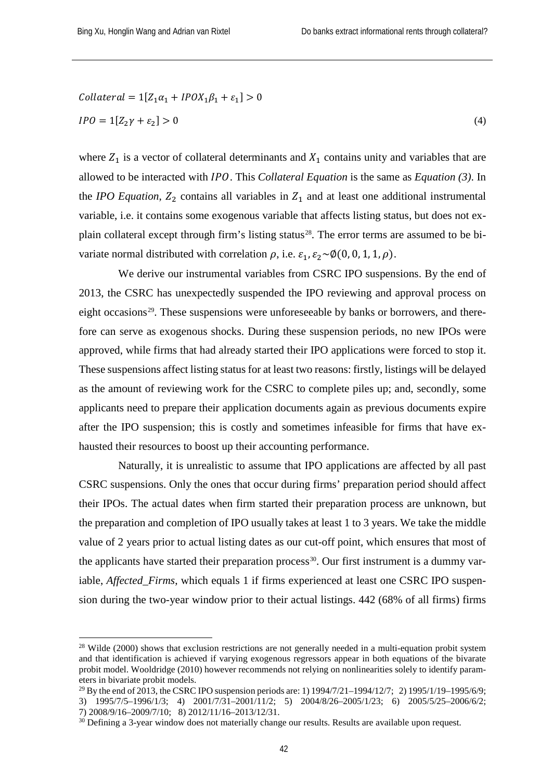$$
Collateral = 1|Z_1\alpha_1 + IPOX_1\beta_1 + \varepsilon_1| > 0
$$
  

$$
IPO = 1[Z_2\gamma + \varepsilon_2] > 0
$$
 (4)

where  $Z_1$  is a vector of collateral determinants and  $X_1$  contains unity and variables that are allowed to be interacted with *IPO*. This *Collateral Equation* is the same as *Equation* (3). In the *IPO Equation*,  $Z_2$  contains all variables in  $Z_1$  and at least one additional instrumental variable, i.e. it contains some exogenous variable that affects listing status, but does not ex-plain collateral except through firm's listing status<sup>[28](#page-41-0)</sup>. The error terms are assumed to be bivariate normal distributed with correlation  $\rho$ , i.e.  $\varepsilon_1$ ,  $\varepsilon_2 \sim \phi(0, 0, 1, 1, \rho)$ .

We derive our instrumental variables from CSRC IPO suspensions. By the end of 2013, the CSRC has unexpectedly suspended the IPO reviewing and approval process on eight occasions<sup>[29](#page-41-1)</sup>. These suspensions were unforeseeable by banks or borrowers, and therefore can serve as exogenous shocks. During these suspension periods, no new IPOs were approved, while firms that had already started their IPO applications were forced to stop it. These suspensions affect listing status for at least two reasons: firstly, listings will be delayed as the amount of reviewing work for the CSRC to complete piles up; and, secondly, some applicants need to prepare their application documents again as previous documents expire after the IPO suspension; this is costly and sometimes infeasible for firms that have exhausted their resources to boost up their accounting performance.

Naturally, it is unrealistic to assume that IPO applications are affected by all past CSRC suspensions. Only the ones that occur during firms' preparation period should affect their IPOs. The actual dates when firm started their preparation process are unknown, but the preparation and completion of IPO usually takes at least 1 to 3 years. We take the middle value of 2 years prior to actual listing dates as our cut-off point, which ensures that most of the applicants have started their preparation process<sup>[30](#page-41-2)</sup>. Our first instrument is a dummy variable, *Affected\_Firms*, which equals 1 if firms experienced at least one CSRC IPO suspension during the two-year window prior to their actual listings. 442 (68% of all firms) firms

<span id="page-41-0"></span><sup>&</sup>lt;sup>28</sup> Wilde (2000) shows that exclusion restrictions are not generally needed in a multi-equation probit system and that identification is achieved if varying exogenous regressors appear in both equations of the bivarate probit model. Wooldridge (2010) however recommends not relying on nonlinearities solely to identify parameters in bivariate probit models.

<span id="page-41-1"></span><sup>&</sup>lt;sup>29</sup> By the end of 2013, the CSRC IPO suspension periods are: 1) 1994/7/21–1994/12/7; 2) 1995/1/19–1995/6/9; 3) 1995/7/5–1996/1/3; 4) 2001/7/31–2001/11/2; 5) 2004/8/26–2005/1/23; 6) 2005/5/25–2006/6/2;

<span id="page-41-2"></span> $30$  Defining a 3-year window does not materially change our results. Results are available upon request.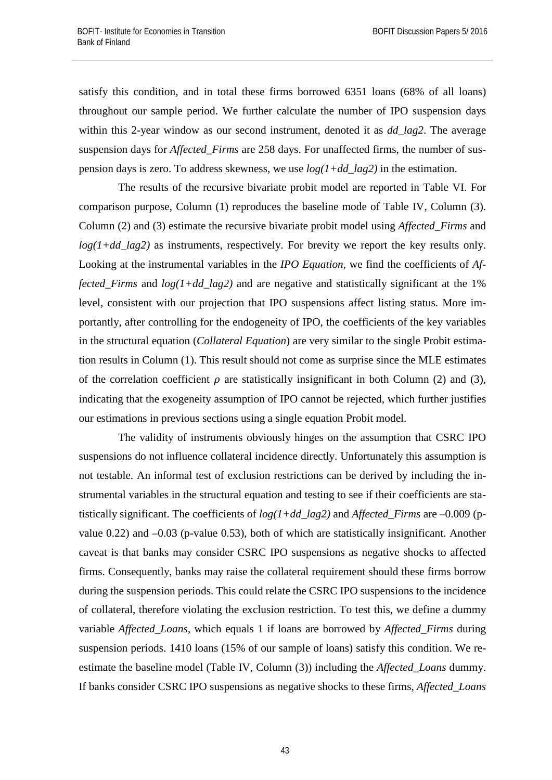satisfy this condition, and in total these firms borrowed 6351 loans (68% of all loans) throughout our sample period. We further calculate the number of IPO suspension days within this 2-year window as our second instrument, denoted it as *dd\_lag2*. The average suspension days for *Affected\_Firms* are 258 days. For unaffected firms, the number of suspension days is zero. To address skewness, we use *log(1+dd\_lag2)* in the estimation.

The results of the recursive bivariate probit model are reported in Table VI. For comparison purpose, Column (1) reproduces the baseline mode of Table IV, Column (3). Column (2) and (3) estimate the recursive bivariate probit model using *Affected\_Firms* and  $log(1+dd \text{ lag2})$  as instruments, respectively. For brevity we report the key results only. Looking at the instrumental variables in the *IPO Equation*, we find the coefficients of *Affected\_Firms* and *log(1+dd\_lag2)* and are negative and statistically significant at the 1% level, consistent with our projection that IPO suspensions affect listing status. More importantly, after controlling for the endogeneity of IPO, the coefficients of the key variables in the structural equation (*Collateral Equation*) are very similar to the single Probit estimation results in Column (1). This result should not come as surprise since the MLE estimates of the correlation coefficient  $\rho$  are statistically insignificant in both Column (2) and (3), indicating that the exogeneity assumption of IPO cannot be rejected, which further justifies our estimations in previous sections using a single equation Probit model.

The validity of instruments obviously hinges on the assumption that CSRC IPO suspensions do not influence collateral incidence directly. Unfortunately this assumption is not testable. An informal test of exclusion restrictions can be derived by including the instrumental variables in the structural equation and testing to see if their coefficients are statistically significant. The coefficients of *log(1+dd\_lag2)* and *Affected\_Firms* are –0.009 (pvalue 0.22) and –0.03 (p-value 0.53), both of which are statistically insignificant. Another caveat is that banks may consider CSRC IPO suspensions as negative shocks to affected firms. Consequently, banks may raise the collateral requirement should these firms borrow during the suspension periods. This could relate the CSRC IPO suspensions to the incidence of collateral, therefore violating the exclusion restriction. To test this, we define a dummy variable *Affected\_Loans,* which equals 1 if loans are borrowed by *Affected\_Firms* during suspension periods. 1410 loans (15% of our sample of loans) satisfy this condition. We reestimate the baseline model (Table IV, Column (3)) including the *Affected\_Loans* dummy. If banks consider CSRC IPO suspensions as negative shocks to these firms, *Affected\_Loans*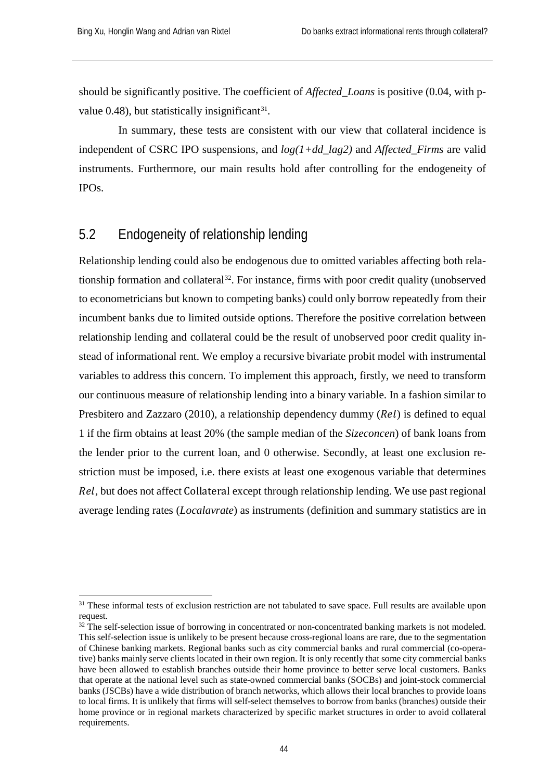should be significantly positive. The coefficient of *Affected\_Loans* is positive (0.04, with pvalue  $0.48$ ), but statistically insignificant<sup>31</sup>.

In summary, these tests are consistent with our view that collateral incidence is independent of CSRC IPO suspensions, and *log(1+dd\_lag2)* and *Affected\_Firms* are valid instruments. Furthermore, our main results hold after controlling for the endogeneity of IPOs.

### <span id="page-43-0"></span>5.2 Endogeneity of relationship lending

Relationship lending could also be endogenous due to omitted variables affecting both relationship formation and collateral<sup>32</sup>. For instance, firms with poor credit quality (unobserved to econometricians but known to competing banks) could only borrow repeatedly from their incumbent banks due to limited outside options. Therefore the positive correlation between relationship lending and collateral could be the result of unobserved poor credit quality instead of informational rent. We employ a recursive bivariate probit model with instrumental variables to address this concern. To implement this approach, firstly, we need to transform our continuous measure of relationship lending into a binary variable. In a fashion similar to Presbitero and Zazzaro (2010), a relationship dependency dummy  $(Rel)$  is defined to equal 1 if the firm obtains at least 20% (the sample median of the *Sizeconcen*) of bank loans from the lender prior to the current loan, and 0 otherwise. Secondly, at least one exclusion restriction must be imposed, i.e. there exists at least one exogenous variable that determines Rel, but does not affect Collateral except through relationship lending. We use past regional average lending rates (*Localavrate*) as instruments (definition and summary statistics are in

<span id="page-43-1"></span> $31$  These informal tests of exclusion restriction are not tabulated to save space. Full results are available upon request.

<span id="page-43-2"></span><sup>&</sup>lt;sup>32</sup> The self-selection issue of borrowing in concentrated or non-concentrated banking markets is not modeled. This self-selection issue is unlikely to be present because cross-regional loans are rare, due to the segmentation of Chinese banking markets. Regional banks such as city commercial banks and rural commercial (co-operative) banks mainly serve clients located in their own region. It is only recently that some city commercial banks have been allowed to establish branches outside their home province to better serve local customers. Banks that operate at the national level such as state-owned commercial banks (SOCBs) and joint-stock commercial banks (JSCBs) have a wide distribution of branch networks, which allows their local branches to provide loans to local firms. It is unlikely that firms will self-select themselves to borrow from banks (branches) outside their home province or in regional markets characterized by specific market structures in order to avoid collateral requirements.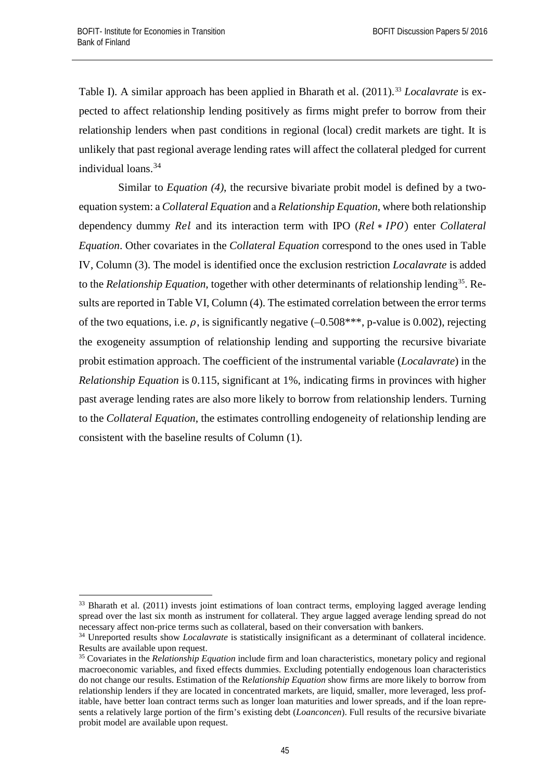Table I). A similar approach has been applied in Bharath et al. (2011). [33](#page-44-0) *Localavrate* is expected to affect relationship lending positively as firms might prefer to borrow from their relationship lenders when past conditions in regional (local) credit markets are tight. It is unlikely that past regional average lending rates will affect the collateral pledged for current individual loans. [34](#page-44-1)

Similar to *Equation (4)*, the recursive bivariate probit model is defined by a twoequation system: a *Collateral Equation* and a *Relationship Equation*, where both relationship dependency dummy *Rel* and its interaction term with IPO (*Rel \* IPO*) enter *Collateral Equation*. Other covariates in the *Collateral Equation* correspond to the ones used in Table IV, Column (3). The model is identified once the exclusion restriction *Localavrate* is added to the *Relationship Equation*, together with other determinants of relationship lending<sup>[35](#page-44-2)</sup>. Results are reported in Table VI, Column (4). The estimated correlation between the error terms of the two equations, i.e.  $\rho$ , is significantly negative  $(-0.508***$ , p-value is 0.002), rejecting the exogeneity assumption of relationship lending and supporting the recursive bivariate probit estimation approach. The coefficient of the instrumental variable (*Localavrate*) in the *Relationship Equation* is 0.115, significant at 1%, indicating firms in provinces with higher past average lending rates are also more likely to borrow from relationship lenders. Turning to the *Collateral Equation*, the estimates controlling endogeneity of relationship lending are consistent with the baseline results of Column (1).

<span id="page-44-0"></span><sup>&</sup>lt;sup>33</sup> Bharath et al. (2011) invests joint estimations of loan contract terms, employing lagged average lending spread over the last six month as instrument for collateral. They argue lagged average lending spread do not necessary affect non-price terms such as collateral, based on their conversation with bankers. 34 Unreported results show *Localavrate* is statistically insignificant as a determinant of collateral incidence.

<span id="page-44-1"></span>Results are available upon request.

<span id="page-44-2"></span><sup>35</sup> Covariates in the *Relationship Equation* include firm and loan characteristics, monetary policy and regional macroeconomic variables, and fixed effects dummies. Excluding potentially endogenous loan characteristics do not change our results. Estimation of the R*elationship Equation* show firms are more likely to borrow from relationship lenders if they are located in concentrated markets, are liquid, smaller, more leveraged, less profitable, have better loan contract terms such as longer loan maturities and lower spreads, and if the loan represents a relatively large portion of the firm's existing debt (*Loanconcen*). Full results of the recursive bivariate probit model are available upon request.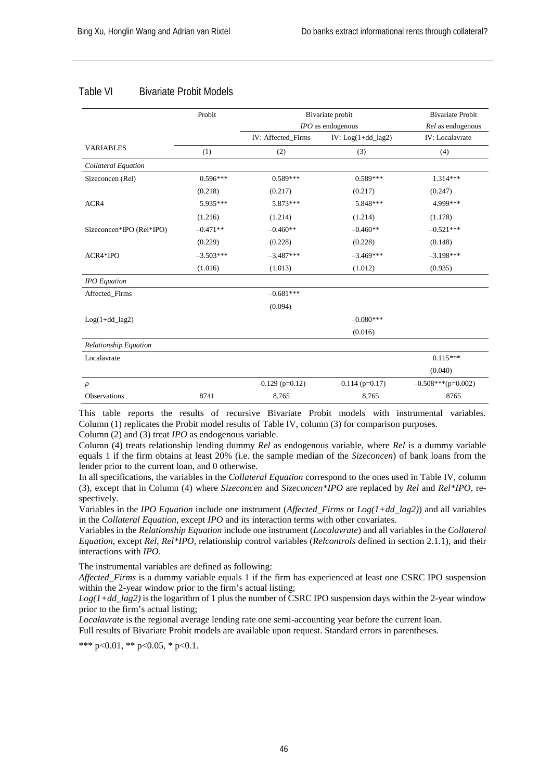|                              | Probit      | Bivariate probit   | <b>Bivariate Probit</b>      |                      |
|------------------------------|-------------|--------------------|------------------------------|----------------------|
|                              |             |                    | $IPO$ as endogenous          | Rel as endogenous    |
|                              |             | IV: Affected_Firms | IV: $Log(1+dd \text{ lag2})$ | IV: Localavrate      |
| <b>VARIABLES</b>             | (1)         | (2)                | (3)                          | (4)                  |
| Collateral Equation          |             |                    |                              |                      |
| Sizeconcen (Rel)             | $0.596***$  | $0.589***$         | $0.589***$                   | $1.314***$           |
|                              | (0.218)     | (0.217)            | (0.217)                      | (0.247)              |
| ACR4                         | 5.935***    | 5.873***           | 5.848***                     | 4.999***             |
|                              | (1.216)     | (1.214)            | (1.214)                      | (1.178)              |
| Sizeconcen*IPO (Rel*IPO)     | $-0.471**$  | $-0.460**$         | $-0.460**$                   | $-0.521***$          |
|                              | (0.229)     | (0.228)            | (0.228)                      | (0.148)              |
| $ACR4*IPO$                   | $-3.503***$ | $-3.487***$        | $-3.469***$                  | $-3.198***$          |
|                              | (1.016)     | (1.013)            | (1.012)                      | (0.935)              |
| <b>IPO</b> Equation          |             |                    |                              |                      |
| Affected Firms               |             | $-0.681***$        |                              |                      |
|                              |             | (0.094)            |                              |                      |
| $Log(1+dd_lag2)$             |             |                    | $-0.080***$                  |                      |
|                              |             |                    | (0.016)                      |                      |
| <b>Relationship Equation</b> |             |                    |                              |                      |
| Localavrate                  |             |                    |                              | $0.115***$           |
|                              |             |                    |                              | (0.040)              |
| $\rho$                       |             | $-0.129$ (p=0.12)  | $-0.114$ (p=0.17)            | $-0.508***(p=0.002)$ |
| Observations                 | 8741        | 8,765              | 8,765                        | 8765                 |

#### Table VI Bivariate Probit Models

This table reports the results of recursive Bivariate Probit models with instrumental variables. Column (1) replicates the Probit model results of Table IV, column (3) for comparison purposes. Column (2) and (3) treat *IPO* as endogenous variable.

Column (4) treats relationship lending dummy *Rel* as endogenous variable, where *Rel* is a dummy variable equals 1 if the firm obtains at least 20% (i.e. the sample median of the *Sizeconcen*) of bank loans from the lender prior to the current loan, and 0 otherwise.

In all specifications, the variables in the *Collateral Equation* correspond to the ones used in Table IV, column (3), except that in Column (4) where *Sizeconcen* and *Sizeconcen\*IPO* are replaced by *Rel* and *Rel\*IPO*, respectively.

Variables in the *IPO Equation* include one instrument (*Affected\_Firms* or *Log(1+dd\_lag2)*) and all variables in the *Collateral Equation*, except *IPO* and its interaction terms with other covariates.

Variables in the *Relationship Equation* include one instrument (*Localavrate*) and all variables in the *Collateral Equation*, except *Rel*, *Rel\*IPO*, relationship control variables (*Relcontrols* defined in section 2.1.1), and their interactions with *IPO*.

The instrumental variables are defined as following:

*Affected\_Firms* is a dummy variable equals 1 if the firm has experienced at least one CSRC IPO suspension within the 2-year window prior to the firm's actual listing;

Log(1+dd\_lag2) is the logarithm of 1 plus the number of CSRC IPO suspension days within the 2-year window prior to the firm's actual listing;

*Localavrate* is the regional average lending rate one semi-accounting year before the current loan. Full results of Bivariate Probit models are available upon request. Standard errors in parentheses.

\*\*\* p<0.01, \*\* p<0.05, \* p<0.1.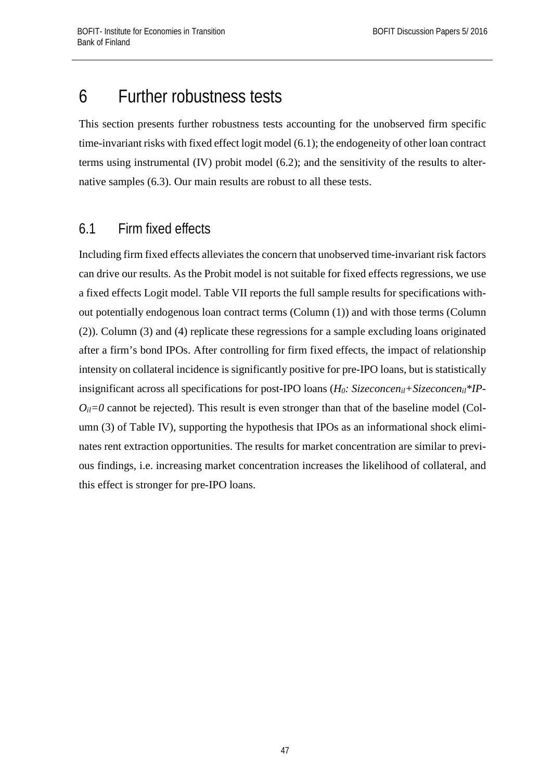# <span id="page-46-0"></span>6 Further robustness tests

This section presents further robustness tests accounting for the unobserved firm specific time-invariant risks with fixed effect logit model (6.1); the endogeneity of other loan contract terms using instrumental (IV) probit model (6.2); and the sensitivity of the results to alternative samples (6.3). Our main results are robust to all these tests.

# <span id="page-46-1"></span>6.1 Firm fixed effects

Including firm fixed effects alleviates the concern that unobserved time-invariant risk factors can drive our results. As the Probit model is not suitable for fixed effects regressions, we use a fixed effects Logit model. Table VII reports the full sample results for specifications without potentially endogenous loan contract terms (Column (1)) and with those terms (Column (2)). Column (3) and (4) replicate these regressions for a sample excluding loans originated after a firm's bond IPOs. After controlling for firm fixed effects, the impact of relationship intensity on collateral incidence is significantly positive for pre-IPO loans, but is statistically insignificant across all specifications for post-IPO loans (*H0: Sizeconcenil+Sizeconcenil\*IP-* $O_{il}=0$  cannot be rejected). This result is even stronger than that of the baseline model (Column (3) of Table IV), supporting the hypothesis that IPOs as an informational shock eliminates rent extraction opportunities. The results for market concentration are similar to previous findings, i.e. increasing market concentration increases the likelihood of collateral, and this effect is stronger for pre-IPO loans.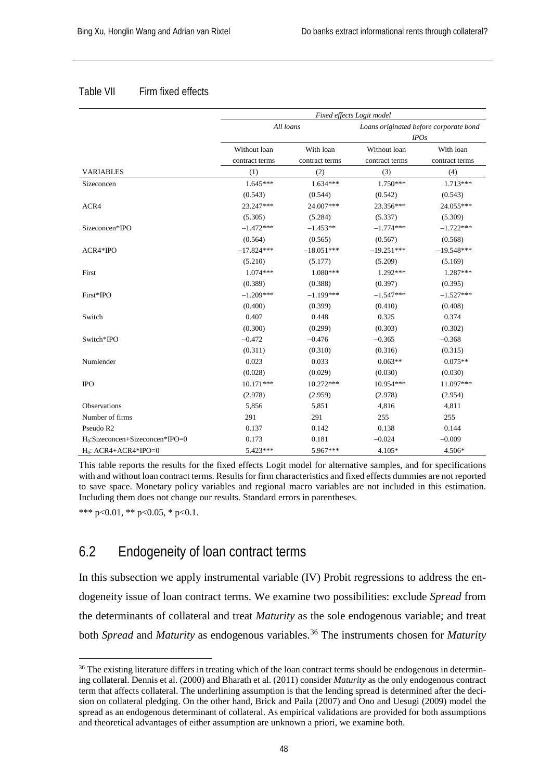#### Table VII Firm fixed effects

|                                     | Fixed effects Logit model |                |                |                                        |  |  |
|-------------------------------------|---------------------------|----------------|----------------|----------------------------------------|--|--|
|                                     | All loans                 |                |                | Loans originated before corporate bond |  |  |
|                                     |                           |                |                | IPOs                                   |  |  |
|                                     | Without loan              | With loan      | Without loan   | With loan                              |  |  |
|                                     | contract terms            | contract terms | contract terms | contract terms                         |  |  |
| <b>VARIABLES</b>                    | (1)                       | (2)            | (3)            | (4)                                    |  |  |
| Sizeconcen                          | $1.645***$                | 1.634***       | $1.750***$     | $1.713***$                             |  |  |
|                                     | (0.543)                   | (0.544)        | (0.542)        | (0.543)                                |  |  |
| ACR4                                | 23.247***                 | 24.007***      | 23.356***      | 24.055***                              |  |  |
|                                     | (5.305)                   | (5.284)        | (5.337)        | (5.309)                                |  |  |
| Sizeconcen*IPO                      | $-1.472***$               | $-1.453**$     | $-1.774***$    | $-1.722***$                            |  |  |
|                                     | (0.564)                   | (0.565)        | (0.567)        | (0.568)                                |  |  |
| ACR4*IPO                            | $-17.824***$              | $-18.051***$   | $-19.251***$   | $-19.548***$                           |  |  |
|                                     | (5.210)                   | (5.177)        | (5.209)        | (5.169)                                |  |  |
| First                               | $1.074***$                | $1.080***$     | $1.292***$     | $1.287***$                             |  |  |
|                                     | (0.389)                   | (0.388)        | (0.397)        | (0.395)                                |  |  |
| First*IPO                           | $-1.209***$               | $-1.199***$    | $-1.547***$    | $-1.527***$                            |  |  |
|                                     | (0.400)                   | (0.399)        | (0.410)        | (0.408)                                |  |  |
| Switch                              | 0.407                     | 0.448          | 0.325          | 0.374                                  |  |  |
|                                     | (0.300)                   | (0.299)        | (0.303)        | (0.302)                                |  |  |
| Switch*IPO                          | $-0.472$                  | $-0.476$       | $-0.365$       | $-0.368$                               |  |  |
|                                     | (0.311)                   | (0.310)        | (0.316)        | (0.315)                                |  |  |
| Numlender                           | 0.023                     | 0.033          | $0.063**$      | $0.075**$                              |  |  |
|                                     | (0.028)                   | (0.029)        | (0.030)        | (0.030)                                |  |  |
| <b>IPO</b>                          | $10.171***$               | 10.272***      | 10.954***      | 11.097***                              |  |  |
|                                     | (2.978)                   | (2.959)        | (2.978)        | (2.954)                                |  |  |
| Observations                        | 5,856                     | 5,851          | 4,816          | 4,811                                  |  |  |
| Number of firms                     | 291                       | 291            | 255            | 255                                    |  |  |
| Pseudo R2                           | 0.137                     | 0.142          | 0.138          | 0.144                                  |  |  |
| $H_0$ : Sizeconcen+Sizeconcen*IPO=0 | 0.173                     | 0.181          | $-0.024$       | $-0.009$                               |  |  |
| $H0: ACR4+ACR4*IPO=0$               | 5.423***                  | 5.967***       | 4.105*         | 4.506*                                 |  |  |

This table reports the results for the fixed effects Logit model for alternative samples, and for specifications with and without loan contract terms. Results for firm characteristics and fixed effects dummies are not reported to save space. Monetary policy variables and regional macro variables are not included in this estimation. Including them does not change our results. Standard errors in parentheses.

\*\*\* p<0.01, \*\* p<0.05, \* p<0.1.

## <span id="page-47-0"></span>6.2 Endogeneity of loan contract terms

In this subsection we apply instrumental variable (IV) Probit regressions to address the endogeneity issue of loan contract terms. We examine two possibilities: exclude *Spread* from the determinants of collateral and treat *Maturity* as the sole endogenous variable; and treat both *Spread* and *Maturity* as endogenous variables.<sup>[36](#page-47-1)</sup> The instruments chosen for *Maturity* 

<span id="page-47-1"></span><sup>&</sup>lt;sup>36</sup> The existing literature differs in treating which of the loan contract terms should be endogenous in determining collateral. Dennis et al. (2000) and Bharath et al. (2011) consider *Maturity* as the only endogenous contract term that affects collateral. The underlining assumption is that the lending spread is determined after the decision on collateral pledging. On the other hand, Brick and Paila (2007) and Ono and Uesugi (2009) model the spread as an endogenous determinant of collateral. As empirical validations are provided for both assumptions and theoretical advantages of either assumption are unknown a priori, we examine both.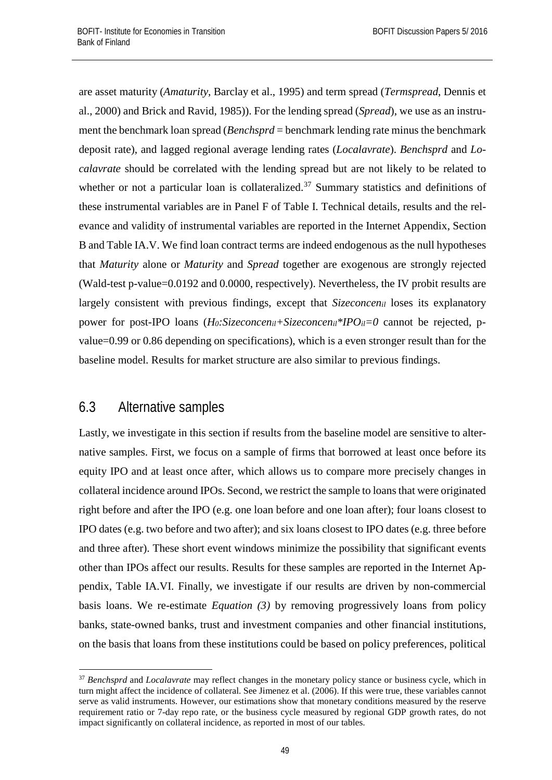are asset maturity (*Amaturity*, Barclay et al., 1995) and term spread (*Termspread*, Dennis et al., 2000) and Brick and Ravid, 1985)). For the lending spread (*Spread*), we use as an instrument the benchmark loan spread (*Benchsprd* = benchmark lending rate minus the benchmark deposit rate), and lagged regional average lending rates (*Localavrate*). *Benchsprd* and *Localavrate* should be correlated with the lending spread but are not likely to be related to whether or not a particular loan is collateralized.<sup>[37](#page-48-1)</sup> Summary statistics and definitions of these instrumental variables are in Panel F of Table I. Technical details, results and the relevance and validity of instrumental variables are reported in the Internet Appendix, Section B and Table IA.V. We find loan contract terms are indeed endogenous as the null hypotheses that *Maturity* alone or *Maturity* and *Spread* together are exogenous are strongly rejected (Wald-test p-value=0.0192 and 0.0000, respectively). Nevertheless, the IV probit results are largely consistent with previous findings, except that *Sizeconcen<sub>il</sub>* loses its explanatory power for post-IPO loans (*H0:Sizeconcenil+Sizeconcenil\*IPOil=0* cannot be rejected, pvalue=0.99 or 0.86 depending on specifications), which is a even stronger result than for the baseline model. Results for market structure are also similar to previous findings.

### <span id="page-48-0"></span>6.3 Alternative samples

Lastly, we investigate in this section if results from the baseline model are sensitive to alternative samples. First, we focus on a sample of firms that borrowed at least once before its equity IPO and at least once after, which allows us to compare more precisely changes in collateral incidence around IPOs. Second, we restrict the sample to loans that were originated right before and after the IPO (e.g. one loan before and one loan after); four loans closest to IPO dates (e.g. two before and two after); and six loans closest to IPO dates (e.g. three before and three after). These short event windows minimize the possibility that significant events other than IPOs affect our results. Results for these samples are reported in the Internet Appendix, Table IA.VI. Finally, we investigate if our results are driven by non-commercial basis loans. We re-estimate *Equation (3)* by removing progressively loans from policy banks, state-owned banks, trust and investment companies and other financial institutions, on the basis that loans from these institutions could be based on policy preferences, political

<span id="page-48-1"></span><sup>&</sup>lt;sup>37</sup> Benchsprd and *Localavrate* may reflect changes in the monetary policy stance or business cycle, which in turn might affect the incidence of collateral. See Jimenez et al. (2006). If this were true, these variables cannot serve as valid instruments. However, our estimations show that monetary conditions measured by the reserve requirement ratio or 7-day repo rate, or the business cycle measured by regional GDP growth rates, do not impact significantly on collateral incidence, as reported in most of our tables.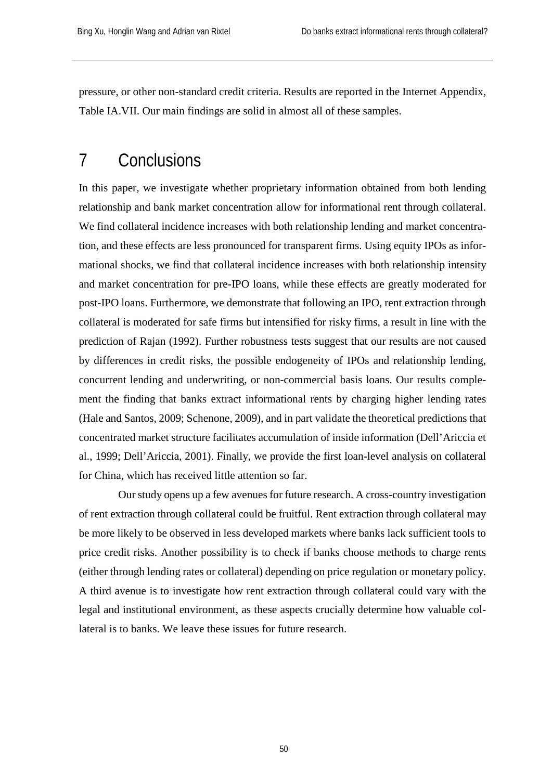pressure, or other non-standard credit criteria. Results are reported in the Internet Appendix, Table IA.VII. Our main findings are solid in almost all of these samples.

# <span id="page-49-0"></span>7 Conclusions

In this paper, we investigate whether proprietary information obtained from both lending relationship and bank market concentration allow for informational rent through collateral. We find collateral incidence increases with both relationship lending and market concentration, and these effects are less pronounced for transparent firms. Using equity IPOs as informational shocks, we find that collateral incidence increases with both relationship intensity and market concentration for pre-IPO loans, while these effects are greatly moderated for post-IPO loans. Furthermore, we demonstrate that following an IPO, rent extraction through collateral is moderated for safe firms but intensified for risky firms, a result in line with the prediction of Rajan (1992). Further robustness tests suggest that our results are not caused by differences in credit risks, the possible endogeneity of IPOs and relationship lending, concurrent lending and underwriting, or non-commercial basis loans. Our results complement the finding that banks extract informational rents by charging higher lending rates (Hale and Santos, 2009; Schenone, 2009), and in part validate the theoretical predictions that concentrated market structure facilitates accumulation of inside information (Dell'Ariccia et al., 1999; Dell'Ariccia, 2001). Finally, we provide the first loan-level analysis on collateral for China, which has received little attention so far.

Our study opens up a few avenues for future research. A cross-country investigation of rent extraction through collateral could be fruitful. Rent extraction through collateral may be more likely to be observed in less developed markets where banks lack sufficient tools to price credit risks. Another possibility is to check if banks choose methods to charge rents (either through lending rates or collateral) depending on price regulation or monetary policy. A third avenue is to investigate how rent extraction through collateral could vary with the legal and institutional environment, as these aspects crucially determine how valuable collateral is to banks. We leave these issues for future research.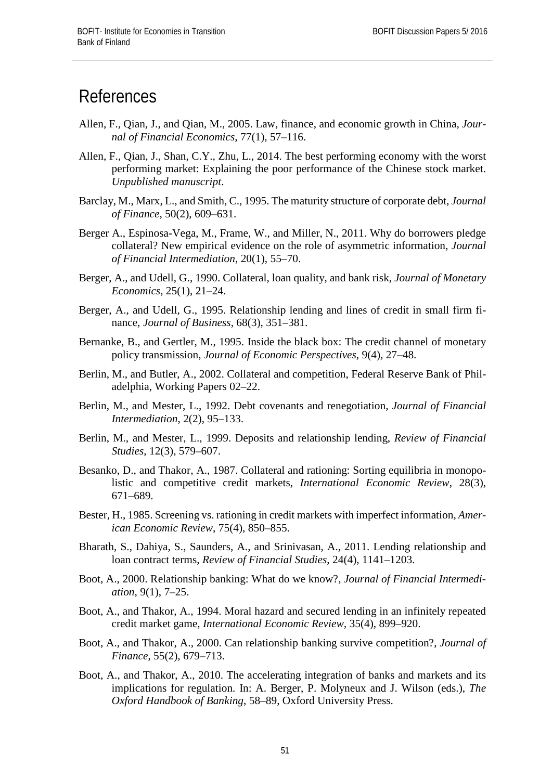# <span id="page-50-0"></span>References

- Allen, F., Qian, J., and Qian, M., 2005. Law, finance, and economic growth in China, *Journal of Financial Economics*, 77(1), 57–116.
- Allen, F., Qian, J., Shan, C.Y., Zhu, L., 2014. The best performing economy with the worst performing market: Explaining the poor performance of the Chinese stock market. *Unpublished manuscript*.
- Barclay, M., Marx, L., and Smith, C., 1995. The maturity structure of corporate debt, *Journal of Finance*, 50(2), 609–631.
- Berger A., Espinosa-Vega, M., Frame, W., and Miller, N., 2011. Why do borrowers pledge collateral? New empirical evidence on the role of asymmetric information, *Journal of Financial Intermediation*, 20(1), 55–70.
- Berger, A., and Udell, G., 1990. Collateral, loan quality, and bank risk, *Journal of Monetary Economics*, 25(1), 21–24.
- Berger, A., and Udell, G., 1995. Relationship lending and lines of credit in small firm finance, *Journal of Business*, 68(3), 351–381.
- Bernanke, B., and Gertler, M., 1995. Inside the black box: The credit channel of monetary policy transmission, *Journal of Economic Perspectives*, 9(4), 27–48.
- Berlin, M., and Butler, A., 2002. Collateral and competition, Federal Reserve Bank of Philadelphia, Working Papers 02–22.
- Berlin, M., and Mester, L., 1992. Debt covenants and renegotiation, *Journal of Financial Intermediation*, 2(2), 95–133.
- Berlin, M., and Mester, L., 1999. Deposits and relationship lending, *Review of Financial Studies*, 12(3), 579–607.
- Besanko, D., and Thakor, A., 1987. Collateral and rationing: Sorting equilibria in monopolistic and competitive credit markets, *International Economic Review*, 28(3), 671–689.
- Bester, H., 1985. Screening vs. rationing in credit markets with imperfect information, *American Economic Review*, 75(4), 850–855.
- Bharath, S., Dahiya, S., Saunders, A., and Srinivasan, A., 2011. Lending relationship and loan contract terms, *Review of Financial Studies*, 24(4), 1141–1203.
- Boot, A., 2000. Relationship banking: What do we know?, *Journal of Financial Intermediation*, 9(1), 7–25.
- Boot, A., and Thakor, A., 1994. Moral hazard and secured lending in an infinitely repeated credit market game, *International Economic Review*, 35(4), 899–920.
- Boot, A., and Thakor, A., 2000. Can relationship banking survive competition?, *Journal of Finance*, 55(2), 679–713.
- Boot, A., and Thakor, A., 2010. The accelerating integration of banks and markets and its implications for regulation. In: A. Berger, P. Molyneux and J. Wilson (eds.), *The Oxford Handbook of Banking*, 58–89, Oxford University Press.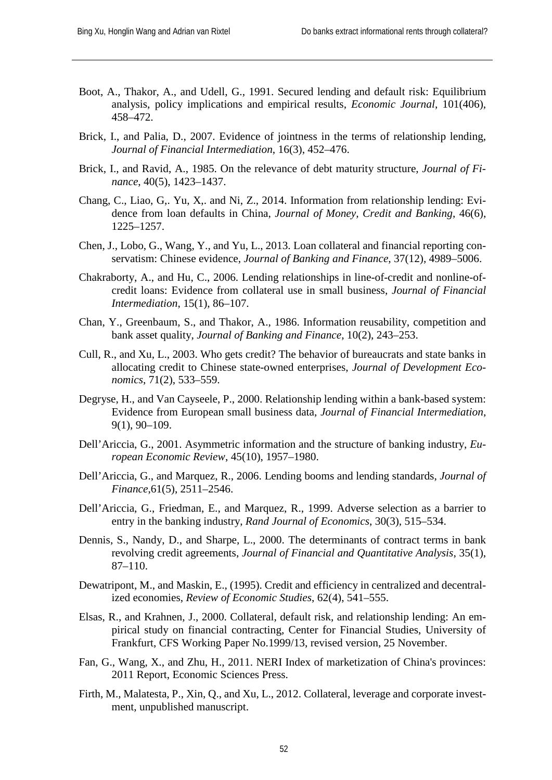- Boot, A., Thakor, A., and Udell, G., 1991. Secured lending and default risk: Equilibrium analysis, policy implications and empirical results, *Economic Journal*, 101(406), 458–472.
- Brick, I., and Palia, D., 2007. Evidence of jointness in the terms of relationship lending, *Journal of Financial Intermediation*, 16(3), 452–476.
- Brick, I., and Ravid, A., 1985. On the relevance of debt maturity structure, *Journal of Finance*, 40(5), 1423–1437.
- Chang, C., Liao, G,. Yu, X,. and Ni, Z., 2014. Information from relationship lending: Evidence from loan defaults in China, *Journal of Money, Credit and Banking*, 46(6), 1225–1257.
- Chen, J., Lobo, G., Wang, Y., and Yu, L., 2013. Loan collateral and financial reporting conservatism: Chinese evidence, *Journal of Banking and Finance*, 37(12), 4989–5006.
- Chakraborty, A., and Hu, C., 2006. Lending relationships in line-of-credit and nonline-ofcredit loans: Evidence from collateral use in small business, *Journal of Financial Intermediation*, 15(1), 86–107.
- Chan, Y., Greenbaum, S., and Thakor, A., 1986. Information reusability, competition and bank asset quality, *Journal of Banking and Finance*, 10(2), 243–253.
- Cull, R., and Xu, L., 2003. Who gets credit? The behavior of bureaucrats and state banks in allocating credit to Chinese state-owned enterprises, *Journal of Development Economics*, 71(2), 533–559.
- Degryse, H., and Van Cayseele, P., 2000. Relationship lending within a bank-based system: Evidence from European small business data, *Journal of Financial Intermediation*, 9(1), 90–109.
- Dell'Ariccia, G., 2001. Asymmetric information and the structure of banking industry, *European Economic Review*, 45(10), 1957–1980.
- Dell'Ariccia, G., and Marquez, R., 2006. Lending booms and lending standards, *Journal of Finance*,61(5), 2511–2546.
- Dell'Ariccia, G., Friedman, E., and Marquez, R., 1999. Adverse selection as a barrier to entry in the banking industry, *Rand Journal of Economics*, 30(3), 515–534.
- Dennis, S., Nandy, D., and Sharpe, L., 2000. The determinants of contract terms in bank revolving credit agreements, *Journal of Financial and Quantitative Analysis*, 35(1), 87–110.
- Dewatripont, M., and Maskin, E., (1995). Credit and efficiency in centralized and decentralized economies, *Review of Economic Studies*, 62(4), 541–555.
- Elsas, R., and Krahnen, J., 2000. Collateral, default risk, and relationship lending: An empirical study on financial contracting, Center for Financial Studies, University of Frankfurt, CFS Working Paper No.1999/13, revised version, 25 November.
- Fan, G., Wang, X., and Zhu, H., 2011. NERI Index of marketization of China's provinces: 2011 Report, Economic Sciences Press.
- Firth, M., Malatesta, P., Xin, Q., and Xu, L., 2012. Collateral, leverage and corporate investment, unpublished manuscript.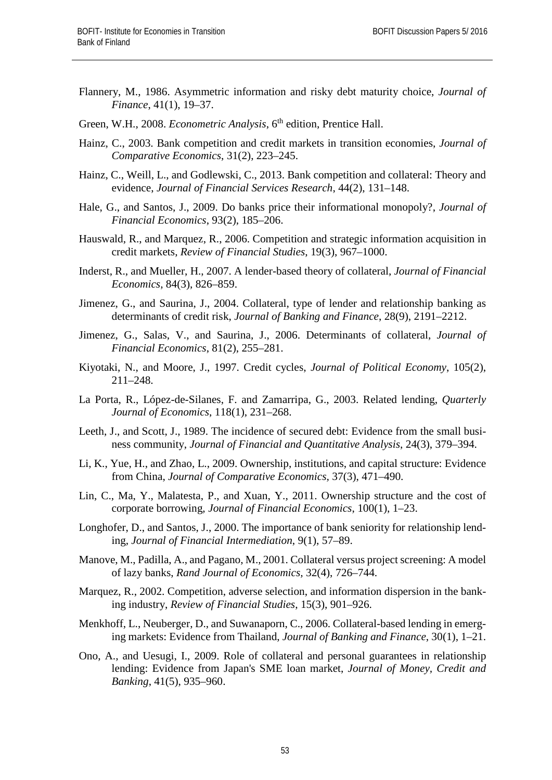- Flannery, M., 1986. Asymmetric information and risky debt maturity choice, *Journal of Finance*, 41(1), 19–37.
- Green, W.H., 2008. *Econometric Analysis*, 6<sup>th</sup> edition, Prentice Hall.
- Hainz, C., 2003. Bank competition and credit markets in transition economies, *Journal of Comparative Economics*, 31(2), 223–245.
- Hainz, C., Weill, L., and Godlewski, C., 2013. Bank competition and collateral: Theory and evidence, *Journal of Financial Services Research*, 44(2), 131–148.
- Hale, G., and Santos, J., 2009. Do banks price their informational monopoly?, *Journal of Financial Economics*, 93(2), 185–206.
- Hauswald, R., and Marquez, R., 2006. Competition and strategic information acquisition in credit markets, *Review of Financial Studies*, 19(3), 967–1000.
- Inderst, R., and Mueller, H., 2007. A lender-based theory of collateral, *Journal of Financial Economics*, 84(3), 826–859.
- Jimenez, G., and Saurina, J., 2004. Collateral, type of lender and relationship banking as determinants of credit risk, *Journal of Banking and Finance*, 28(9), 2191–2212.
- Jimenez, G., Salas, V., and Saurina, J., 2006. Determinants of collateral, *Journal of Financial Economics*, 81(2), 255–281.
- Kiyotaki, N., and Moore, J., 1997. Credit cycles, *Journal of Political Economy*, 105(2), 211–248.
- La Porta, R., López-de-Silanes, F. and Zamarripa, G., 2003. Related lending, *Quarterly Journal of Economics*, 118(1), 231–268.
- Leeth, J., and Scott, J., 1989. The incidence of secured debt: Evidence from the small business community, *Journal of Financial and Quantitative Analysis*, 24(3), 379–394.
- Li, K., Yue, H., and Zhao, L., 2009. Ownership, institutions, and capital structure: Evidence from China, *Journal of Comparative Economics,* 37(3), 471–490.
- Lin, C., Ma, Y., Malatesta, P., and Xuan, Y., 2011. Ownership structure and the cost of corporate borrowing, *Journal of Financial Economics*, 100(1), 1–23.
- Longhofer, D., and Santos, J., 2000. The importance of bank seniority for relationship lending, *Journal of Financial Intermediation*, 9(1), 57–89.
- Manove, M., Padilla, A., and Pagano, M., 2001. Collateral versus project screening: A model of lazy banks, *Rand Journal of Economics,* 32(4), 726–744.
- Marquez, R., 2002. Competition, adverse selection, and information dispersion in the banking industry, *Review of Financial Studies*, 15(3), 901–926.
- Menkhoff, L., Neuberger, D., and Suwanaporn, C., 2006. Collateral-based lending in emerging markets: Evidence from Thailand, *Journal of Banking and Finance*, 30(1), 1–21.
- Ono, A., and Uesugi, I., 2009. Role of collateral and personal guarantees in relationship lending: Evidence from Japan's SME loan market, *Journal of Money, Credit and Banking*, 41(5), 935–960.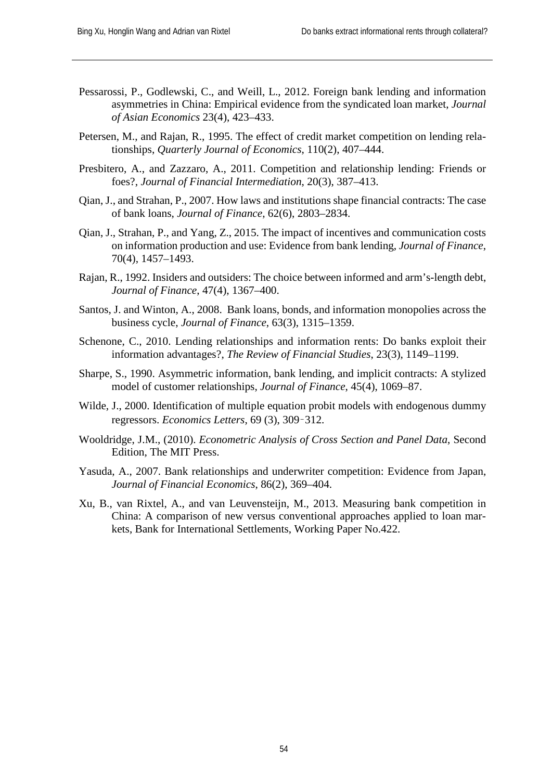- Pessarossi, P., Godlewski, C., and Weill, L., 2012. Foreign bank lending and information asymmetries in China: Empirical evidence from the syndicated loan market, *Journal of Asian Economics* 23(4), 423–433.
- Petersen, M., and Rajan, R., 1995. The effect of credit market competition on lending relationships, *Quarterly Journal of Economics*, 110(2), 407–444.
- Presbitero, A., and Zazzaro, A., 2011. Competition and relationship lending: Friends or foes?, *Journal of Financial Intermediation*, 20(3), 387–413.
- Qian, J., and Strahan, P., 2007. How laws and institutions shape financial contracts: The case of bank loans, *Journal of Finance*, 62(6), 2803–2834.
- Qian, J., Strahan, P., and Yang, Z., 2015. The impact of incentives and communication costs on information production and use: Evidence from bank lending, *Journal of Finance*, 70(4), 1457–1493.
- Rajan, R., 1992. Insiders and outsiders: The choice between informed and arm's-length debt, *Journal of Finance*, 47(4), 1367–400.
- Santos, J. and Winton, A., 2008. Bank loans, bonds, and information monopolies across the business cycle, *Journal of Finance*, 63(3), 1315–1359.
- Schenone, C., 2010. Lending relationships and information rents: Do banks exploit their information advantages?, *The Review of Financial Studies*, 23(3), 1149–1199.
- Sharpe, S., 1990. Asymmetric information, bank lending, and implicit contracts: A stylized model of customer relationships, *Journal of Finance*, 45(4), 1069–87.
- Wilde, J., 2000. Identification of multiple equation probit models with endogenous dummy regressors. *Economics Letters*, 69 (3), 309–312.
- Wooldridge, J.M., (2010). *Econometric Analysis of Cross Section and Panel Data*, Second Edition, The MIT Press.
- Yasuda, A., 2007. Bank relationships and underwriter competition: Evidence from Japan, *Journal of Financial Economics*, 86(2), 369–404.
- Xu, B., van Rixtel, A., and van Leuvensteijn, M., 2013. Measuring bank competition in China: A comparison of new versus conventional approaches applied to loan markets, Bank for International Settlements, Working Paper No.422.